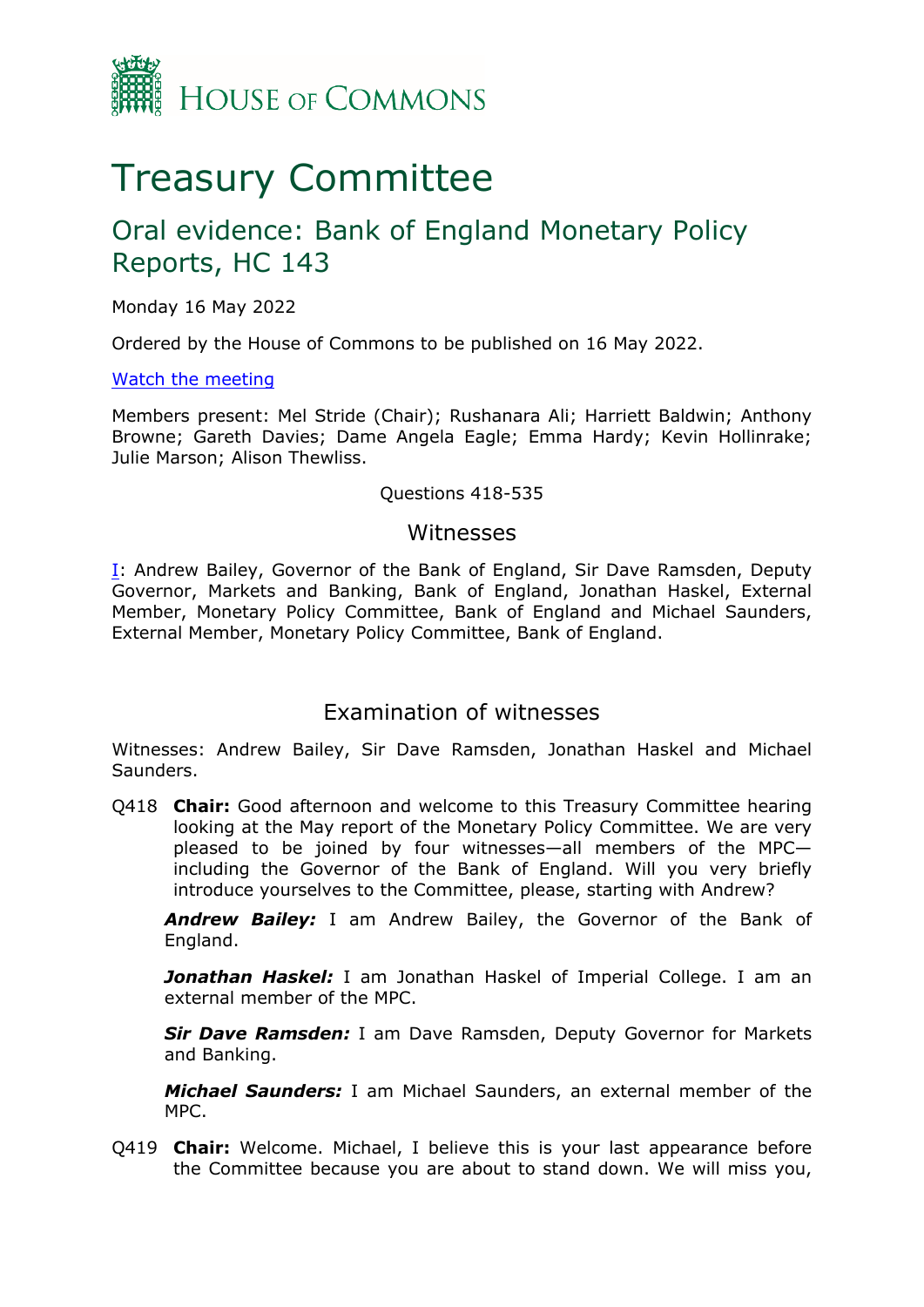

# Treasury Committee

## Oral evidence: Bank of England Monetary Policy Reports, HC 143

Monday 16 May 2022

Ordered by the House of Commons to be published on 16 May 2022.

[Watch](https://www.parliamentlive.tv/Event/Index/eb8510a1-697a-4273-9a42-ba9f3072c338) [the](https://www.parliamentlive.tv/Event/Index/eb8510a1-697a-4273-9a42-ba9f3072c338) [meeting](https://www.parliamentlive.tv/Event/Index/eb8510a1-697a-4273-9a42-ba9f3072c338)

Members present: Mel Stride (Chair); Rushanara Ali; Harriett Baldwin; Anthony Browne; Gareth Davies; Dame Angela Eagle; Emma Hardy; Kevin Hollinrake; Julie Marson; Alison Thewliss.

#### Questions 418-535

#### <span id="page-0-0"></span>Witnesses

[I:](#page-0-0) Andrew Bailey, Governor of the Bank of England, Sir Dave Ramsden, Deputy Governor, Markets and Banking, Bank of England, Jonathan Haskel, External Member, Monetary Policy Committee, Bank of England and Michael Saunders, External Member, Monetary Policy Committee, Bank of England.

### Examination of witnesses

Witnesses: Andrew Bailey, Sir Dave Ramsden, Jonathan Haskel and Michael Saunders.

Q418 **Chair:** Good afternoon and welcome to this Treasury Committee hearing looking at the May report of the Monetary Policy Committee. We are very pleased to be joined by four witnesses—all members of the MPC including the Governor of the Bank of England. Will you very briefly introduce yourselves to the Committee, please, starting with Andrew?

*Andrew Bailey:* I am Andrew Bailey, the Governor of the Bank of England.

**Jonathan Haskel:** I am Jonathan Haskel of Imperial College. I am an external member of the MPC.

*Sir Dave Ramsden:* I am Dave Ramsden, Deputy Governor for Markets and Banking.

*Michael Saunders:* I am Michael Saunders, an external member of the MPC.

Q419 **Chair:** Welcome. Michael, I believe this is your last appearance before the Committee because you are about to stand down. We will miss you,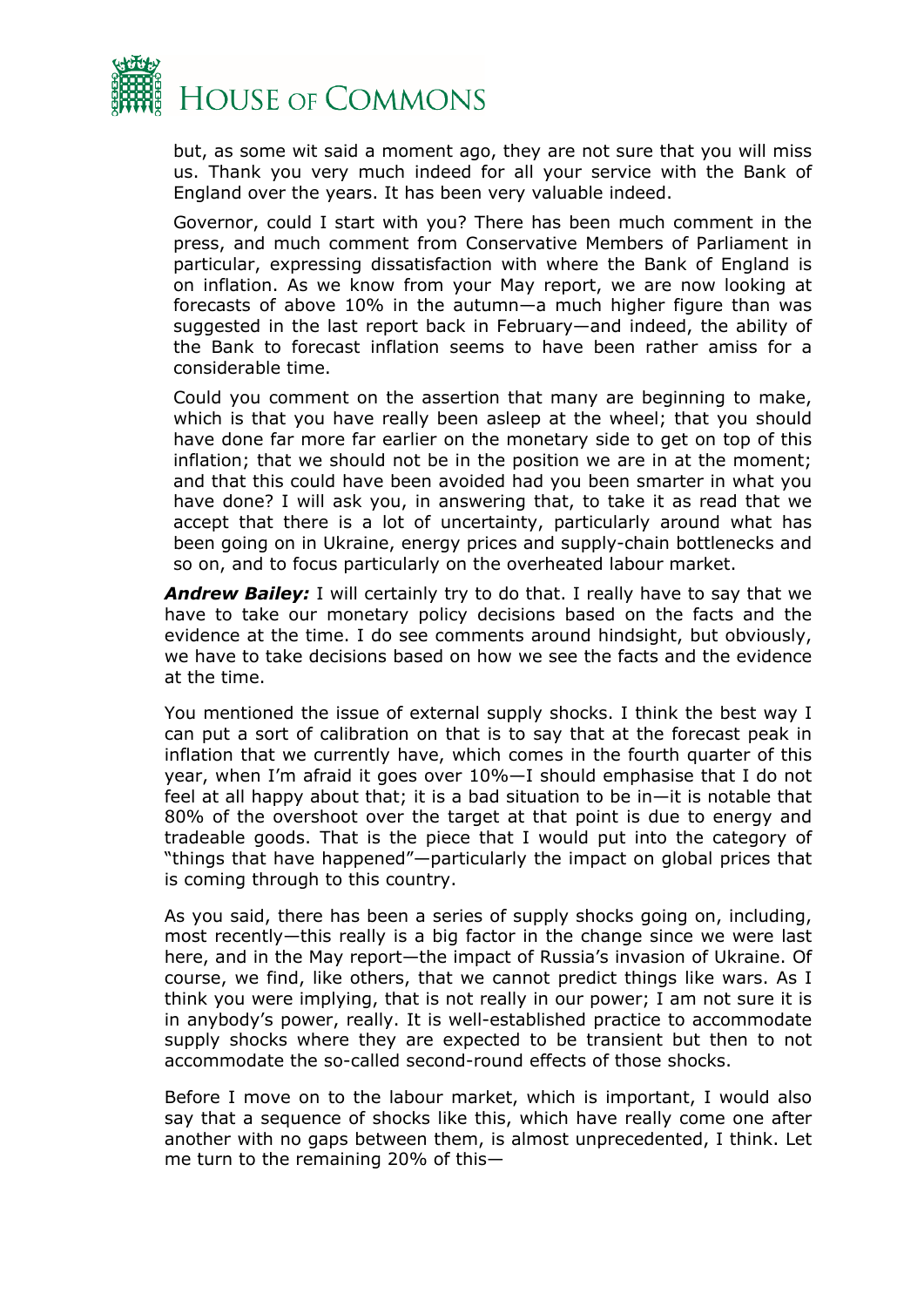

but, as some wit said a moment ago, they are not sure that you will miss us. Thank you very much indeed for all your service with the Bank of England over the years. It has been very valuable indeed.

Governor, could I start with you? There has been much comment in the press, and much comment from Conservative Members of Parliament in particular, expressing dissatisfaction with where the Bank of England is on inflation. As we know from your May report, we are now looking at forecasts of above 10% in the autumn—a much higher figure than was suggested in the last report back in February—and indeed, the ability of the Bank to forecast inflation seems to have been rather amiss for a considerable time.

Could you comment on the assertion that many are beginning to make, which is that you have really been asleep at the wheel; that you should have done far more far earlier on the monetary side to get on top of this inflation; that we should not be in the position we are in at the moment; and that this could have been avoided had you been smarter in what you have done? I will ask you, in answering that, to take it as read that we accept that there is a lot of uncertainty, particularly around what has been going on in Ukraine, energy prices and supply-chain bottlenecks and so on, and to focus particularly on the overheated labour market.

*Andrew Bailey:* I will certainly try to do that. I really have to say that we have to take our monetary policy decisions based on the facts and the evidence at the time. I do see comments around hindsight, but obviously, we have to take decisions based on how we see the facts and the evidence at the time.

You mentioned the issue of external supply shocks. I think the best way I can put a sort of calibration on that is to say that at the forecast peak in inflation that we currently have, which comes in the fourth quarter of this year, when I'm afraid it goes over 10%—I should emphasise that I do not feel at all happy about that; it is a bad situation to be in—it is notable that 80% of the overshoot over the target at that point is due to energy and tradeable goods. That is the piece that I would put into the category of "things that have happened"—particularly the impact on global prices that is coming through to this country.

As you said, there has been a series of supply shocks going on, including, most recently—this really is a big factor in the change since we were last here, and in the May report—the impact of Russia's invasion of Ukraine. Of course, we find, like others, that we cannot predict things like wars. As I think you were implying, that is not really in our power; I am not sure it is in anybody's power, really. It is well-established practice to accommodate supply shocks where they are expected to be transient but then to not accommodate the so-called second-round effects of those shocks.

Before I move on to the labour market, which is important, I would also say that a sequence of shocks like this, which have really come one after another with no gaps between them, is almost unprecedented, I think. Let me turn to the remaining 20% of this—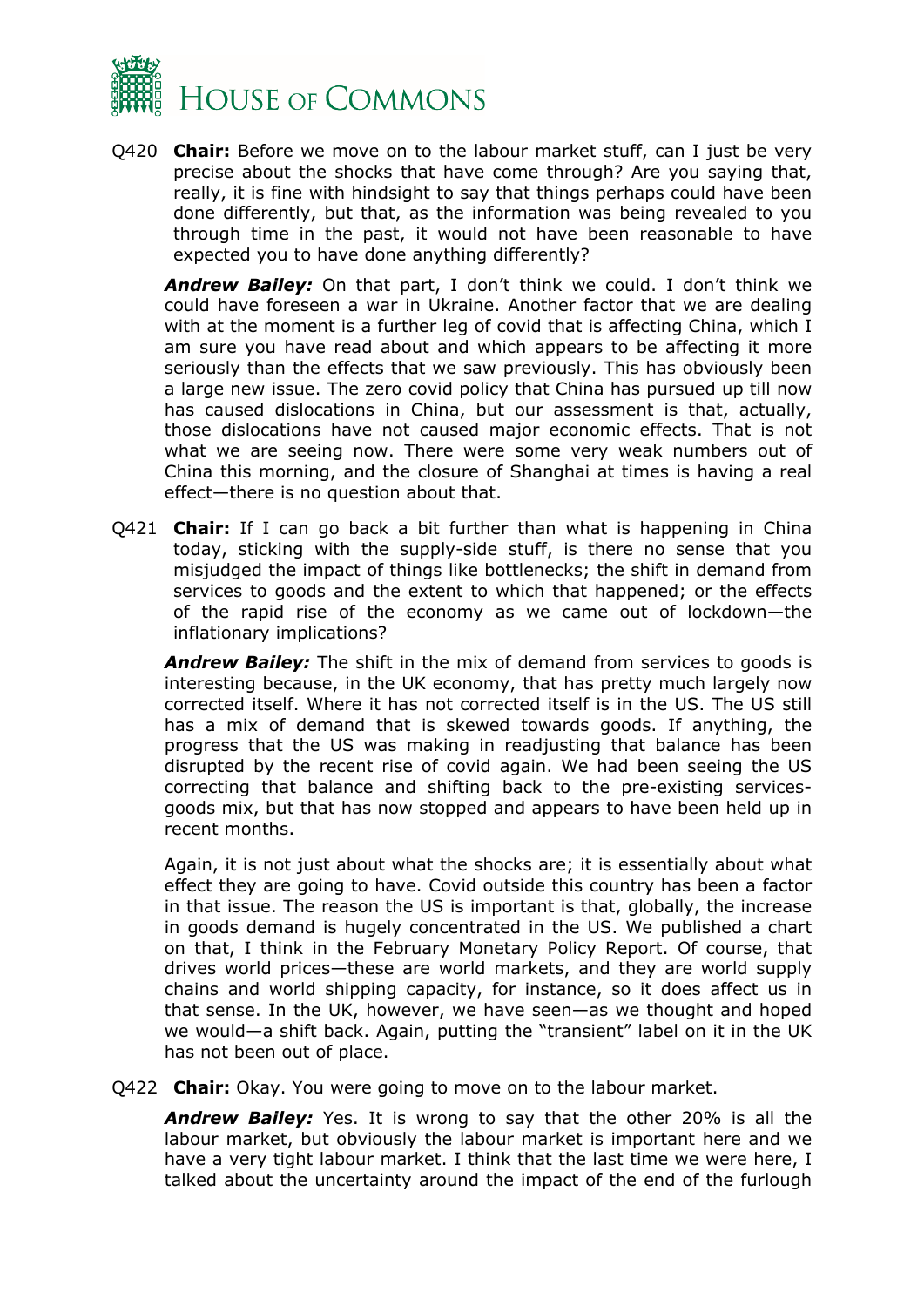

Q420 **Chair:** Before we move on to the labour market stuff, can I just be very precise about the shocks that have come through? Are you saying that, really, it is fine with hindsight to say that things perhaps could have been done differently, but that, as the information was being revealed to you through time in the past, it would not have been reasonable to have expected you to have done anything differently?

*Andrew Bailey:* On that part, I don't think we could. I don't think we could have foreseen a war in Ukraine. Another factor that we are dealing with at the moment is a further leg of covid that is affecting China, which I am sure you have read about and which appears to be affecting it more seriously than the effects that we saw previously. This has obviously been a large new issue. The zero covid policy that China has pursued up till now has caused dislocations in China, but our assessment is that, actually, those dislocations have not caused major economic effects. That is not what we are seeing now. There were some very weak numbers out of China this morning, and the closure of Shanghai at times is having a real effect—there is no question about that.

Q421 **Chair:** If I can go back a bit further than what is happening in China today, sticking with the supply-side stuff, is there no sense that you misjudged the impact of things like bottlenecks; the shift in demand from services to goods and the extent to which that happened; or the effects of the rapid rise of the economy as we came out of lockdown—the inflationary implications?

*Andrew Bailey:* The shift in the mix of demand from services to goods is interesting because, in the UK economy, that has pretty much largely now corrected itself. Where it has not corrected itself is in the US. The US still has a mix of demand that is skewed towards goods. If anything, the progress that the US was making in readjusting that balance has been disrupted by the recent rise of covid again. We had been seeing the US correcting that balance and shifting back to the pre-existing servicesgoods mix, but that has now stopped and appears to have been held up in recent months.

Again, it is not just about what the shocks are; it is essentially about what effect they are going to have. Covid outside this country has been a factor in that issue. The reason the US is important is that, globally, the increase in goods demand is hugely concentrated in the US. We published a chart on that, I think in the February Monetary Policy Report. Of course, that drives world prices—these are world markets, and they are world supply chains and world shipping capacity, for instance, so it does affect us in that sense. In the UK, however, we have seen—as we thought and hoped we would—a shift back. Again, putting the "transient" label on it in the UK has not been out of place.

Q422 **Chair:** Okay. You were going to move on to the labour market.

*Andrew Bailey:* Yes. It is wrong to say that the other 20% is all the labour market, but obviously the labour market is important here and we have a very tight labour market. I think that the last time we were here, I talked about the uncertainty around the impact of the end of the furlough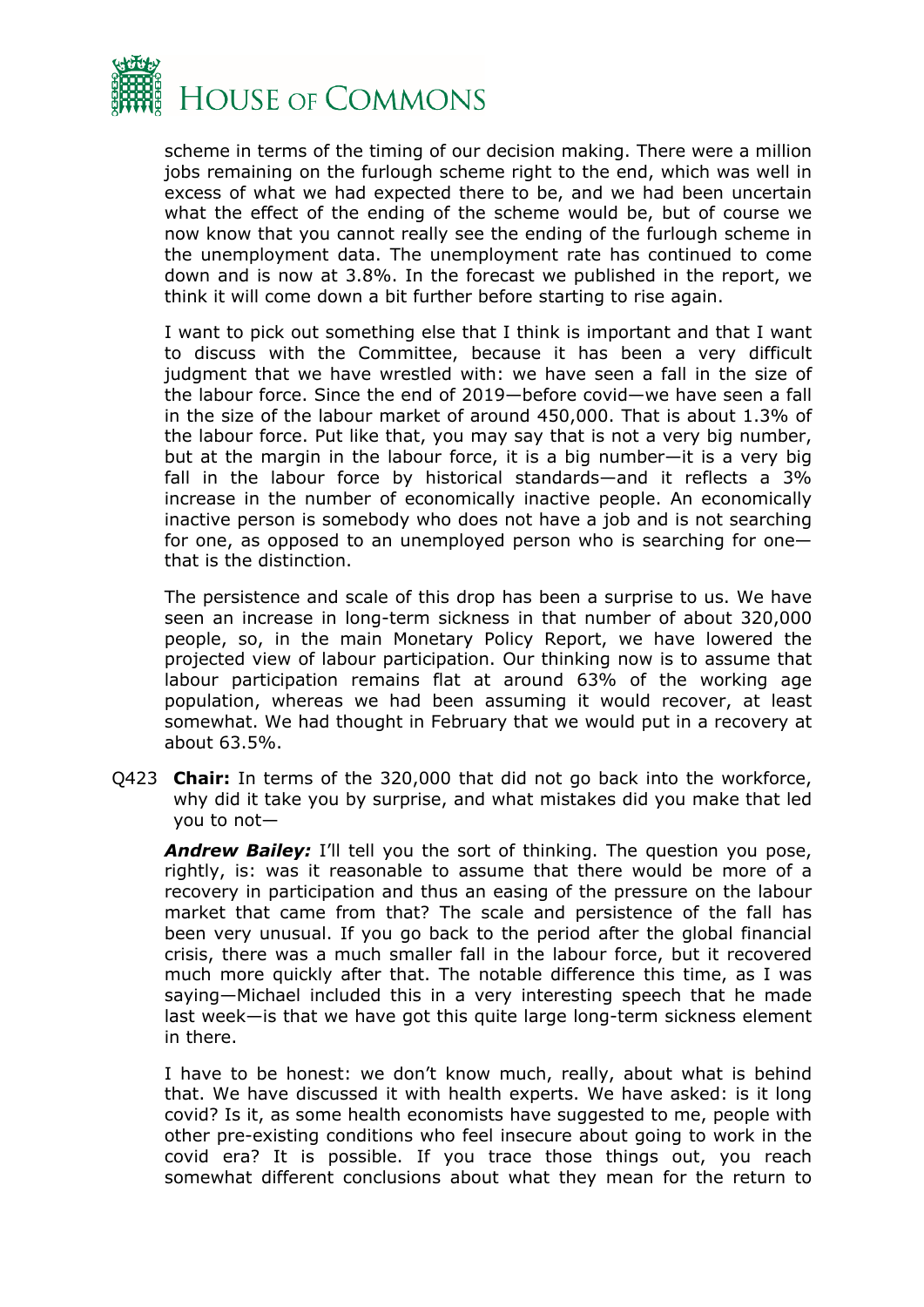

scheme in terms of the timing of our decision making. There were a million jobs remaining on the furlough scheme right to the end, which was well in excess of what we had expected there to be, and we had been uncertain what the effect of the ending of the scheme would be, but of course we now know that you cannot really see the ending of the furlough scheme in the unemployment data. The unemployment rate has continued to come down and is now at 3.8%. In the forecast we published in the report, we think it will come down a bit further before starting to rise again.

I want to pick out something else that I think is important and that I want to discuss with the Committee, because it has been a very difficult judgment that we have wrestled with: we have seen a fall in the size of the labour force. Since the end of 2019—before covid—we have seen a fall in the size of the labour market of around 450,000. That is about 1.3% of the labour force. Put like that, you may say that is not a very big number, but at the margin in the labour force, it is a big number—it is a very big fall in the labour force by historical standards—and it reflects a 3% increase in the number of economically inactive people. An economically inactive person is somebody who does not have a job and is not searching for one, as opposed to an unemployed person who is searching for one that is the distinction.

The persistence and scale of this drop has been a surprise to us. We have seen an increase in long-term sickness in that number of about 320,000 people, so, in the main Monetary Policy Report, we have lowered the projected view of labour participation. Our thinking now is to assume that labour participation remains flat at around 63% of the working age population, whereas we had been assuming it would recover, at least somewhat. We had thought in February that we would put in a recovery at about 63.5%.

Q423 **Chair:** In terms of the 320,000 that did not go back into the workforce, why did it take you by surprise, and what mistakes did you make that led you to not—

**Andrew Bailey:** I'll tell you the sort of thinking. The question you pose, rightly, is: was it reasonable to assume that there would be more of a recovery in participation and thus an easing of the pressure on the labour market that came from that? The scale and persistence of the fall has been very unusual. If you go back to the period after the global financial crisis, there was a much smaller fall in the labour force, but it recovered much more quickly after that. The notable difference this time, as I was saying—Michael included this in a very interesting speech that he made last week—is that we have got this quite large long-term sickness element in there.

I have to be honest: we don't know much, really, about what is behind that. We have discussed it with health experts. We have asked: is it long covid? Is it, as some health economists have suggested to me, people with other pre-existing conditions who feel insecure about going to work in the covid era? It is possible. If you trace those things out, you reach somewhat different conclusions about what they mean for the return to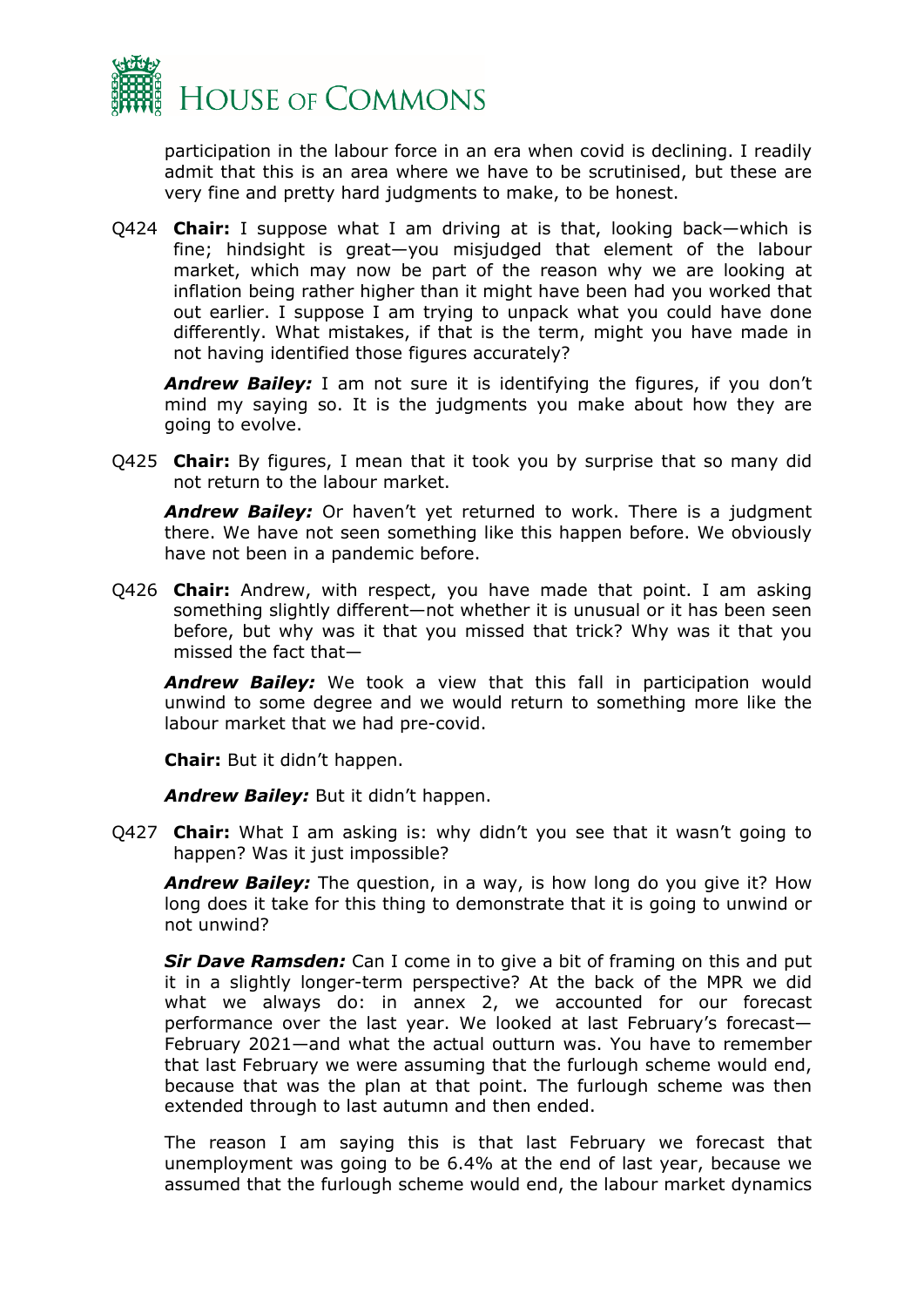

participation in the labour force in an era when covid is declining. I readily admit that this is an area where we have to be scrutinised, but these are very fine and pretty hard judgments to make, to be honest.

Q424 **Chair:** I suppose what I am driving at is that, looking back—which is fine; hindsight is great—you misjudged that element of the labour market, which may now be part of the reason why we are looking at inflation being rather higher than it might have been had you worked that out earlier. I suppose I am trying to unpack what you could have done differently. What mistakes, if that is the term, might you have made in not having identified those figures accurately?

*Andrew Bailey:* I am not sure it is identifying the figures, if you don't mind my saying so. It is the judgments you make about how they are going to evolve.

Q425 **Chair:** By figures, I mean that it took you by surprise that so many did not return to the labour market.

*Andrew Bailey:* Or haven't yet returned to work. There is a judgment there. We have not seen something like this happen before. We obviously have not been in a pandemic before.

Q426 **Chair:** Andrew, with respect, you have made that point. I am asking something slightly different—not whether it is unusual or it has been seen before, but why was it that you missed that trick? Why was it that you missed the fact that—

*Andrew Bailey:* We took a view that this fall in participation would unwind to some degree and we would return to something more like the labour market that we had pre-covid.

**Chair:** But it didn't happen.

*Andrew Bailey:* But it didn't happen.

Q427 **Chair:** What I am asking is: why didn't you see that it wasn't going to happen? Was it just impossible?

*Andrew Bailey:* The question, in a way, is how long do you give it? How long does it take for this thing to demonstrate that it is going to unwind or not unwind?

*Sir Dave Ramsden:* Can I come in to give a bit of framing on this and put it in a slightly longer-term perspective? At the back of the MPR we did what we always do: in annex 2, we accounted for our forecast performance over the last year. We looked at last February's forecast— February 2021—and what the actual outturn was. You have to remember that last February we were assuming that the furlough scheme would end, because that was the plan at that point. The furlough scheme was then extended through to last autumn and then ended.

The reason I am saying this is that last February we forecast that unemployment was going to be 6.4% at the end of last year, because we assumed that the furlough scheme would end, the labour market dynamics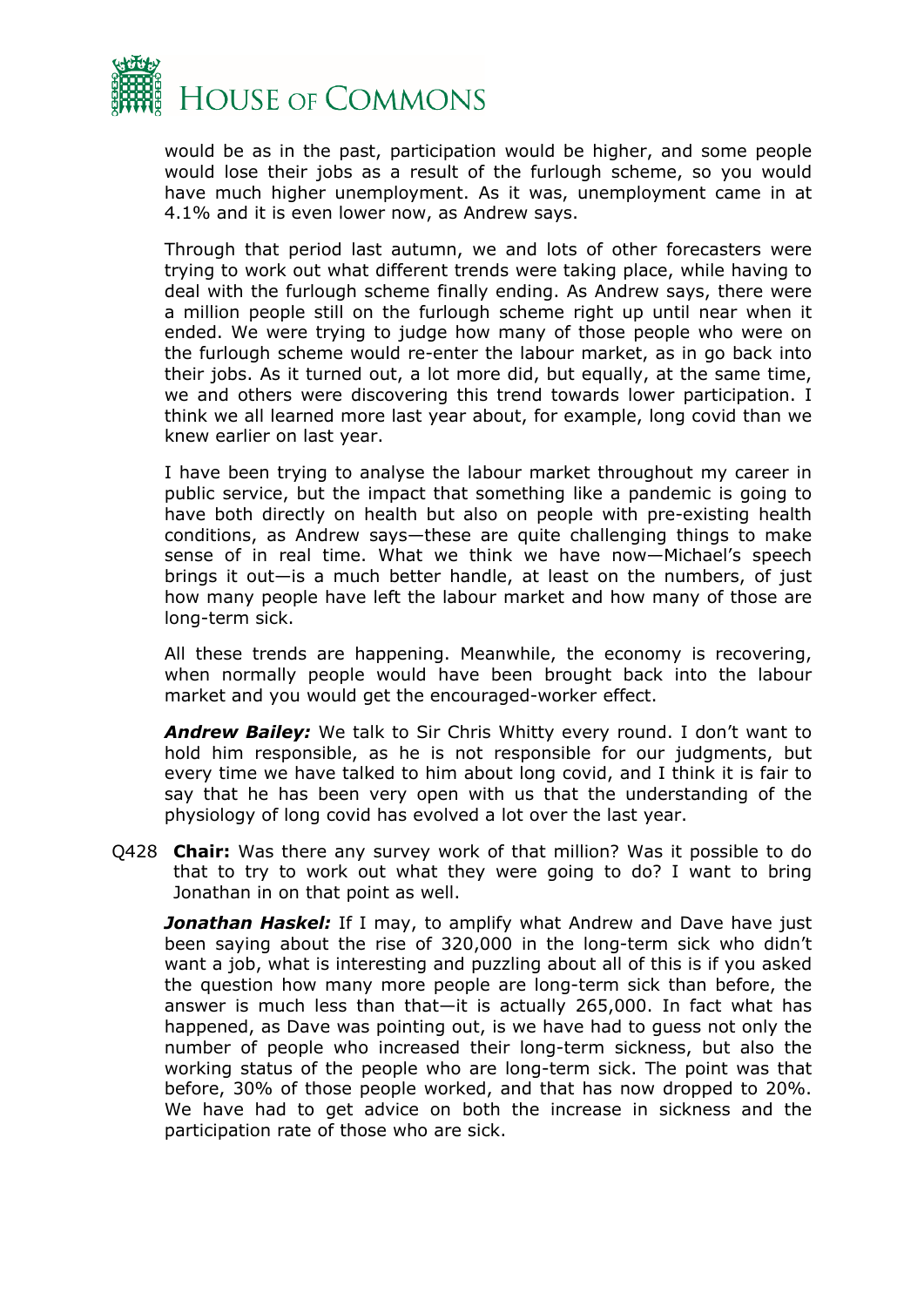

would be as in the past, participation would be higher, and some people would lose their jobs as a result of the furlough scheme, so you would have much higher unemployment. As it was, unemployment came in at 4.1% and it is even lower now, as Andrew says.

Through that period last autumn, we and lots of other forecasters were trying to work out what different trends were taking place, while having to deal with the furlough scheme finally ending. As Andrew says, there were a million people still on the furlough scheme right up until near when it ended. We were trying to judge how many of those people who were on the furlough scheme would re-enter the labour market, as in go back into their jobs. As it turned out, a lot more did, but equally, at the same time, we and others were discovering this trend towards lower participation. I think we all learned more last year about, for example, long covid than we knew earlier on last year.

I have been trying to analyse the labour market throughout my career in public service, but the impact that something like a pandemic is going to have both directly on health but also on people with pre-existing health conditions, as Andrew says—these are quite challenging things to make sense of in real time. What we think we have now—Michael's speech brings it out—is a much better handle, at least on the numbers, of just how many people have left the labour market and how many of those are long-term sick.

All these trends are happening. Meanwhile, the economy is recovering, when normally people would have been brought back into the labour market and you would get the encouraged-worker effect.

*Andrew Bailey:* We talk to Sir Chris Whitty every round. I don't want to hold him responsible, as he is not responsible for our judgments, but every time we have talked to him about long covid, and I think it is fair to say that he has been very open with us that the understanding of the physiology of long covid has evolved a lot over the last year.

Q428 **Chair:** Was there any survey work of that million? Was it possible to do that to try to work out what they were going to do? I want to bring Jonathan in on that point as well.

*Jonathan Haskel:* If I may, to amplify what Andrew and Dave have just been saying about the rise of 320,000 in the long-term sick who didn't want a job, what is interesting and puzzling about all of this is if you asked the question how many more people are long-term sick than before, the answer is much less than that—it is actually 265,000. In fact what has happened, as Dave was pointing out, is we have had to guess not only the number of people who increased their long-term sickness, but also the working status of the people who are long-term sick. The point was that before, 30% of those people worked, and that has now dropped to 20%. We have had to get advice on both the increase in sickness and the participation rate of those who are sick.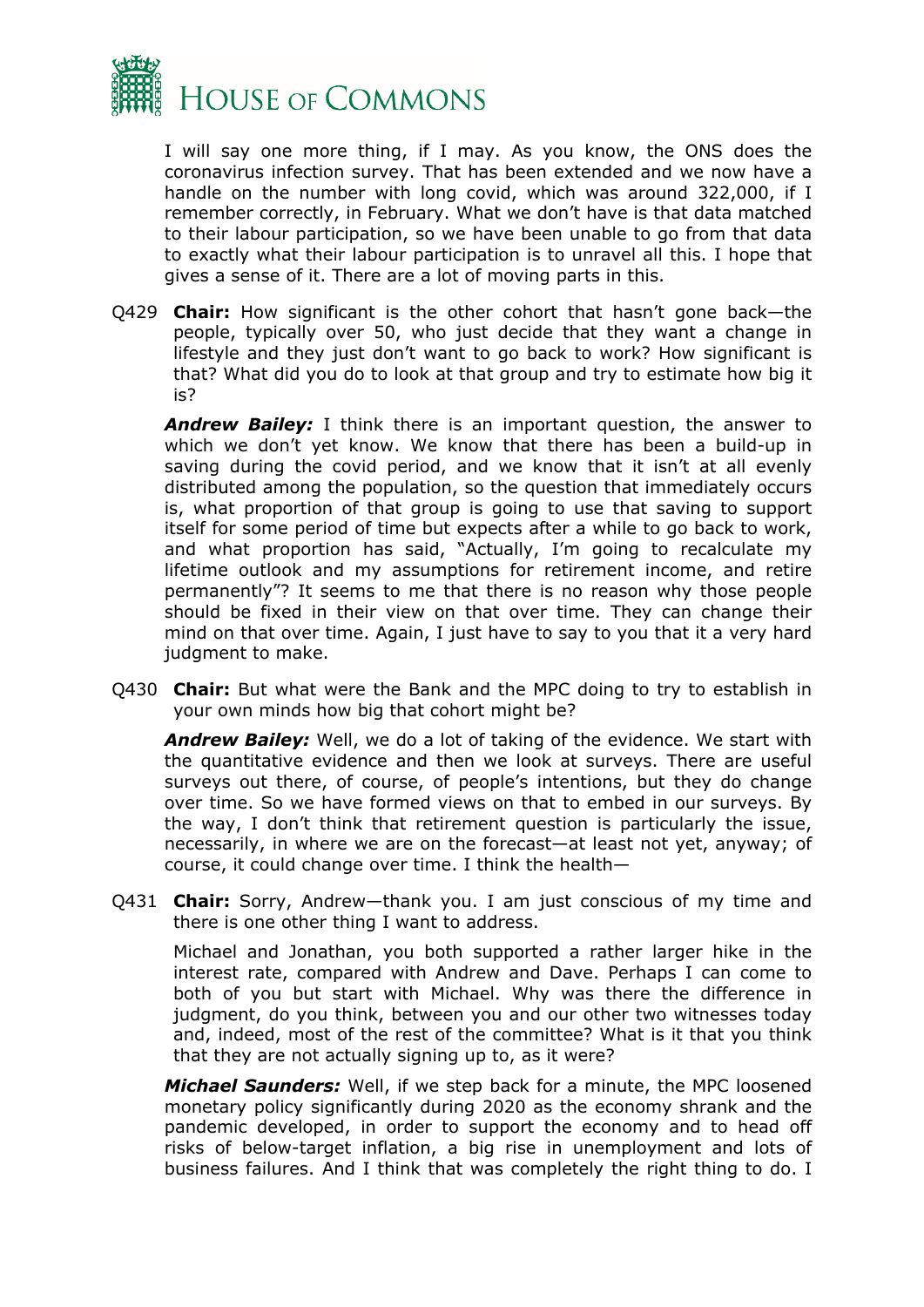

I will say one more thing, if I may. As you know, the ONS does the coronavirus infection survey. That has been extended and we now have a handle on the number with long covid, which was around 322,000, if I remember correctly, in February. What we don't have is that data matched to their labour participation, so we have been unable to go from that data to exactly what their labour participation is to unravel all this. I hope that gives a sense of it. There are a lot of moving parts in this.

Q429 **Chair:** How significant is the other cohort that hasn't gone back—the people, typically over 50, who just decide that they want a change in lifestyle and they just don't want to go back to work? How significant is that? What did you do to look at that group and try to estimate how big it is?

*Andrew Bailey:* I think there is an important question, the answer to which we don't yet know. We know that there has been a build-up in saving during the covid period, and we know that it isn't at all evenly distributed among the population, so the question that immediately occurs is, what proportion of that group is going to use that saving to support itself for some period of time but expects after a while to go back to work, and what proportion has said, "Actually, I'm going to recalculate my lifetime outlook and my assumptions for retirement income, and retire permanently"? It seems to me that there is no reason why those people should be fixed in their view on that over time. They can change their mind on that over time. Again, I just have to say to you that it a very hard judgment to make.

Q430 **Chair:** But what were the Bank and the MPC doing to try to establish in your own minds how big that cohort might be?

*Andrew Bailey:* Well, we do a lot of taking of the evidence. We start with the quantitative evidence and then we look at surveys. There are useful surveys out there, of course, of people's intentions, but they do change over time. So we have formed views on that to embed in our surveys. By the way, I don't think that retirement question is particularly the issue, necessarily, in where we are on the forecast—at least not yet, anyway; of course, it could change over time. I think the health—

Q431 **Chair:** Sorry, Andrew—thank you. I am just conscious of my time and there is one other thing I want to address.

Michael and Jonathan, you both supported a rather larger hike in the interest rate, compared with Andrew and Dave. Perhaps I can come to both of you but start with Michael. Why was there the difference in judgment, do you think, between you and our other two witnesses today and, indeed, most of the rest of the committee? What is it that you think that they are not actually signing up to, as it were?

*Michael Saunders:* Well, if we step back for a minute, the MPC loosened monetary policy significantly during 2020 as the economy shrank and the pandemic developed, in order to support the economy and to head off risks of below-target inflation, a big rise in unemployment and lots of business failures. And I think that was completely the right thing to do. I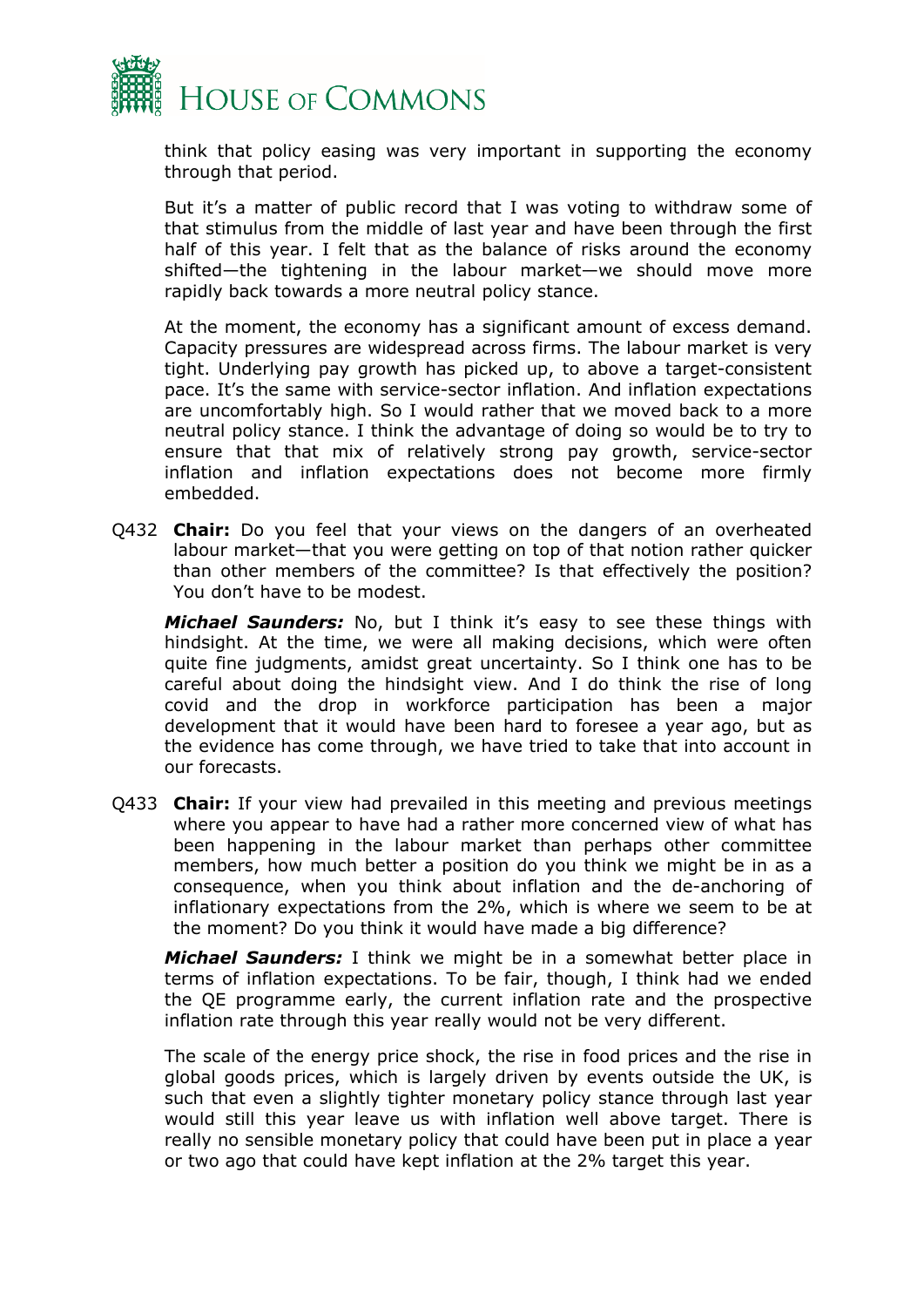

think that policy easing was very important in supporting the economy through that period.

But it's a matter of public record that I was voting to withdraw some of that stimulus from the middle of last year and have been through the first half of this year. I felt that as the balance of risks around the economy shifted—the tightening in the labour market—we should move more rapidly back towards a more neutral policy stance.

At the moment, the economy has a significant amount of excess demand. Capacity pressures are widespread across firms. The labour market is very tight. Underlying pay growth has picked up, to above a target-consistent pace. It's the same with service-sector inflation. And inflation expectations are uncomfortably high. So I would rather that we moved back to a more neutral policy stance. I think the advantage of doing so would be to try to ensure that that mix of relatively strong pay growth, service-sector inflation and inflation expectations does not become more firmly embedded.

Q432 **Chair:** Do you feel that your views on the dangers of an overheated labour market—that you were getting on top of that notion rather quicker than other members of the committee? Is that effectively the position? You don't have to be modest.

*Michael Saunders:* No, but I think it's easy to see these things with hindsight. At the time, we were all making decisions, which were often quite fine judgments, amidst great uncertainty. So I think one has to be careful about doing the hindsight view. And I do think the rise of long covid and the drop in workforce participation has been a major development that it would have been hard to foresee a year ago, but as the evidence has come through, we have tried to take that into account in our forecasts.

Q433 **Chair:** If your view had prevailed in this meeting and previous meetings where you appear to have had a rather more concerned view of what has been happening in the labour market than perhaps other committee members, how much better a position do you think we might be in as a consequence, when you think about inflation and the de-anchoring of inflationary expectations from the 2%, which is where we seem to be at the moment? Do you think it would have made a big difference?

*Michael Saunders:* I think we might be in a somewhat better place in terms of inflation expectations. To be fair, though, I think had we ended the QE programme early, the current inflation rate and the prospective inflation rate through this year really would not be very different.

The scale of the energy price shock, the rise in food prices and the rise in global goods prices, which is largely driven by events outside the UK, is such that even a slightly tighter monetary policy stance through last year would still this year leave us with inflation well above target. There is really no sensible monetary policy that could have been put in place a year or two ago that could have kept inflation at the 2% target this year.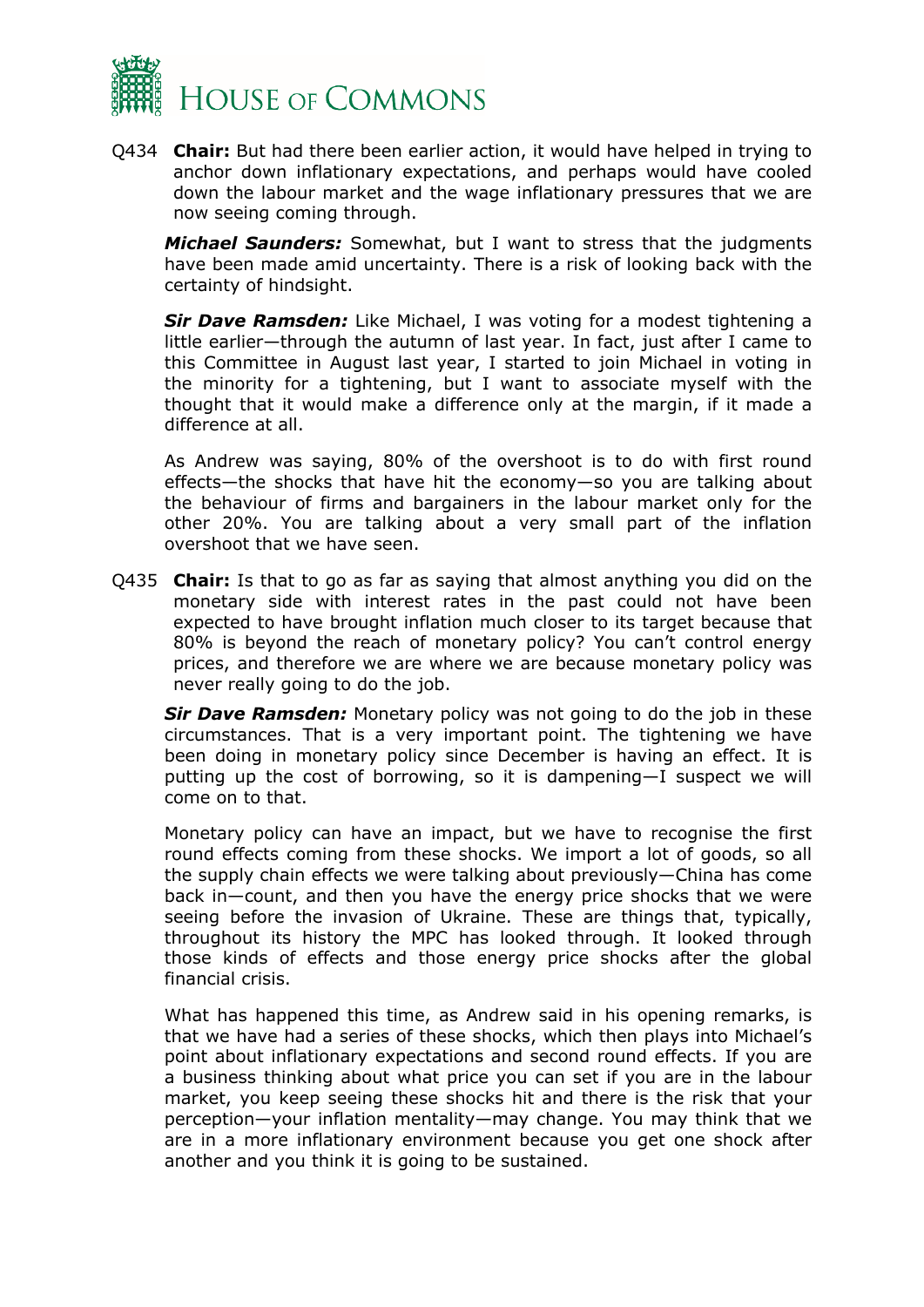

Q434 **Chair:** But had there been earlier action, it would have helped in trying to anchor down inflationary expectations, and perhaps would have cooled down the labour market and the wage inflationary pressures that we are now seeing coming through.

*Michael Saunders:* Somewhat, but I want to stress that the judgments have been made amid uncertainty. There is a risk of looking back with the certainty of hindsight.

*Sir Dave Ramsden:* Like Michael, I was voting for a modest tightening a little earlier—through the autumn of last year. In fact, just after I came to this Committee in August last year, I started to join Michael in voting in the minority for a tightening, but I want to associate myself with the thought that it would make a difference only at the margin, if it made a difference at all.

As Andrew was saying, 80% of the overshoot is to do with first round effects—the shocks that have hit the economy—so you are talking about the behaviour of firms and bargainers in the labour market only for the other 20%. You are talking about a very small part of the inflation overshoot that we have seen.

Q435 **Chair:** Is that to go as far as saying that almost anything you did on the monetary side with interest rates in the past could not have been expected to have brought inflation much closer to its target because that 80% is beyond the reach of monetary policy? You can't control energy prices, and therefore we are where we are because monetary policy was never really going to do the job.

*Sir Dave Ramsden:* Monetary policy was not going to do the job in these circumstances. That is a very important point. The tightening we have been doing in monetary policy since December is having an effect. It is putting up the cost of borrowing, so it is dampening—I suspect we will come on to that.

Monetary policy can have an impact, but we have to recognise the first round effects coming from these shocks. We import a lot of goods, so all the supply chain effects we were talking about previously—China has come back in—count, and then you have the energy price shocks that we were seeing before the invasion of Ukraine. These are things that, typically, throughout its history the MPC has looked through. It looked through those kinds of effects and those energy price shocks after the global financial crisis.

What has happened this time, as Andrew said in his opening remarks, is that we have had a series of these shocks, which then plays into Michael's point about inflationary expectations and second round effects. If you are a business thinking about what price you can set if you are in the labour market, you keep seeing these shocks hit and there is the risk that your perception—your inflation mentality—may change. You may think that we are in a more inflationary environment because you get one shock after another and you think it is going to be sustained.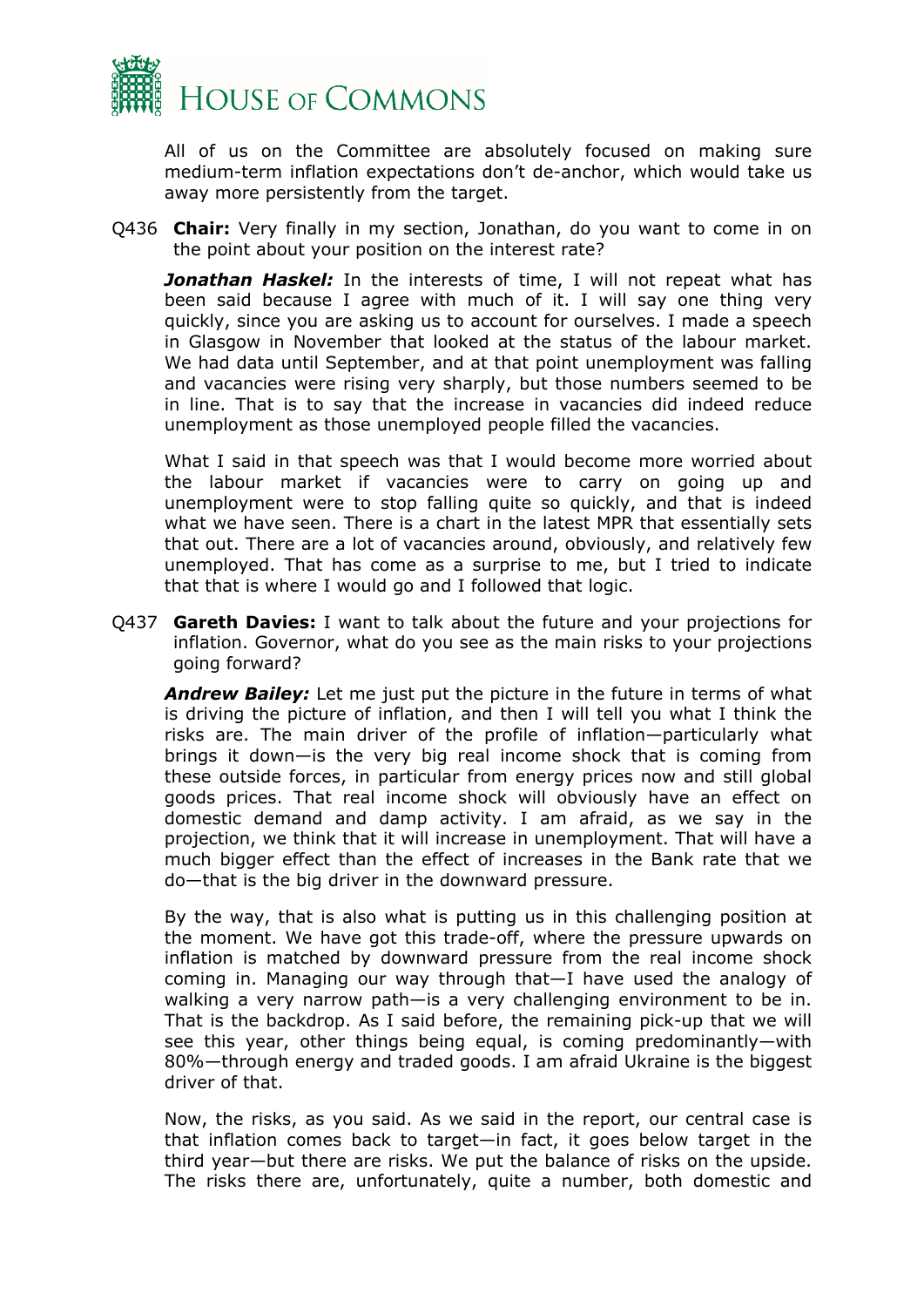

All of us on the Committee are absolutely focused on making sure medium-term inflation expectations don't de-anchor, which would take us away more persistently from the target.

Q436 **Chair:** Very finally in my section, Jonathan, do you want to come in on the point about your position on the interest rate?

**Jonathan Haskel:** In the interests of time, I will not repeat what has been said because I agree with much of it. I will say one thing very quickly, since you are asking us to account for ourselves. I made a speech in Glasgow in November that looked at the status of the labour market. We had data until September, and at that point unemployment was falling and vacancies were rising very sharply, but those numbers seemed to be in line. That is to say that the increase in vacancies did indeed reduce unemployment as those unemployed people filled the vacancies.

What I said in that speech was that I would become more worried about the labour market if vacancies were to carry on going up and unemployment were to stop falling quite so quickly, and that is indeed what we have seen. There is a chart in the latest MPR that essentially sets that out. There are a lot of vacancies around, obviously, and relatively few unemployed. That has come as a surprise to me, but I tried to indicate that that is where I would go and I followed that logic.

Q437 **Gareth Davies:** I want to talk about the future and your projections for inflation. Governor, what do you see as the main risks to your projections going forward?

*Andrew Bailey:* Let me just put the picture in the future in terms of what is driving the picture of inflation, and then I will tell you what I think the risks are. The main driver of the profile of inflation—particularly what brings it down—is the very big real income shock that is coming from these outside forces, in particular from energy prices now and still global goods prices. That real income shock will obviously have an effect on domestic demand and damp activity. I am afraid, as we say in the projection, we think that it will increase in unemployment. That will have a much bigger effect than the effect of increases in the Bank rate that we do—that is the big driver in the downward pressure.

By the way, that is also what is putting us in this challenging position at the moment. We have got this trade-off, where the pressure upwards on inflation is matched by downward pressure from the real income shock coming in. Managing our way through that—I have used the analogy of walking a very narrow path—is a very challenging environment to be in. That is the backdrop. As I said before, the remaining pick-up that we will see this year, other things being equal, is coming predominantly—with 80%—through energy and traded goods. I am afraid Ukraine is the biggest driver of that.

Now, the risks, as you said. As we said in the report, our central case is that inflation comes back to target—in fact, it goes below target in the third year—but there are risks. We put the balance of risks on the upside. The risks there are, unfortunately, quite a number, both domestic and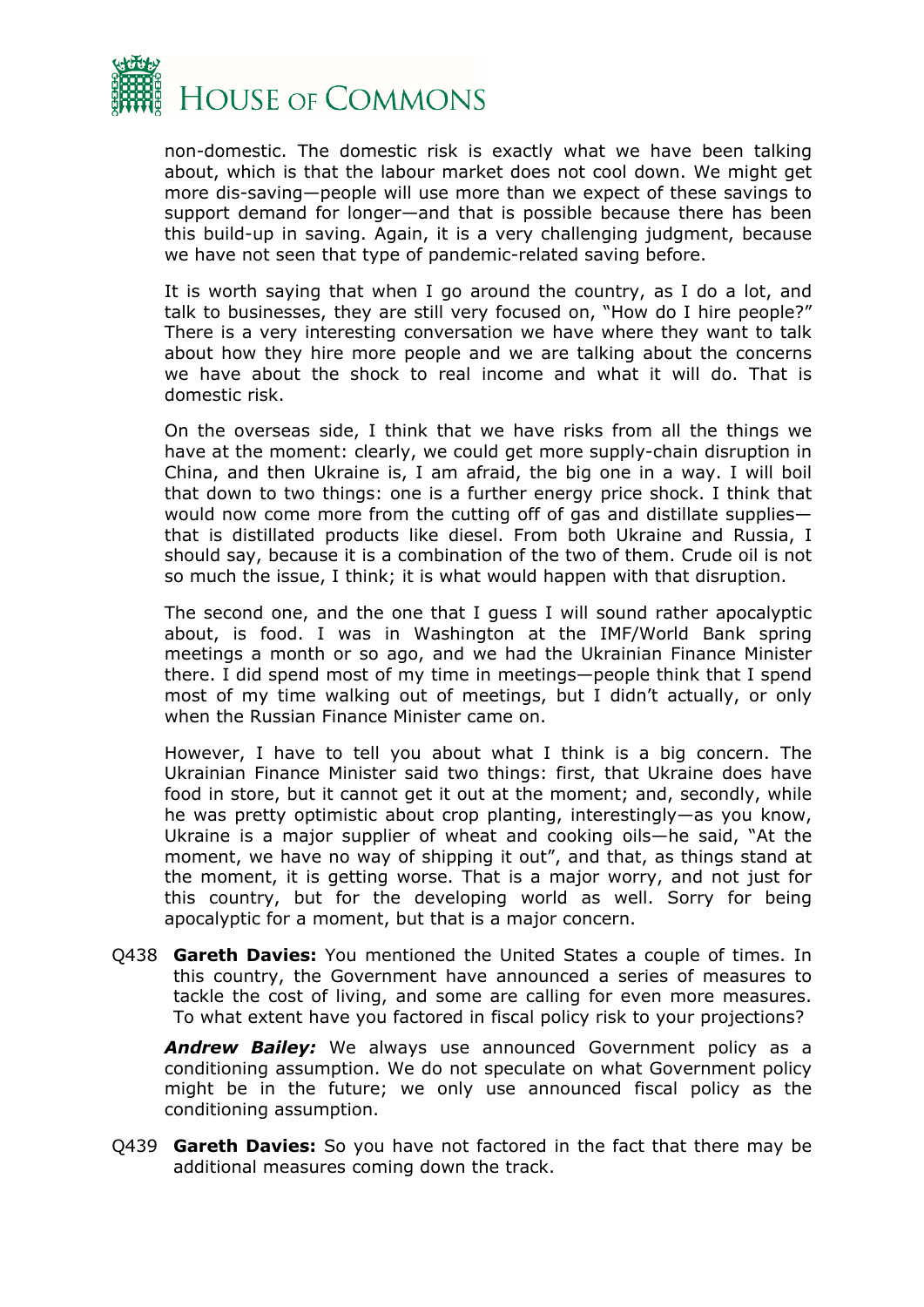

non-domestic. The domestic risk is exactly what we have been talking about, which is that the labour market does not cool down. We might get more dis-saving—people will use more than we expect of these savings to support demand for longer—and that is possible because there has been this build-up in saving. Again, it is a very challenging judgment, because we have not seen that type of pandemic-related saving before.

It is worth saying that when I go around the country, as I do a lot, and talk to businesses, they are still very focused on, "How do I hire people?" There is a very interesting conversation we have where they want to talk about how they hire more people and we are talking about the concerns we have about the shock to real income and what it will do. That is domestic risk.

On the overseas side, I think that we have risks from all the things we have at the moment: clearly, we could get more supply-chain disruption in China, and then Ukraine is, I am afraid, the big one in a way. I will boil that down to two things: one is a further energy price shock. I think that would now come more from the cutting off of gas and distillate supplies that is distillated products like diesel. From both Ukraine and Russia, I should say, because it is a combination of the two of them. Crude oil is not so much the issue, I think; it is what would happen with that disruption.

The second one, and the one that I guess I will sound rather apocalyptic about, is food. I was in Washington at the IMF/World Bank spring meetings a month or so ago, and we had the Ukrainian Finance Minister there. I did spend most of my time in meetings—people think that I spend most of my time walking out of meetings, but I didn't actually, or only when the Russian Finance Minister came on.

However, I have to tell you about what I think is a big concern. The Ukrainian Finance Minister said two things: first, that Ukraine does have food in store, but it cannot get it out at the moment; and, secondly, while he was pretty optimistic about crop planting, interestingly—as you know, Ukraine is a major supplier of wheat and cooking oils—he said, "At the moment, we have no way of shipping it out", and that, as things stand at the moment, it is getting worse. That is a major worry, and not just for this country, but for the developing world as well. Sorry for being apocalyptic for a moment, but that is a major concern.

Q438 **Gareth Davies:** You mentioned the United States a couple of times. In this country, the Government have announced a series of measures to tackle the cost of living, and some are calling for even more measures. To what extent have you factored in fiscal policy risk to your projections?

*Andrew Bailey:* We always use announced Government policy as a conditioning assumption. We do not speculate on what Government policy might be in the future; we only use announced fiscal policy as the conditioning assumption.

Q439 **Gareth Davies:** So you have not factored in the fact that there may be additional measures coming down the track.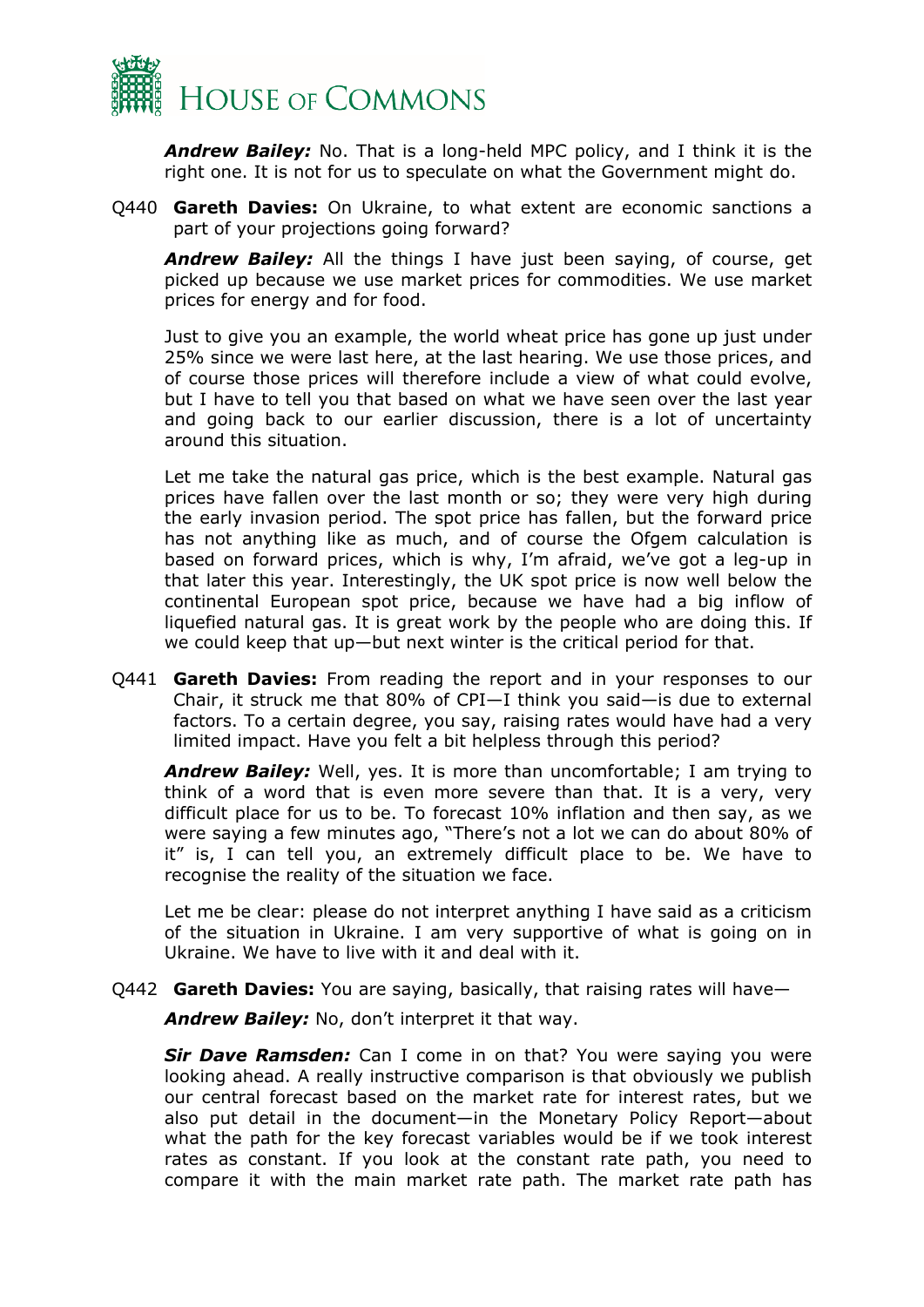

*Andrew Bailey:* No. That is a long-held MPC policy, and I think it is the right one. It is not for us to speculate on what the Government might do.

Q440 **Gareth Davies:** On Ukraine, to what extent are economic sanctions a part of your projections going forward?

*Andrew Bailey:* All the things I have just been saying, of course, get picked up because we use market prices for commodities. We use market prices for energy and for food.

Just to give you an example, the world wheat price has gone up just under 25% since we were last here, at the last hearing. We use those prices, and of course those prices will therefore include a view of what could evolve, but I have to tell you that based on what we have seen over the last year and going back to our earlier discussion, there is a lot of uncertainty around this situation.

Let me take the natural gas price, which is the best example. Natural gas prices have fallen over the last month or so; they were very high during the early invasion period. The spot price has fallen, but the forward price has not anything like as much, and of course the Ofgem calculation is based on forward prices, which is why, I'm afraid, we've got a leg-up in that later this year. Interestingly, the UK spot price is now well below the continental European spot price, because we have had a big inflow of liquefied natural gas. It is great work by the people who are doing this. If we could keep that up—but next winter is the critical period for that.

Q441 **Gareth Davies:** From reading the report and in your responses to our Chair, it struck me that 80% of CPI—I think you said—is due to external factors. To a certain degree, you say, raising rates would have had a very limited impact. Have you felt a bit helpless through this period?

*Andrew Bailey:* Well, yes. It is more than uncomfortable; I am trying to think of a word that is even more severe than that. It is a very, very difficult place for us to be. To forecast 10% inflation and then say, as we were saying a few minutes ago, "There's not a lot we can do about 80% of it" is, I can tell you, an extremely difficult place to be. We have to recognise the reality of the situation we face.

Let me be clear: please do not interpret anything I have said as a criticism of the situation in Ukraine. I am very supportive of what is going on in Ukraine. We have to live with it and deal with it.

Q442 **Gareth Davies:** You are saying, basically, that raising rates will have—

*Andrew Bailey:* No, don't interpret it that way.

*Sir Dave Ramsden:* Can I come in on that? You were saying you were looking ahead. A really instructive comparison is that obviously we publish our central forecast based on the market rate for interest rates, but we also put detail in the document—in the Monetary Policy Report—about what the path for the key forecast variables would be if we took interest rates as constant. If you look at the constant rate path, you need to compare it with the main market rate path. The market rate path has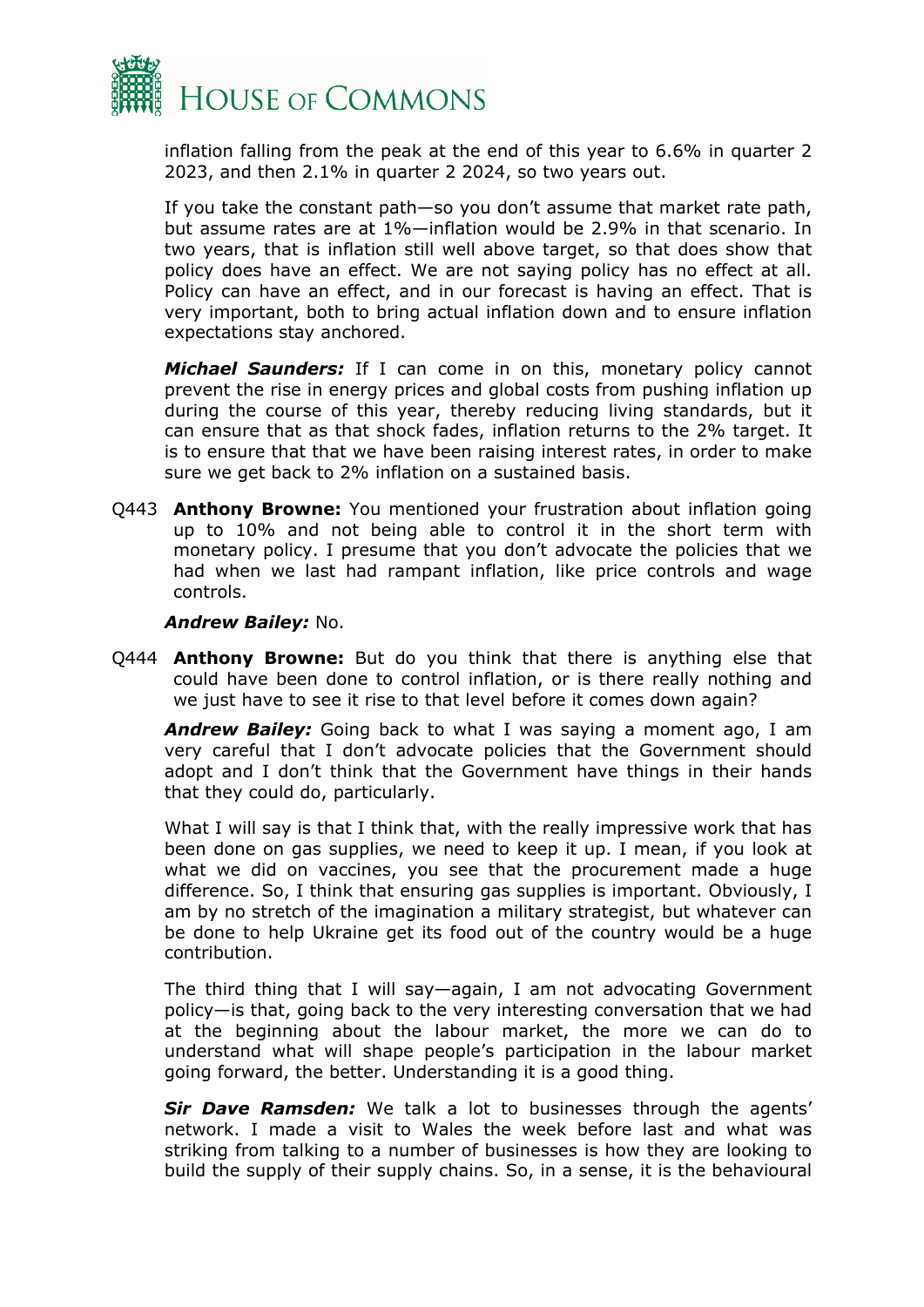

inflation falling from the peak at the end of this year to 6.6% in quarter 2 2023, and then 2.1% in quarter 2 2024, so two years out.

If you take the constant path—so you don't assume that market rate path, but assume rates are at 1%—inflation would be 2.9% in that scenario. In two years, that is inflation still well above target, so that does show that policy does have an effect. We are not saying policy has no effect at all. Policy can have an effect, and in our forecast is having an effect. That is very important, both to bring actual inflation down and to ensure inflation expectations stay anchored.

*Michael Saunders:* If I can come in on this, monetary policy cannot prevent the rise in energy prices and global costs from pushing inflation up during the course of this year, thereby reducing living standards, but it can ensure that as that shock fades, inflation returns to the 2% target. It is to ensure that that we have been raising interest rates, in order to make sure we get back to 2% inflation on a sustained basis.

Q443 **Anthony Browne:** You mentioned your frustration about inflation going up to 10% and not being able to control it in the short term with monetary policy. I presume that you don't advocate the policies that we had when we last had rampant inflation, like price controls and wage controls.

#### *Andrew Bailey:* No.

Q444 **Anthony Browne:** But do you think that there is anything else that could have been done to control inflation, or is there really nothing and we just have to see it rise to that level before it comes down again?

*Andrew Bailey:* Going back to what I was saying a moment ago, I am very careful that I don't advocate policies that the Government should adopt and I don't think that the Government have things in their hands that they could do, particularly.

What I will say is that I think that, with the really impressive work that has been done on gas supplies, we need to keep it up. I mean, if you look at what we did on vaccines, you see that the procurement made a huge difference. So, I think that ensuring gas supplies is important. Obviously, I am by no stretch of the imagination a military strategist, but whatever can be done to help Ukraine get its food out of the country would be a huge contribution.

The third thing that I will say—again, I am not advocating Government policy—is that, going back to the very interesting conversation that we had at the beginning about the labour market, the more we can do to understand what will shape people's participation in the labour market going forward, the better. Understanding it is a good thing.

*Sir Dave Ramsden:* We talk a lot to businesses through the agents' network. I made a visit to Wales the week before last and what was striking from talking to a number of businesses is how they are looking to build the supply of their supply chains. So, in a sense, it is the behavioural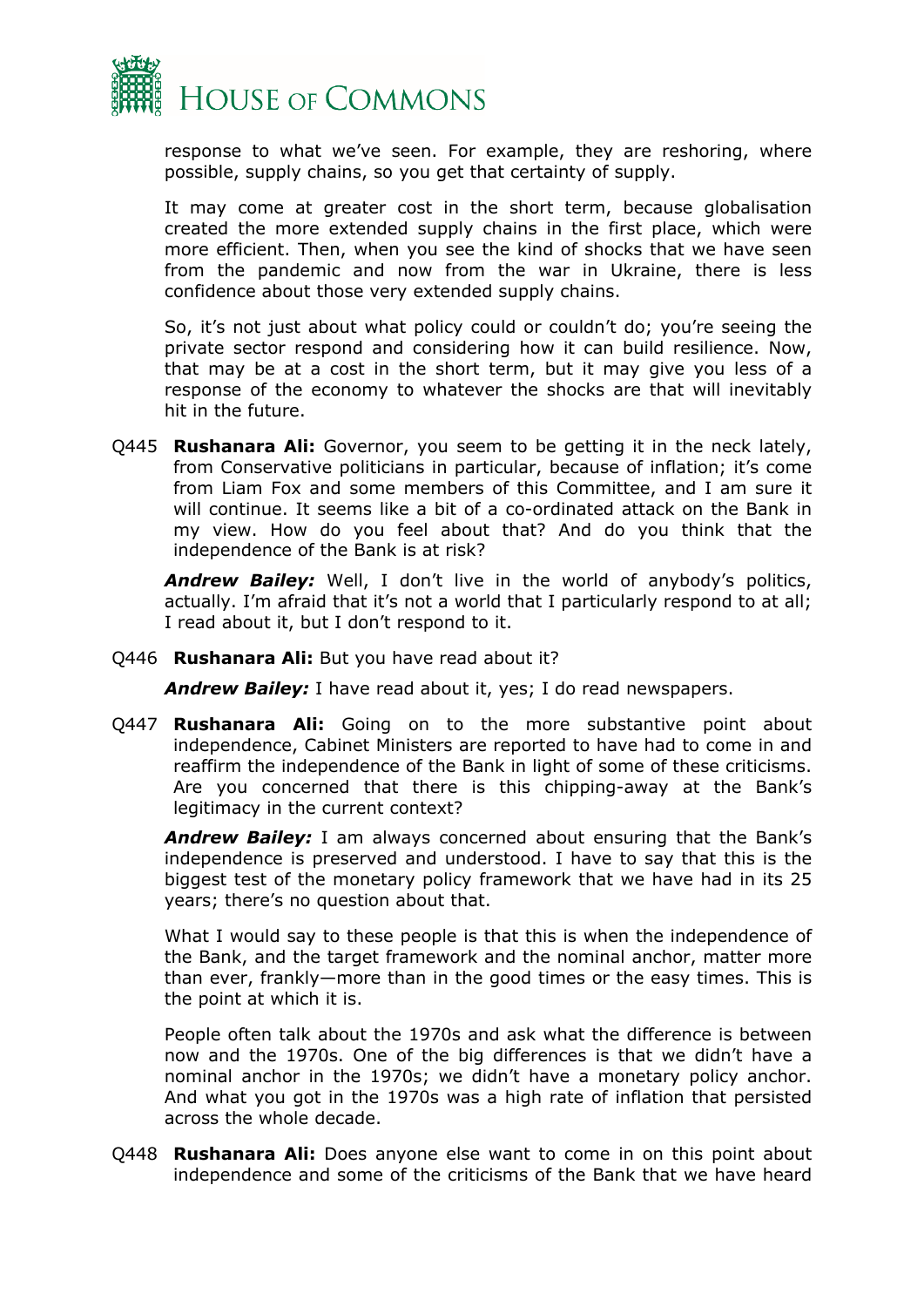

response to what we've seen. For example, they are reshoring, where possible, supply chains, so you get that certainty of supply.

It may come at greater cost in the short term, because globalisation created the more extended supply chains in the first place, which were more efficient. Then, when you see the kind of shocks that we have seen from the pandemic and now from the war in Ukraine, there is less confidence about those very extended supply chains.

So, it's not just about what policy could or couldn't do; you're seeing the private sector respond and considering how it can build resilience. Now, that may be at a cost in the short term, but it may give you less of a response of the economy to whatever the shocks are that will inevitably hit in the future.

Q445 **Rushanara Ali:** Governor, you seem to be getting it in the neck lately, from Conservative politicians in particular, because of inflation; it's come from Liam Fox and some members of this Committee, and I am sure it will continue. It seems like a bit of a co-ordinated attack on the Bank in my view. How do you feel about that? And do you think that the independence of the Bank is at risk?

*Andrew Bailey:* Well, I don't live in the world of anybody's politics, actually. I'm afraid that it's not a world that I particularly respond to at all; I read about it, but I don't respond to it.

Q446 **Rushanara Ali:** But you have read about it?

*Andrew Bailey:* I have read about it, yes; I do read newspapers.

Q447 **Rushanara Ali:** Going on to the more substantive point about independence, Cabinet Ministers are reported to have had to come in and reaffirm the independence of the Bank in light of some of these criticisms. Are you concerned that there is this chipping-away at the Bank's legitimacy in the current context?

*Andrew Bailey:* I am always concerned about ensuring that the Bank's independence is preserved and understood. I have to say that this is the biggest test of the monetary policy framework that we have had in its 25 years; there's no question about that.

What I would say to these people is that this is when the independence of the Bank, and the target framework and the nominal anchor, matter more than ever, frankly—more than in the good times or the easy times. This is the point at which it is.

People often talk about the 1970s and ask what the difference is between now and the 1970s. One of the big differences is that we didn't have a nominal anchor in the 1970s; we didn't have a monetary policy anchor. And what you got in the 1970s was a high rate of inflation that persisted across the whole decade.

Q448 **Rushanara Ali:** Does anyone else want to come in on this point about independence and some of the criticisms of the Bank that we have heard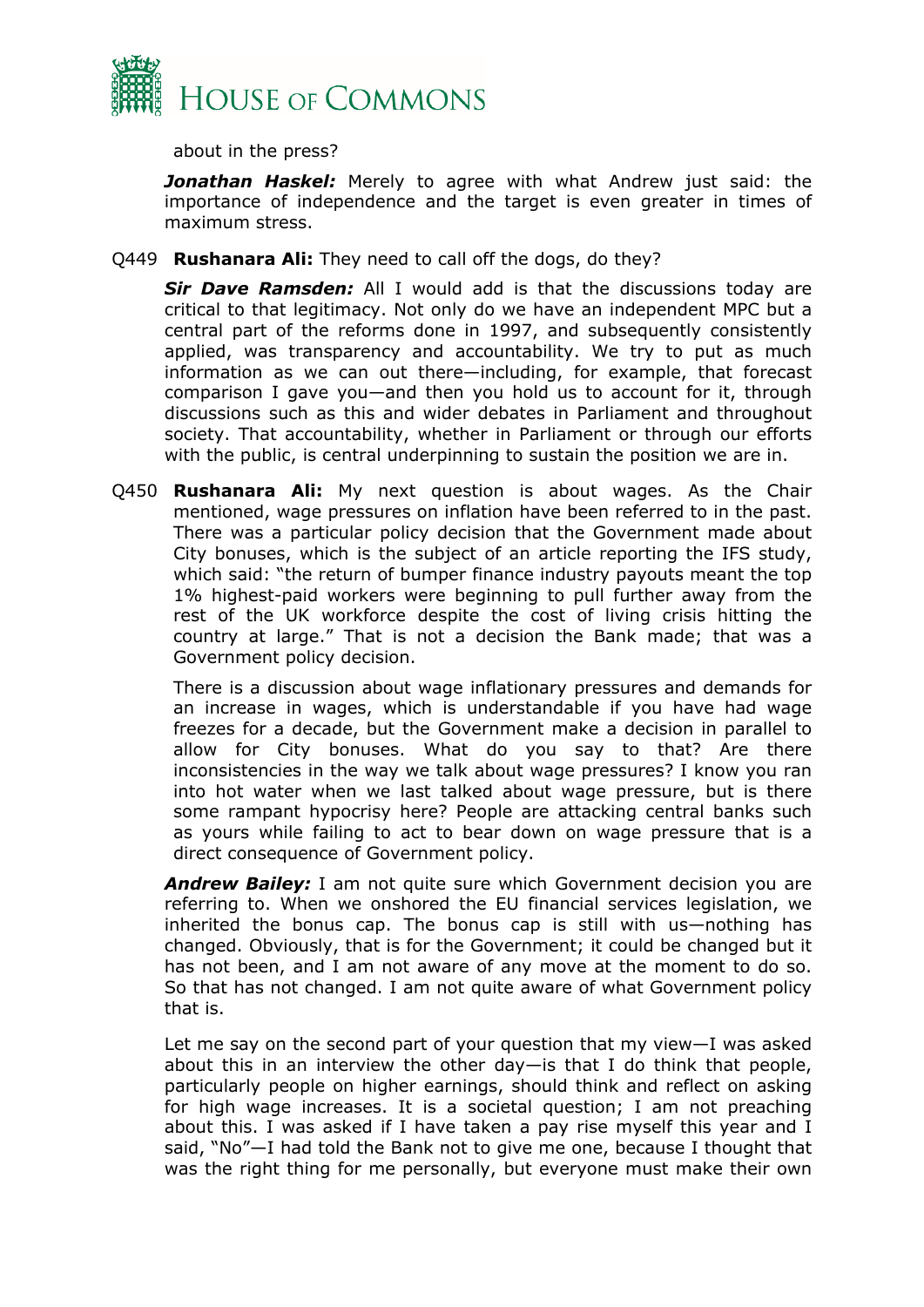

about in the press?

*Jonathan Haskel:* Merely to agree with what Andrew just said: the importance of independence and the target is even greater in times of maximum stress.

Q449 **Rushanara Ali:** They need to call off the dogs, do they?

*Sir Dave Ramsden:* All I would add is that the discussions today are critical to that legitimacy. Not only do we have an independent MPC but a central part of the reforms done in 1997, and subsequently consistently applied, was transparency and accountability. We try to put as much information as we can out there—including, for example, that forecast comparison I gave you—and then you hold us to account for it, through discussions such as this and wider debates in Parliament and throughout society. That accountability, whether in Parliament or through our efforts with the public, is central underpinning to sustain the position we are in.

Q450 **Rushanara Ali:** My next question is about wages. As the Chair mentioned, wage pressures on inflation have been referred to in the past. There was a particular policy decision that the Government made about City bonuses, which is the subject of an article reporting the IFS study, which said: "the return of bumper finance industry payouts meant the top 1% highest-paid workers were beginning to pull further away from the rest of the UK workforce despite the cost of living crisis hitting the country at large." That is not a decision the Bank made; that was a Government policy decision.

There is a discussion about wage inflationary pressures and demands for an increase in wages, which is understandable if you have had wage freezes for a decade, but the Government make a decision in parallel to allow for City bonuses. What do you say to that? Are there inconsistencies in the way we talk about wage pressures? I know you ran into hot water when we last talked about wage pressure, but is there some rampant hypocrisy here? People are attacking central banks such as yours while failing to act to bear down on wage pressure that is a direct consequence of Government policy.

*Andrew Bailey:* I am not quite sure which Government decision you are referring to. When we onshored the EU financial services legislation, we inherited the bonus cap. The bonus cap is still with us—nothing has changed. Obviously, that is for the Government; it could be changed but it has not been, and I am not aware of any move at the moment to do so. So that has not changed. I am not quite aware of what Government policy that is.

Let me say on the second part of your question that my view—I was asked about this in an interview the other day—is that I do think that people, particularly people on higher earnings, should think and reflect on asking for high wage increases. It is a societal question; I am not preaching about this. I was asked if I have taken a pay rise myself this year and I said, "No"—I had told the Bank not to give me one, because I thought that was the right thing for me personally, but everyone must make their own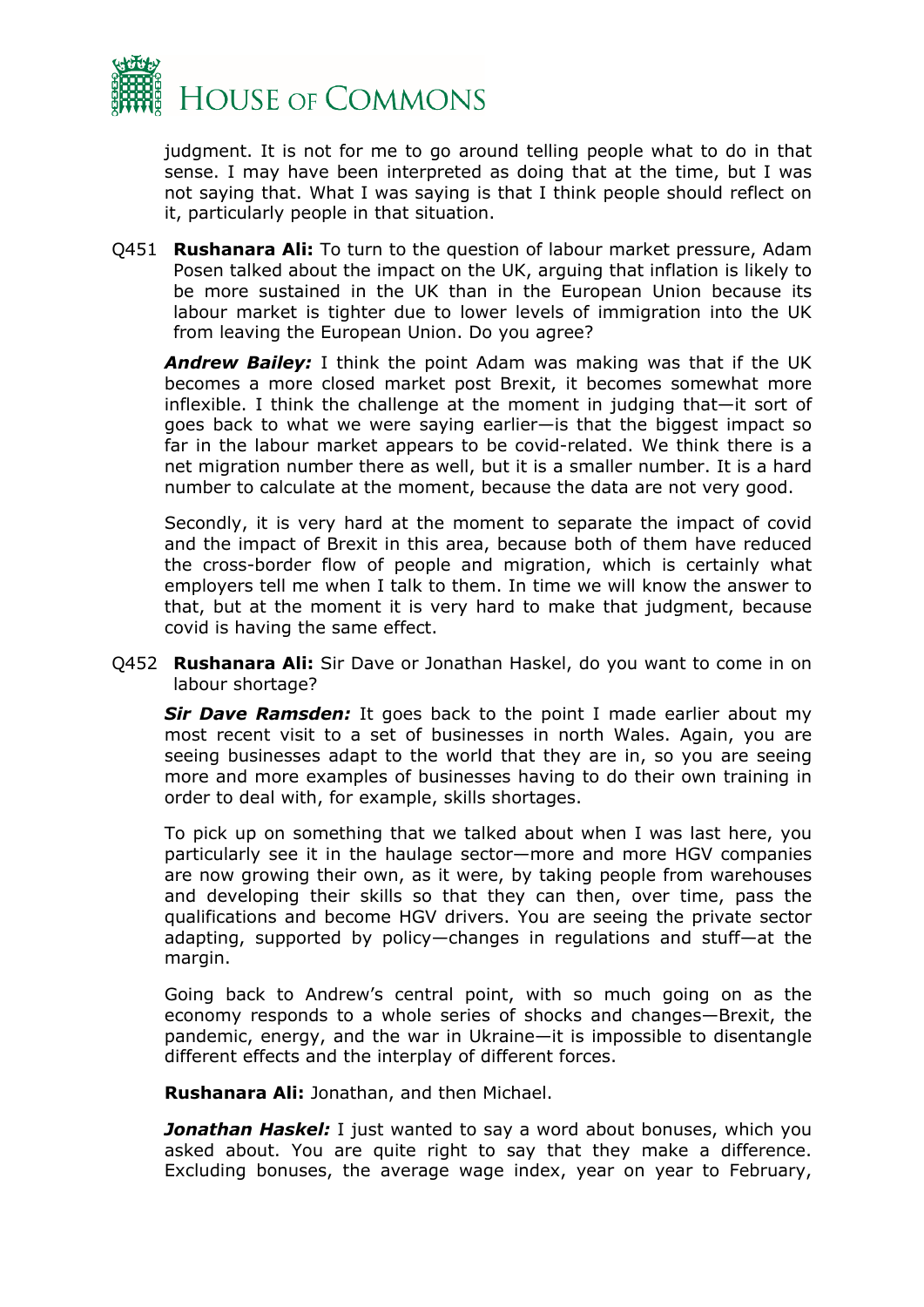

judgment. It is not for me to go around telling people what to do in that sense. I may have been interpreted as doing that at the time, but I was not saying that. What I was saying is that I think people should reflect on it, particularly people in that situation.

Q451 **Rushanara Ali:** To turn to the question of labour market pressure, Adam Posen talked about the impact on the UK, arguing that inflation is likely to be more sustained in the UK than in the European Union because its labour market is tighter due to lower levels of immigration into the UK from leaving the European Union. Do you agree?

*Andrew Bailey:* I think the point Adam was making was that if the UK becomes a more closed market post Brexit, it becomes somewhat more inflexible. I think the challenge at the moment in judging that—it sort of goes back to what we were saying earlier—is that the biggest impact so far in the labour market appears to be covid-related. We think there is a net migration number there as well, but it is a smaller number. It is a hard number to calculate at the moment, because the data are not very good.

Secondly, it is very hard at the moment to separate the impact of covid and the impact of Brexit in this area, because both of them have reduced the cross-border flow of people and migration, which is certainly what employers tell me when I talk to them. In time we will know the answer to that, but at the moment it is very hard to make that judgment, because covid is having the same effect.

Q452 **Rushanara Ali:** Sir Dave or Jonathan Haskel, do you want to come in on labour shortage?

**Sir Dave Ramsden:** It goes back to the point I made earlier about my most recent visit to a set of businesses in north Wales. Again, you are seeing businesses adapt to the world that they are in, so you are seeing more and more examples of businesses having to do their own training in order to deal with, for example, skills shortages.

To pick up on something that we talked about when I was last here, you particularly see it in the haulage sector—more and more HGV companies are now growing their own, as it were, by taking people from warehouses and developing their skills so that they can then, over time, pass the qualifications and become HGV drivers. You are seeing the private sector adapting, supported by policy—changes in regulations and stuff—at the margin.

Going back to Andrew's central point, with so much going on as the economy responds to a whole series of shocks and changes—Brexit, the pandemic, energy, and the war in Ukraine—it is impossible to disentangle different effects and the interplay of different forces.

**Rushanara Ali:** Jonathan, and then Michael.

*Jonathan Haskel:* I just wanted to say a word about bonuses, which you asked about. You are quite right to say that they make a difference. Excluding bonuses, the average wage index, year on year to February,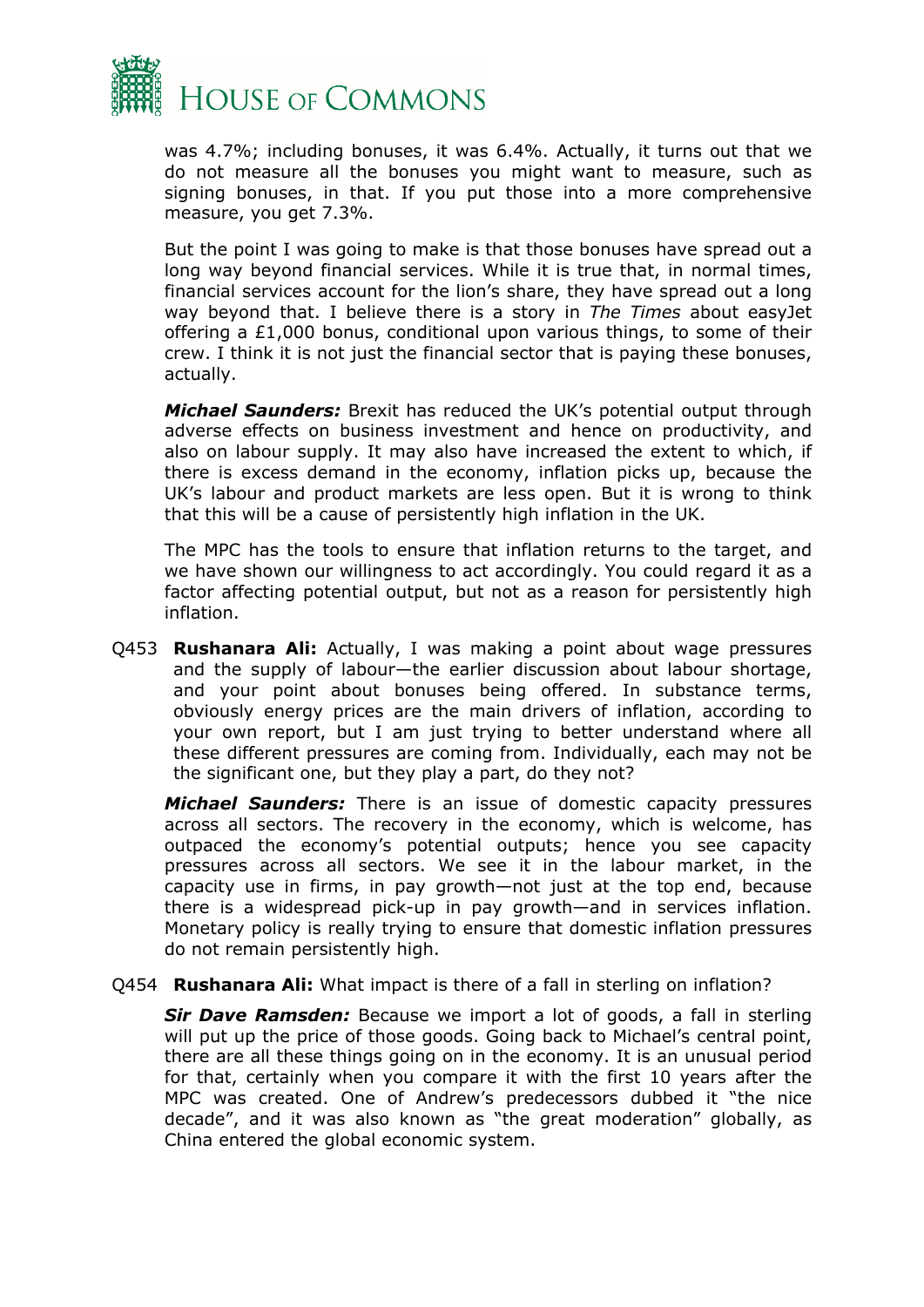

was 4.7%; including bonuses, it was 6.4%. Actually, it turns out that we do not measure all the bonuses you might want to measure, such as signing bonuses, in that. If you put those into a more comprehensive measure, you get 7.3%.

But the point I was going to make is that those bonuses have spread out a long way beyond financial services. While it is true that, in normal times, financial services account for the lion's share, they have spread out a long way beyond that. I believe there is a story in *The Times* about easyJet offering a £1,000 bonus, conditional upon various things, to some of their crew. I think it is not just the financial sector that is paying these bonuses, actually.

*Michael Saunders:* Brexit has reduced the UK's potential output through adverse effects on business investment and hence on productivity, and also on labour supply. It may also have increased the extent to which, if there is excess demand in the economy, inflation picks up, because the UK's labour and product markets are less open. But it is wrong to think that this will be a cause of persistently high inflation in the UK.

The MPC has the tools to ensure that inflation returns to the target, and we have shown our willingness to act accordingly. You could regard it as a factor affecting potential output, but not as a reason for persistently high inflation.

Q453 **Rushanara Ali:** Actually, I was making a point about wage pressures and the supply of labour—the earlier discussion about labour shortage, and your point about bonuses being offered. In substance terms, obviously energy prices are the main drivers of inflation, according to your own report, but I am just trying to better understand where all these different pressures are coming from. Individually, each may not be the significant one, but they play a part, do they not?

*Michael Saunders:* There is an issue of domestic capacity pressures across all sectors. The recovery in the economy, which is welcome, has outpaced the economy's potential outputs; hence you see capacity pressures across all sectors. We see it in the labour market, in the capacity use in firms, in pay growth—not just at the top end, because there is a widespread pick-up in pay growth—and in services inflation. Monetary policy is really trying to ensure that domestic inflation pressures do not remain persistently high.

#### Q454 **Rushanara Ali:** What impact is there of a fall in sterling on inflation?

*Sir Dave Ramsden:* Because we import a lot of goods, a fall in sterling will put up the price of those goods. Going back to Michael's central point, there are all these things going on in the economy. It is an unusual period for that, certainly when you compare it with the first 10 years after the MPC was created. One of Andrew's predecessors dubbed it "the nice decade", and it was also known as "the great moderation" globally, as China entered the global economic system.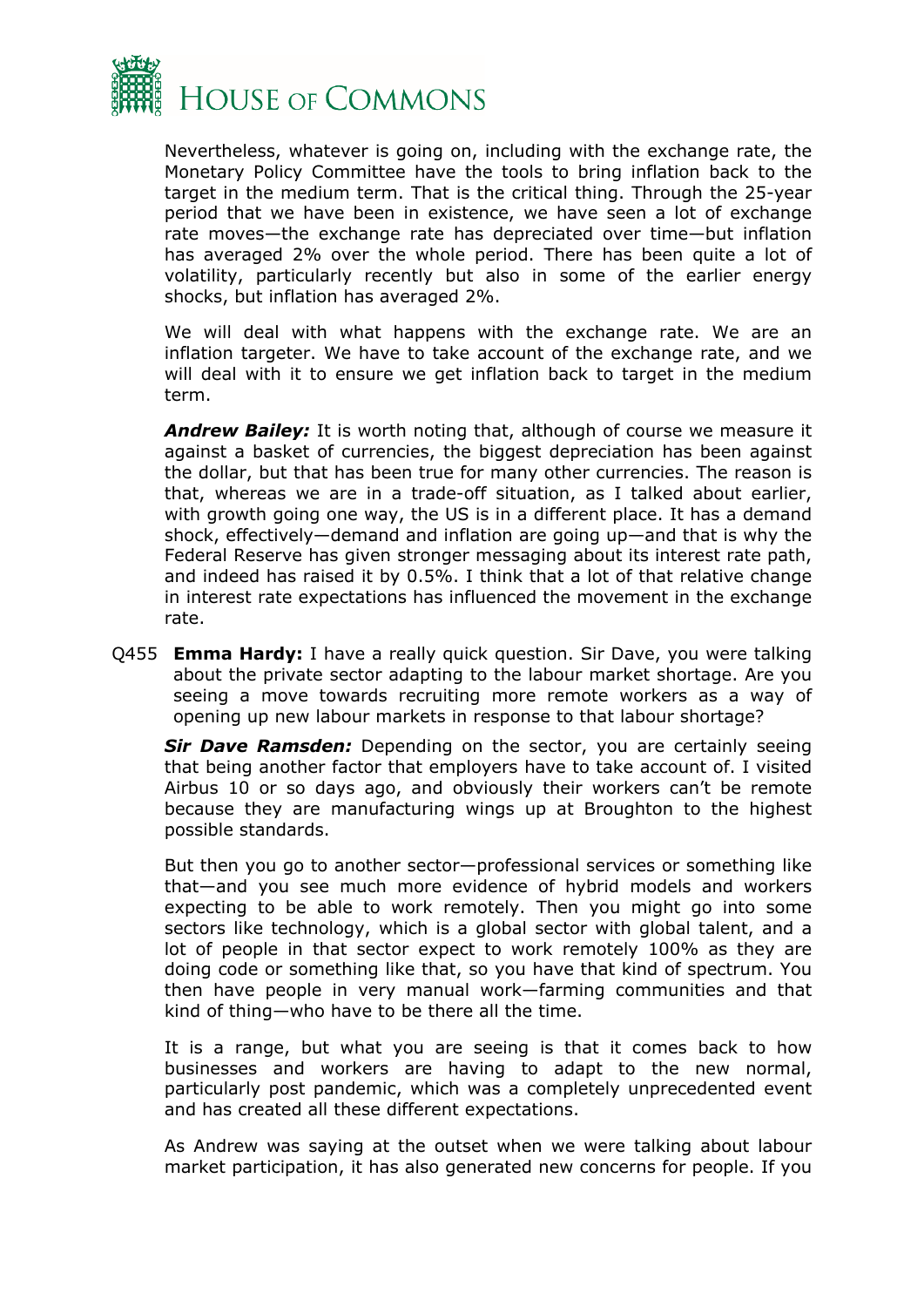

Nevertheless, whatever is going on, including with the exchange rate, the Monetary Policy Committee have the tools to bring inflation back to the target in the medium term. That is the critical thing. Through the 25-year period that we have been in existence, we have seen a lot of exchange rate moves—the exchange rate has depreciated over time—but inflation has averaged 2% over the whole period. There has been quite a lot of volatility, particularly recently but also in some of the earlier energy shocks, but inflation has averaged 2%.

We will deal with what happens with the exchange rate. We are an inflation targeter. We have to take account of the exchange rate, and we will deal with it to ensure we get inflation back to target in the medium term.

*Andrew Bailey:* It is worth noting that, although of course we measure it against a basket of currencies, the biggest depreciation has been against the dollar, but that has been true for many other currencies. The reason is that, whereas we are in a trade-off situation, as I talked about earlier, with growth going one way, the US is in a different place. It has a demand shock, effectively—demand and inflation are going up—and that is why the Federal Reserve has given stronger messaging about its interest rate path, and indeed has raised it by 0.5%. I think that a lot of that relative change in interest rate expectations has influenced the movement in the exchange rate.

Q455 **Emma Hardy:** I have a really quick question. Sir Dave, you were talking about the private sector adapting to the labour market shortage. Are you seeing a move towards recruiting more remote workers as a way of opening up new labour markets in response to that labour shortage?

*Sir Dave Ramsden:* Depending on the sector, you are certainly seeing that being another factor that employers have to take account of. I visited Airbus 10 or so days ago, and obviously their workers can't be remote because they are manufacturing wings up at Broughton to the highest possible standards.

But then you go to another sector—professional services or something like that—and you see much more evidence of hybrid models and workers expecting to be able to work remotely. Then you might go into some sectors like technology, which is a global sector with global talent, and a lot of people in that sector expect to work remotely 100% as they are doing code or something like that, so you have that kind of spectrum. You then have people in very manual work—farming communities and that kind of thing—who have to be there all the time.

It is a range, but what you are seeing is that it comes back to how businesses and workers are having to adapt to the new normal, particularly post pandemic, which was a completely unprecedented event and has created all these different expectations.

As Andrew was saying at the outset when we were talking about labour market participation, it has also generated new concerns for people. If you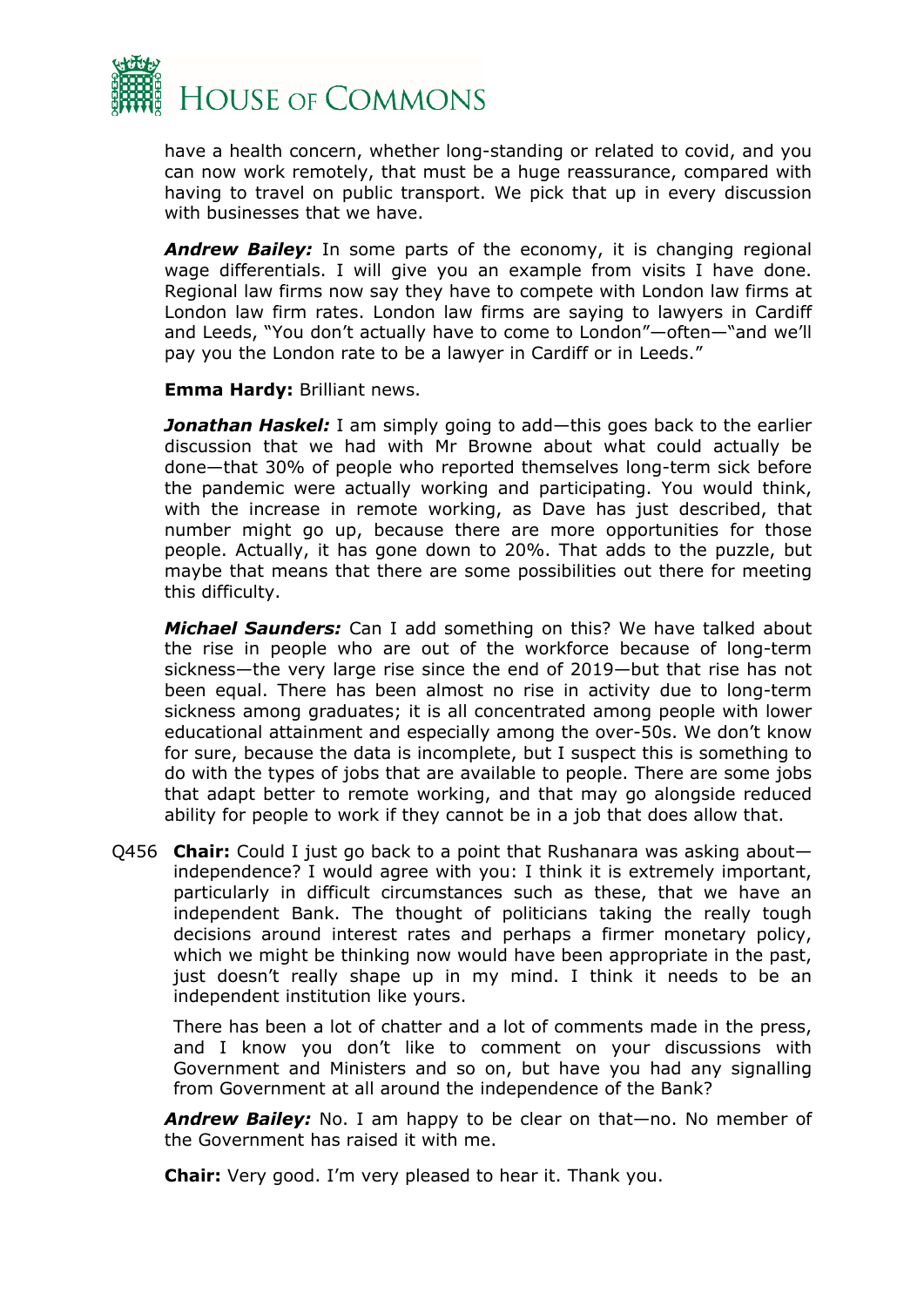

have a health concern, whether long-standing or related to covid, and you can now work remotely, that must be a huge reassurance, compared with having to travel on public transport. We pick that up in every discussion with businesses that we have.

*Andrew Bailey:* In some parts of the economy, it is changing regional wage differentials. I will give you an example from visits I have done. Regional law firms now say they have to compete with London law firms at London law firm rates. London law firms are saying to lawyers in Cardiff and Leeds, "You don't actually have to come to London"—often—"and we'll pay you the London rate to be a lawyer in Cardiff or in Leeds."

**Emma Hardy:** Brilliant news.

*Jonathan Haskel:* I am simply going to add—this goes back to the earlier discussion that we had with Mr Browne about what could actually be done—that 30% of people who reported themselves long-term sick before the pandemic were actually working and participating. You would think, with the increase in remote working, as Dave has just described, that number might go up, because there are more opportunities for those people. Actually, it has gone down to 20%. That adds to the puzzle, but maybe that means that there are some possibilities out there for meeting this difficulty.

*Michael Saunders:* Can I add something on this? We have talked about the rise in people who are out of the workforce because of long-term sickness—the very large rise since the end of 2019—but that rise has not been equal. There has been almost no rise in activity due to long-term sickness among graduates; it is all concentrated among people with lower educational attainment and especially among the over-50s. We don't know for sure, because the data is incomplete, but I suspect this is something to do with the types of jobs that are available to people. There are some jobs that adapt better to remote working, and that may go alongside reduced ability for people to work if they cannot be in a job that does allow that.

Q456 **Chair:** Could I just go back to a point that Rushanara was asking about independence? I would agree with you: I think it is extremely important, particularly in difficult circumstances such as these, that we have an independent Bank. The thought of politicians taking the really tough decisions around interest rates and perhaps a firmer monetary policy, which we might be thinking now would have been appropriate in the past, just doesn't really shape up in my mind. I think it needs to be an independent institution like yours.

There has been a lot of chatter and a lot of comments made in the press, and I know you don't like to comment on your discussions with Government and Ministers and so on, but have you had any signalling from Government at all around the independence of the Bank?

*Andrew Bailey:* No. I am happy to be clear on that—no. No member of the Government has raised it with me.

**Chair:** Very good. I'm very pleased to hear it. Thank you.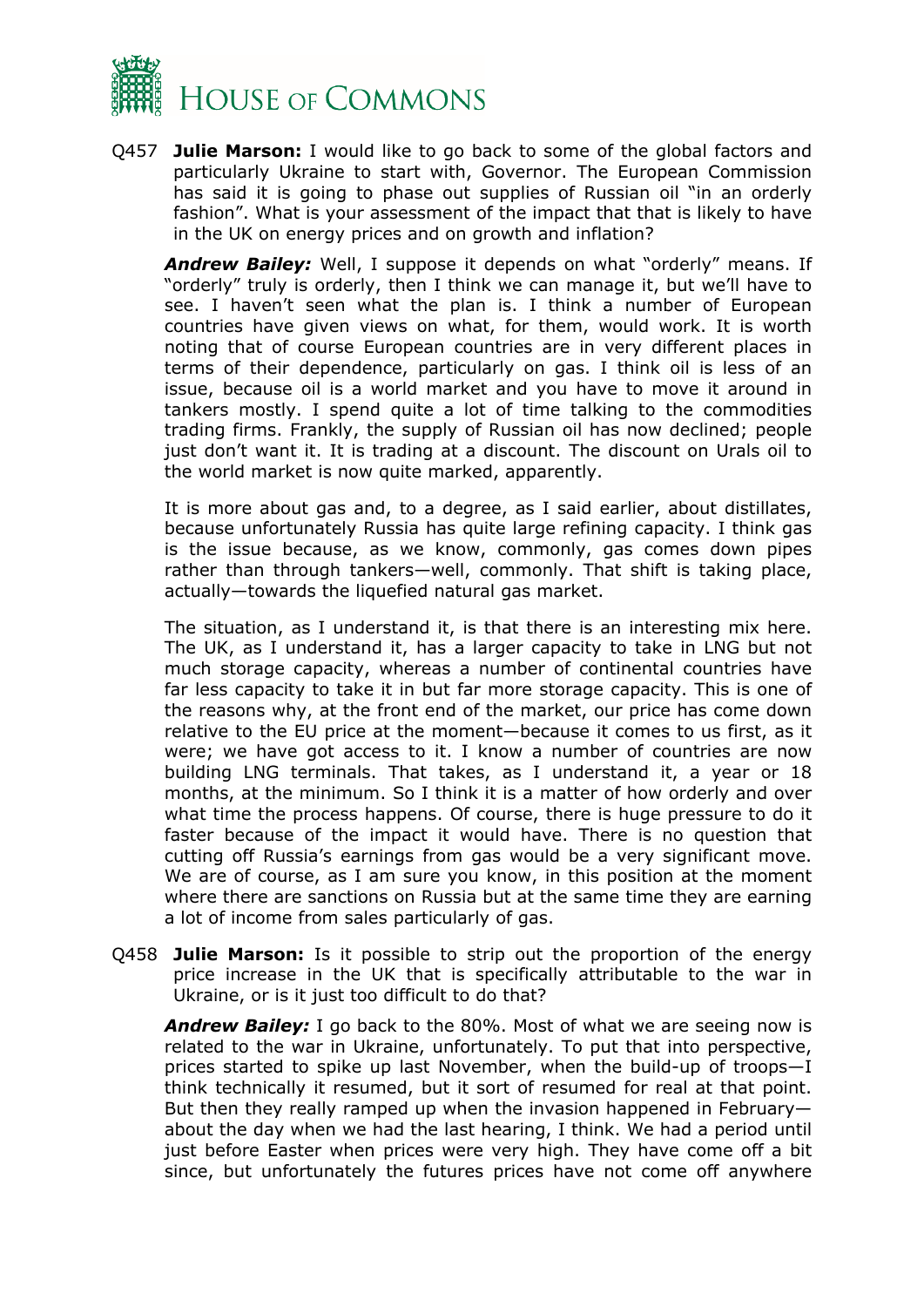

Q457 **Julie Marson:** I would like to go back to some of the global factors and particularly Ukraine to start with, Governor. The European Commission has said it is going to phase out supplies of Russian oil "in an orderly fashion". What is your assessment of the impact that that is likely to have in the UK on energy prices and on growth and inflation?

*Andrew Bailey:* Well, I suppose it depends on what "orderly" means. If "orderly" truly is orderly, then I think we can manage it, but we'll have to see. I haven't seen what the plan is. I think a number of European countries have given views on what, for them, would work. It is worth noting that of course European countries are in very different places in terms of their dependence, particularly on gas. I think oil is less of an issue, because oil is a world market and you have to move it around in tankers mostly. I spend quite a lot of time talking to the commodities trading firms. Frankly, the supply of Russian oil has now declined; people just don't want it. It is trading at a discount. The discount on Urals oil to the world market is now quite marked, apparently.

It is more about gas and, to a degree, as I said earlier, about distillates, because unfortunately Russia has quite large refining capacity. I think gas is the issue because, as we know, commonly, gas comes down pipes rather than through tankers—well, commonly. That shift is taking place, actually—towards the liquefied natural gas market.

The situation, as I understand it, is that there is an interesting mix here. The UK, as I understand it, has a larger capacity to take in LNG but not much storage capacity, whereas a number of continental countries have far less capacity to take it in but far more storage capacity. This is one of the reasons why, at the front end of the market, our price has come down relative to the EU price at the moment—because it comes to us first, as it were; we have got access to it. I know a number of countries are now building LNG terminals. That takes, as I understand it, a year or 18 months, at the minimum. So I think it is a matter of how orderly and over what time the process happens. Of course, there is huge pressure to do it faster because of the impact it would have. There is no question that cutting off Russia's earnings from gas would be a very significant move. We are of course, as I am sure you know, in this position at the moment where there are sanctions on Russia but at the same time they are earning a lot of income from sales particularly of gas.

Q458 **Julie Marson:** Is it possible to strip out the proportion of the energy price increase in the UK that is specifically attributable to the war in Ukraine, or is it just too difficult to do that?

*Andrew Bailey:* I go back to the 80%. Most of what we are seeing now is related to the war in Ukraine, unfortunately. To put that into perspective, prices started to spike up last November, when the build-up of troops—I think technically it resumed, but it sort of resumed for real at that point. But then they really ramped up when the invasion happened in February about the day when we had the last hearing, I think. We had a period until just before Easter when prices were very high. They have come off a bit since, but unfortunately the futures prices have not come off anywhere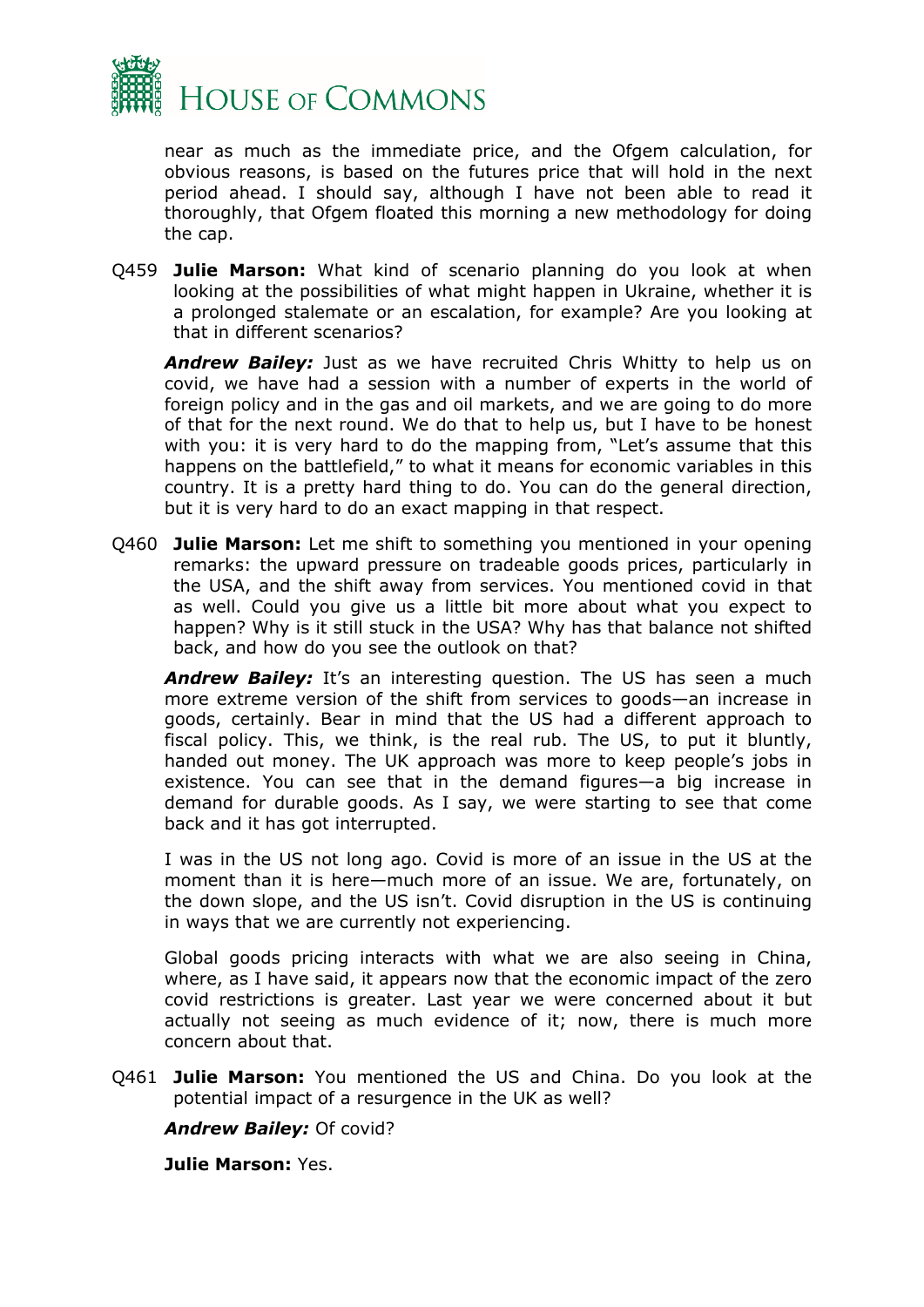

near as much as the immediate price, and the Ofgem calculation, for obvious reasons, is based on the futures price that will hold in the next period ahead. I should say, although I have not been able to read it thoroughly, that Ofgem floated this morning a new methodology for doing the cap.

Q459 **Julie Marson:** What kind of scenario planning do you look at when looking at the possibilities of what might happen in Ukraine, whether it is a prolonged stalemate or an escalation, for example? Are you looking at that in different scenarios?

*Andrew Bailey:* Just as we have recruited Chris Whitty to help us on covid, we have had a session with a number of experts in the world of foreign policy and in the gas and oil markets, and we are going to do more of that for the next round. We do that to help us, but I have to be honest with you: it is very hard to do the mapping from, "Let's assume that this happens on the battlefield," to what it means for economic variables in this country. It is a pretty hard thing to do. You can do the general direction, but it is very hard to do an exact mapping in that respect.

Q460 **Julie Marson:** Let me shift to something you mentioned in your opening remarks: the upward pressure on tradeable goods prices, particularly in the USA, and the shift away from services. You mentioned covid in that as well. Could you give us a little bit more about what you expect to happen? Why is it still stuck in the USA? Why has that balance not shifted back, and how do you see the outlook on that?

*Andrew Bailey:* It's an interesting question. The US has seen a much more extreme version of the shift from services to goods—an increase in goods, certainly. Bear in mind that the US had a different approach to fiscal policy. This, we think, is the real rub. The US, to put it bluntly, handed out money. The UK approach was more to keep people's jobs in existence. You can see that in the demand figures—a big increase in demand for durable goods. As I say, we were starting to see that come back and it has got interrupted.

I was in the US not long ago. Covid is more of an issue in the US at the moment than it is here—much more of an issue. We are, fortunately, on the down slope, and the US isn't. Covid disruption in the US is continuing in ways that we are currently not experiencing.

Global goods pricing interacts with what we are also seeing in China, where, as I have said, it appears now that the economic impact of the zero covid restrictions is greater. Last year we were concerned about it but actually not seeing as much evidence of it; now, there is much more concern about that.

Q461 **Julie Marson:** You mentioned the US and China. Do you look at the potential impact of a resurgence in the UK as well?

*Andrew Bailey:* Of covid?

**Julie Marson:** Yes.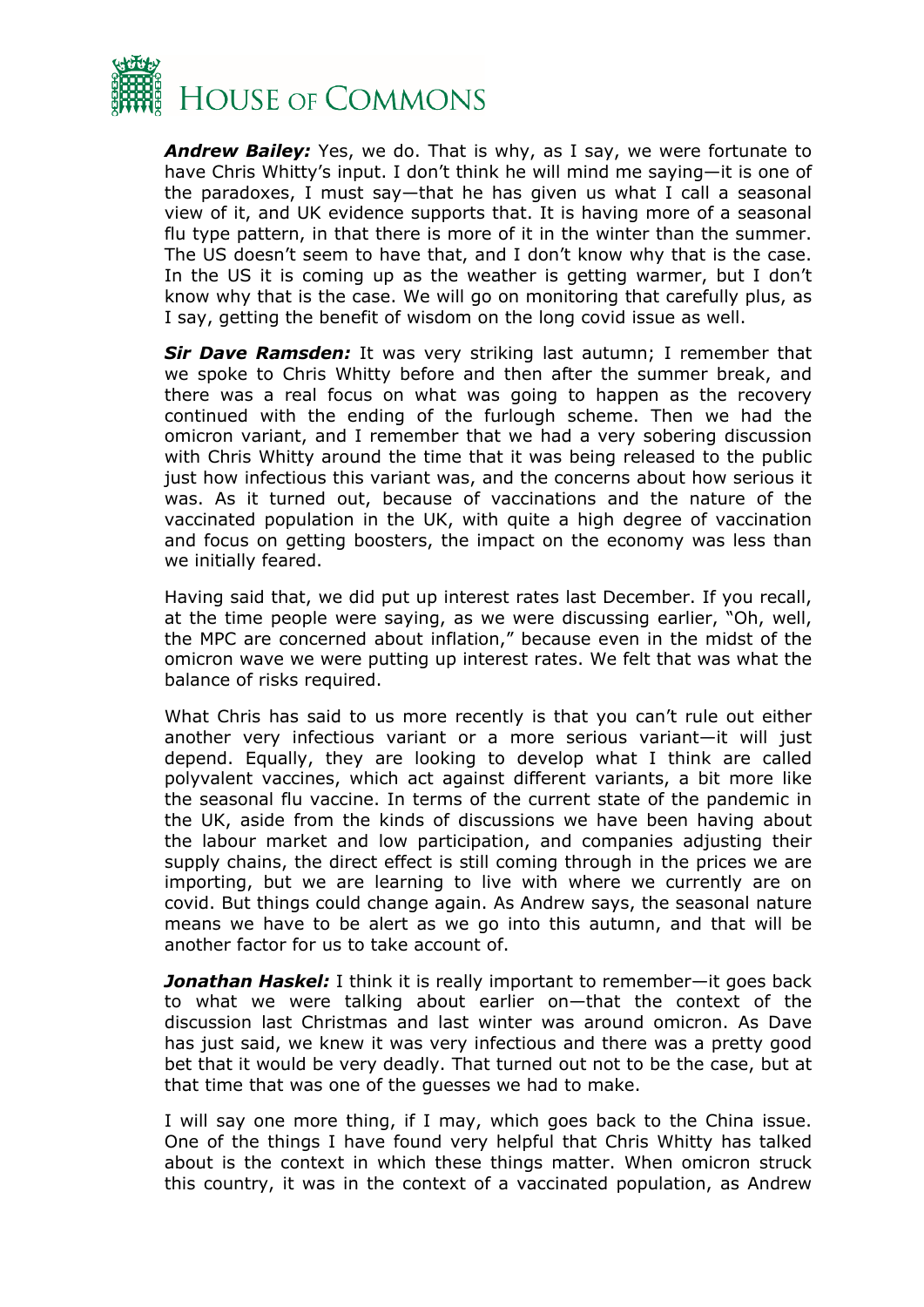

*Andrew Bailey:* Yes, we do. That is why, as I say, we were fortunate to have Chris Whitty's input. I don't think he will mind me saying—it is one of the paradoxes, I must say—that he has given us what I call a seasonal view of it, and UK evidence supports that. It is having more of a seasonal flu type pattern, in that there is more of it in the winter than the summer. The US doesn't seem to have that, and I don't know why that is the case. In the US it is coming up as the weather is getting warmer, but I don't know why that is the case. We will go on monitoring that carefully plus, as I say, getting the benefit of wisdom on the long covid issue as well.

*Sir Dave Ramsden:* It was very striking last autumn; I remember that we spoke to Chris Whitty before and then after the summer break, and there was a real focus on what was going to happen as the recovery continued with the ending of the furlough scheme. Then we had the omicron variant, and I remember that we had a very sobering discussion with Chris Whitty around the time that it was being released to the public just how infectious this variant was, and the concerns about how serious it was. As it turned out, because of vaccinations and the nature of the vaccinated population in the UK, with quite a high degree of vaccination and focus on getting boosters, the impact on the economy was less than we initially feared.

Having said that, we did put up interest rates last December. If you recall, at the time people were saying, as we were discussing earlier, "Oh, well, the MPC are concerned about inflation," because even in the midst of the omicron wave we were putting up interest rates. We felt that was what the balance of risks required.

What Chris has said to us more recently is that you can't rule out either another very infectious variant or a more serious variant—it will just depend. Equally, they are looking to develop what I think are called polyvalent vaccines, which act against different variants, a bit more like the seasonal flu vaccine. In terms of the current state of the pandemic in the UK, aside from the kinds of discussions we have been having about the labour market and low participation, and companies adjusting their supply chains, the direct effect is still coming through in the prices we are importing, but we are learning to live with where we currently are on covid. But things could change again. As Andrew says, the seasonal nature means we have to be alert as we go into this autumn, and that will be another factor for us to take account of.

*Jonathan Haskel:* I think it is really important to remember—it goes back to what we were talking about earlier on—that the context of the discussion last Christmas and last winter was around omicron. As Dave has just said, we knew it was very infectious and there was a pretty good bet that it would be very deadly. That turned out not to be the case, but at that time that was one of the guesses we had to make.

I will say one more thing, if I may, which goes back to the China issue. One of the things I have found very helpful that Chris Whitty has talked about is the context in which these things matter. When omicron struck this country, it was in the context of a vaccinated population, as Andrew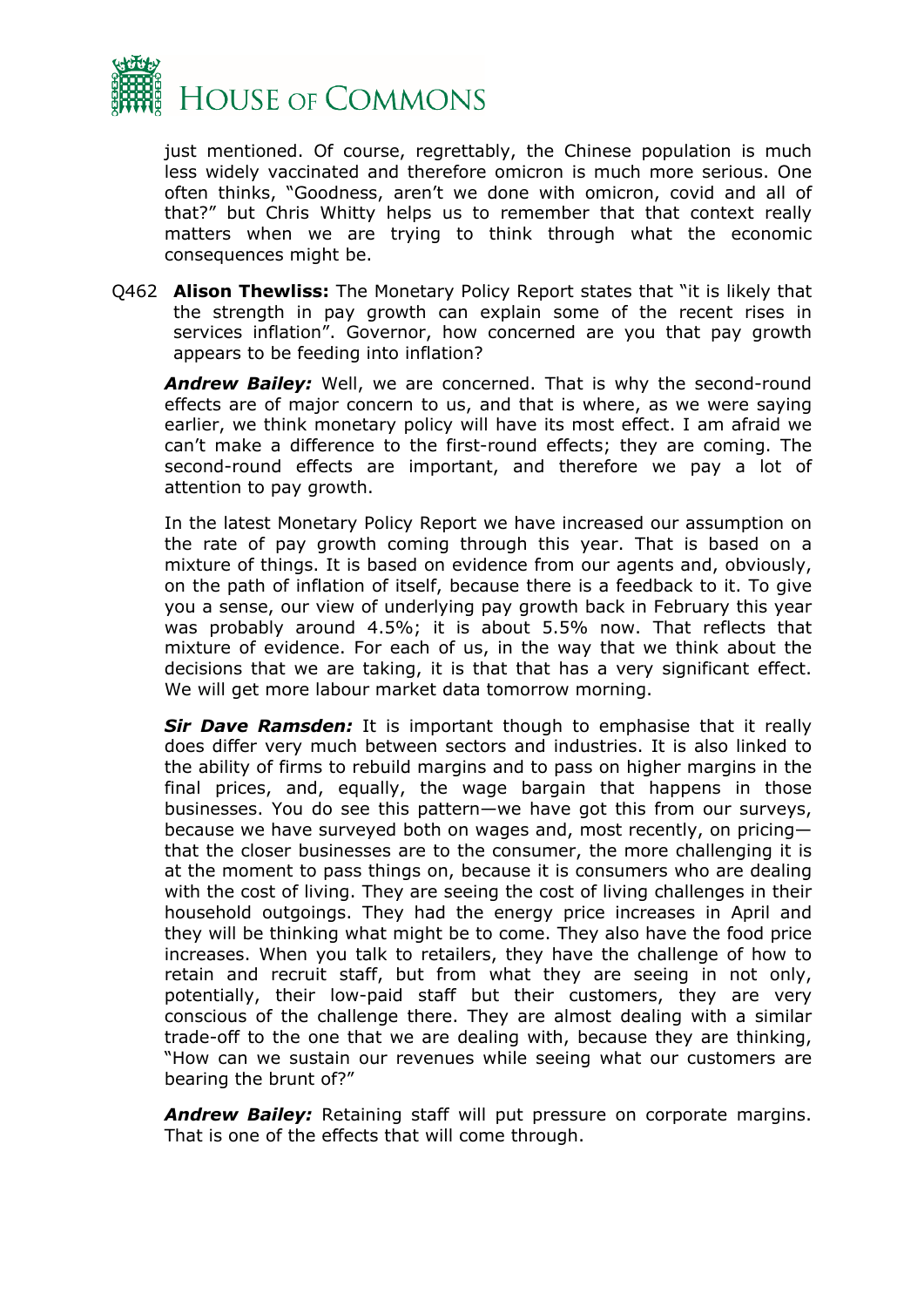

just mentioned. Of course, regrettably, the Chinese population is much less widely vaccinated and therefore omicron is much more serious. One often thinks, "Goodness, aren't we done with omicron, covid and all of that?" but Chris Whitty helps us to remember that that context really matters when we are trying to think through what the economic consequences might be.

Q462 **Alison Thewliss:** The Monetary Policy Report states that "it is likely that the strength in pay growth can explain some of the recent rises in services inflation". Governor, how concerned are you that pay growth appears to be feeding into inflation?

*Andrew Bailey:* Well, we are concerned. That is why the second-round effects are of major concern to us, and that is where, as we were saying earlier, we think monetary policy will have its most effect. I am afraid we can't make a difference to the first-round effects; they are coming. The second-round effects are important, and therefore we pay a lot of attention to pay growth.

In the latest Monetary Policy Report we have increased our assumption on the rate of pay growth coming through this year. That is based on a mixture of things. It is based on evidence from our agents and, obviously, on the path of inflation of itself, because there is a feedback to it. To give you a sense, our view of underlying pay growth back in February this year was probably around 4.5%; it is about 5.5% now. That reflects that mixture of evidence. For each of us, in the way that we think about the decisions that we are taking, it is that that has a very significant effect. We will get more labour market data tomorrow morning.

*Sir Dave Ramsden:* It is important though to emphasise that it really does differ very much between sectors and industries. It is also linked to the ability of firms to rebuild margins and to pass on higher margins in the final prices, and, equally, the wage bargain that happens in those businesses. You do see this pattern—we have got this from our surveys, because we have surveyed both on wages and, most recently, on pricing that the closer businesses are to the consumer, the more challenging it is at the moment to pass things on, because it is consumers who are dealing with the cost of living. They are seeing the cost of living challenges in their household outgoings. They had the energy price increases in April and they will be thinking what might be to come. They also have the food price increases. When you talk to retailers, they have the challenge of how to retain and recruit staff, but from what they are seeing in not only, potentially, their low-paid staff but their customers, they are very conscious of the challenge there. They are almost dealing with a similar trade-off to the one that we are dealing with, because they are thinking, "How can we sustain our revenues while seeing what our customers are bearing the brunt of?"

*Andrew Bailey:* Retaining staff will put pressure on corporate margins. That is one of the effects that will come through.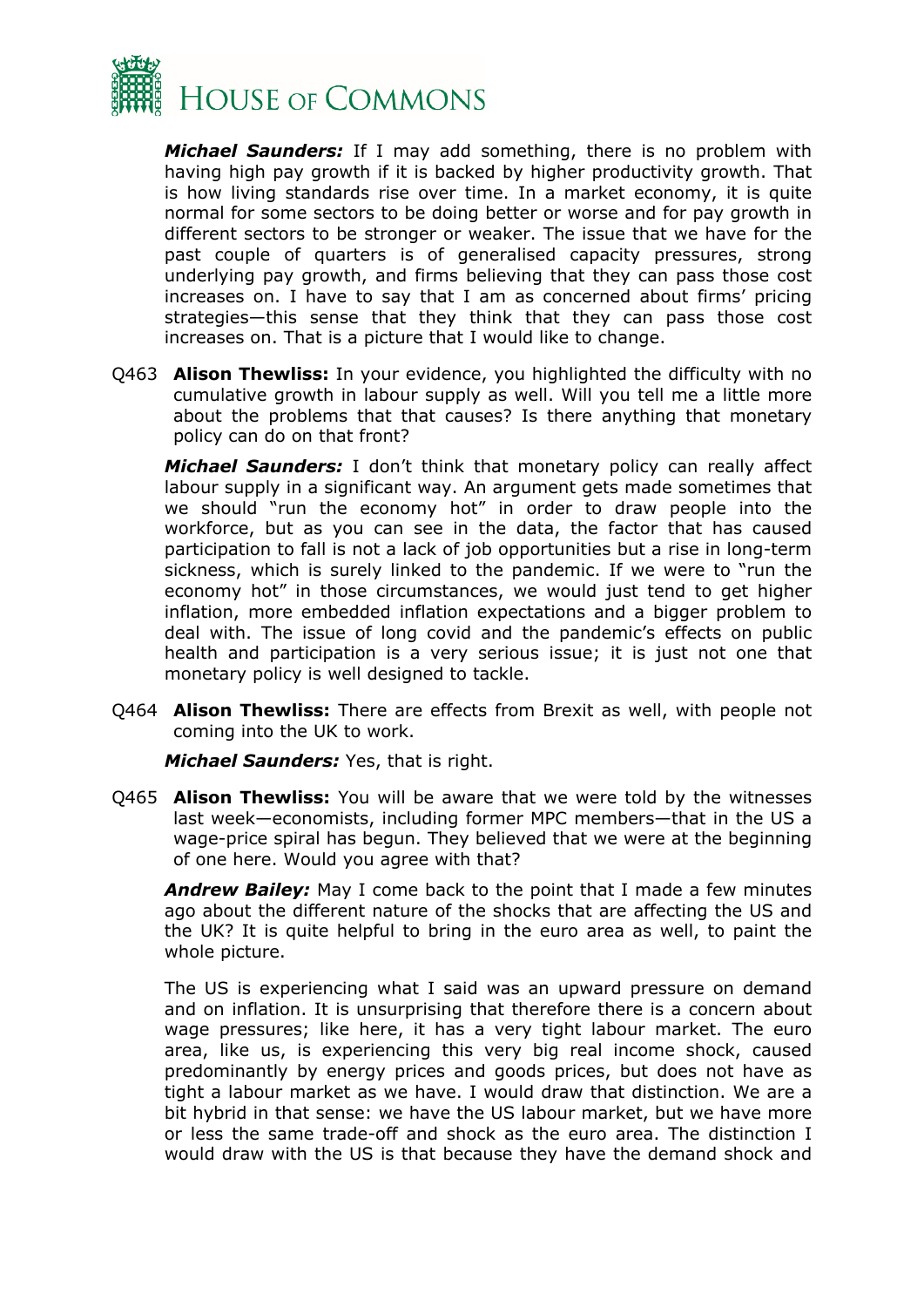

*Michael Saunders:* If I may add something, there is no problem with having high pay growth if it is backed by higher productivity growth. That is how living standards rise over time. In a market economy, it is quite normal for some sectors to be doing better or worse and for pay growth in different sectors to be stronger or weaker. The issue that we have for the past couple of quarters is of generalised capacity pressures, strong underlying pay growth, and firms believing that they can pass those cost increases on. I have to say that I am as concerned about firms' pricing strategies—this sense that they think that they can pass those cost increases on. That is a picture that I would like to change.

Q463 **Alison Thewliss:** In your evidence, you highlighted the difficulty with no cumulative growth in labour supply as well. Will you tell me a little more about the problems that that causes? Is there anything that monetary policy can do on that front?

*Michael Saunders:* I don't think that monetary policy can really affect labour supply in a significant way. An argument gets made sometimes that we should "run the economy hot" in order to draw people into the workforce, but as you can see in the data, the factor that has caused participation to fall is not a lack of job opportunities but a rise in long-term sickness, which is surely linked to the pandemic. If we were to "run the economy hot" in those circumstances, we would just tend to get higher inflation, more embedded inflation expectations and a bigger problem to deal with. The issue of long covid and the pandemic's effects on public health and participation is a very serious issue; it is just not one that monetary policy is well designed to tackle.

Q464 **Alison Thewliss:** There are effects from Brexit as well, with people not coming into the UK to work.

*Michael Saunders:* Yes, that is right.

Q465 **Alison Thewliss:** You will be aware that we were told by the witnesses last week—economists, including former MPC members—that in the US a wage-price spiral has begun. They believed that we were at the beginning of one here. Would you agree with that?

*Andrew Bailey:* May I come back to the point that I made a few minutes ago about the different nature of the shocks that are affecting the US and the UK? It is quite helpful to bring in the euro area as well, to paint the whole picture.

The US is experiencing what I said was an upward pressure on demand and on inflation. It is unsurprising that therefore there is a concern about wage pressures; like here, it has a very tight labour market. The euro area, like us, is experiencing this very big real income shock, caused predominantly by energy prices and goods prices, but does not have as tight a labour market as we have. I would draw that distinction. We are a bit hybrid in that sense: we have the US labour market, but we have more or less the same trade-off and shock as the euro area. The distinction I would draw with the US is that because they have the demand shock and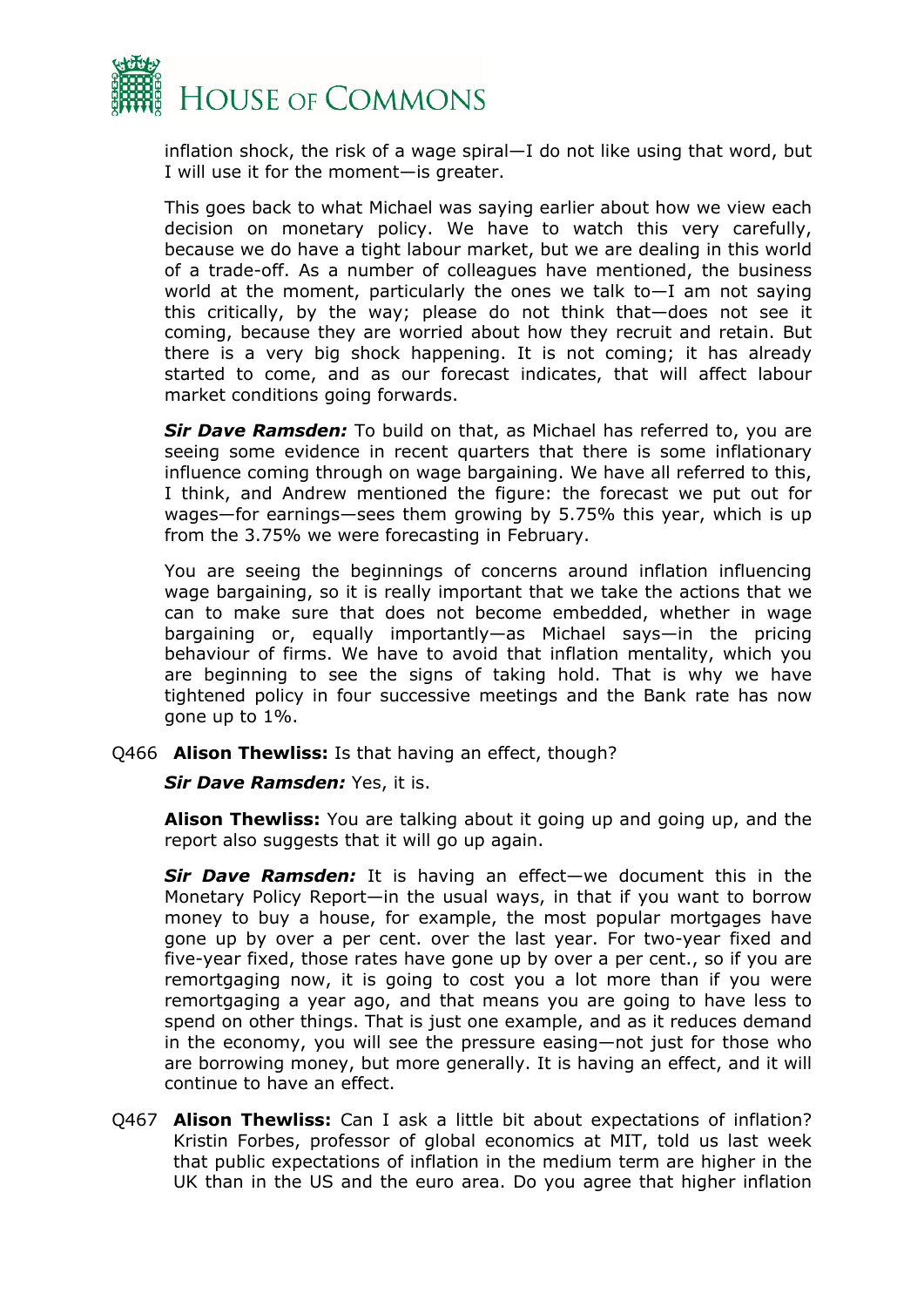

inflation shock, the risk of a wage spiral—I do not like using that word, but I will use it for the moment—is greater.

This goes back to what Michael was saying earlier about how we view each decision on monetary policy. We have to watch this very carefully, because we do have a tight labour market, but we are dealing in this world of a trade-off. As a number of colleagues have mentioned, the business world at the moment, particularly the ones we talk to—I am not saying this critically, by the way; please do not think that—does not see it coming, because they are worried about how they recruit and retain. But there is a very big shock happening. It is not coming; it has already started to come, and as our forecast indicates, that will affect labour market conditions going forwards.

*Sir Dave Ramsden:* To build on that, as Michael has referred to, you are seeing some evidence in recent quarters that there is some inflationary influence coming through on wage bargaining. We have all referred to this, I think, and Andrew mentioned the figure: the forecast we put out for wages—for earnings—sees them growing by 5.75% this year, which is up from the 3.75% we were forecasting in February.

You are seeing the beginnings of concerns around inflation influencing wage bargaining, so it is really important that we take the actions that we can to make sure that does not become embedded, whether in wage bargaining or, equally importantly—as Michael says—in the pricing behaviour of firms. We have to avoid that inflation mentality, which you are beginning to see the signs of taking hold. That is why we have tightened policy in four successive meetings and the Bank rate has now gone up to 1%.

Q466 **Alison Thewliss:** Is that having an effect, though?

*Sir Dave Ramsden:* Yes, it is.

**Alison Thewliss:** You are talking about it going up and going up, and the report also suggests that it will go up again.

*Sir Dave Ramsden:* It is having an effect—we document this in the Monetary Policy Report—in the usual ways, in that if you want to borrow money to buy a house, for example, the most popular mortgages have gone up by over a per cent. over the last year. For two-year fixed and five-year fixed, those rates have gone up by over a per cent., so if you are remortgaging now, it is going to cost you a lot more than if you were remortgaging a year ago, and that means you are going to have less to spend on other things. That is just one example, and as it reduces demand in the economy, you will see the pressure easing—not just for those who are borrowing money, but more generally. It is having an effect, and it will continue to have an effect.

Q467 **Alison Thewliss:** Can I ask a little bit about expectations of inflation? Kristin Forbes, professor of global economics at MIT, told us last week that public expectations of inflation in the medium term are higher in the UK than in the US and the euro area. Do you agree that higher inflation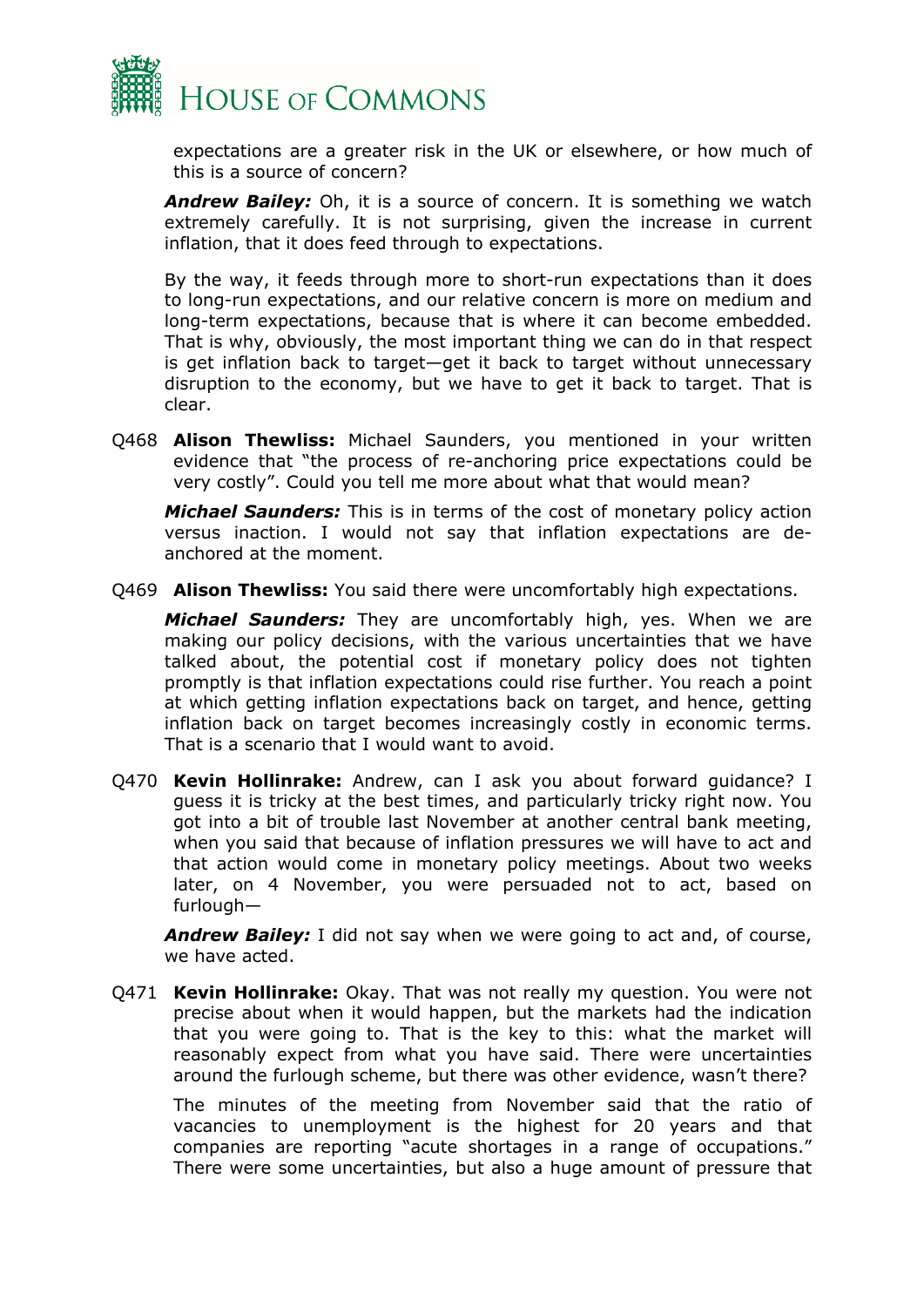

expectations are a greater risk in the UK or elsewhere, or how much of this is a source of concern?

*Andrew Bailey:* Oh, it is a source of concern. It is something we watch extremely carefully. It is not surprising, given the increase in current inflation, that it does feed through to expectations.

By the way, it feeds through more to short-run expectations than it does to long-run expectations, and our relative concern is more on medium and long-term expectations, because that is where it can become embedded. That is why, obviously, the most important thing we can do in that respect is get inflation back to target—get it back to target without unnecessary disruption to the economy, but we have to get it back to target. That is clear.

Q468 **Alison Thewliss:** Michael Saunders, you mentioned in your written evidence that "the process of re-anchoring price expectations could be very costly". Could you tell me more about what that would mean?

*Michael Saunders:* This is in terms of the cost of monetary policy action versus inaction. I would not say that inflation expectations are deanchored at the moment.

Q469 **Alison Thewliss:** You said there were uncomfortably high expectations.

*Michael Saunders:* They are uncomfortably high, yes. When we are making our policy decisions, with the various uncertainties that we have talked about, the potential cost if monetary policy does not tighten promptly is that inflation expectations could rise further. You reach a point at which getting inflation expectations back on target, and hence, getting inflation back on target becomes increasingly costly in economic terms. That is a scenario that I would want to avoid.

Q470 **Kevin Hollinrake:** Andrew, can I ask you about forward guidance? I guess it is tricky at the best times, and particularly tricky right now. You got into a bit of trouble last November at another central bank meeting, when you said that because of inflation pressures we will have to act and that action would come in monetary policy meetings. About two weeks later, on 4 November, you were persuaded not to act, based on furlough—

*Andrew Bailey:* I did not say when we were going to act and, of course, we have acted.

Q471 **Kevin Hollinrake:** Okay. That was not really my question. You were not precise about when it would happen, but the markets had the indication that you were going to. That is the key to this: what the market will reasonably expect from what you have said. There were uncertainties around the furlough scheme, but there was other evidence, wasn't there?

The minutes of the meeting from November said that the ratio of vacancies to unemployment is the highest for 20 years and that companies are reporting "acute shortages in a range of occupations." There were some uncertainties, but also a huge amount of pressure that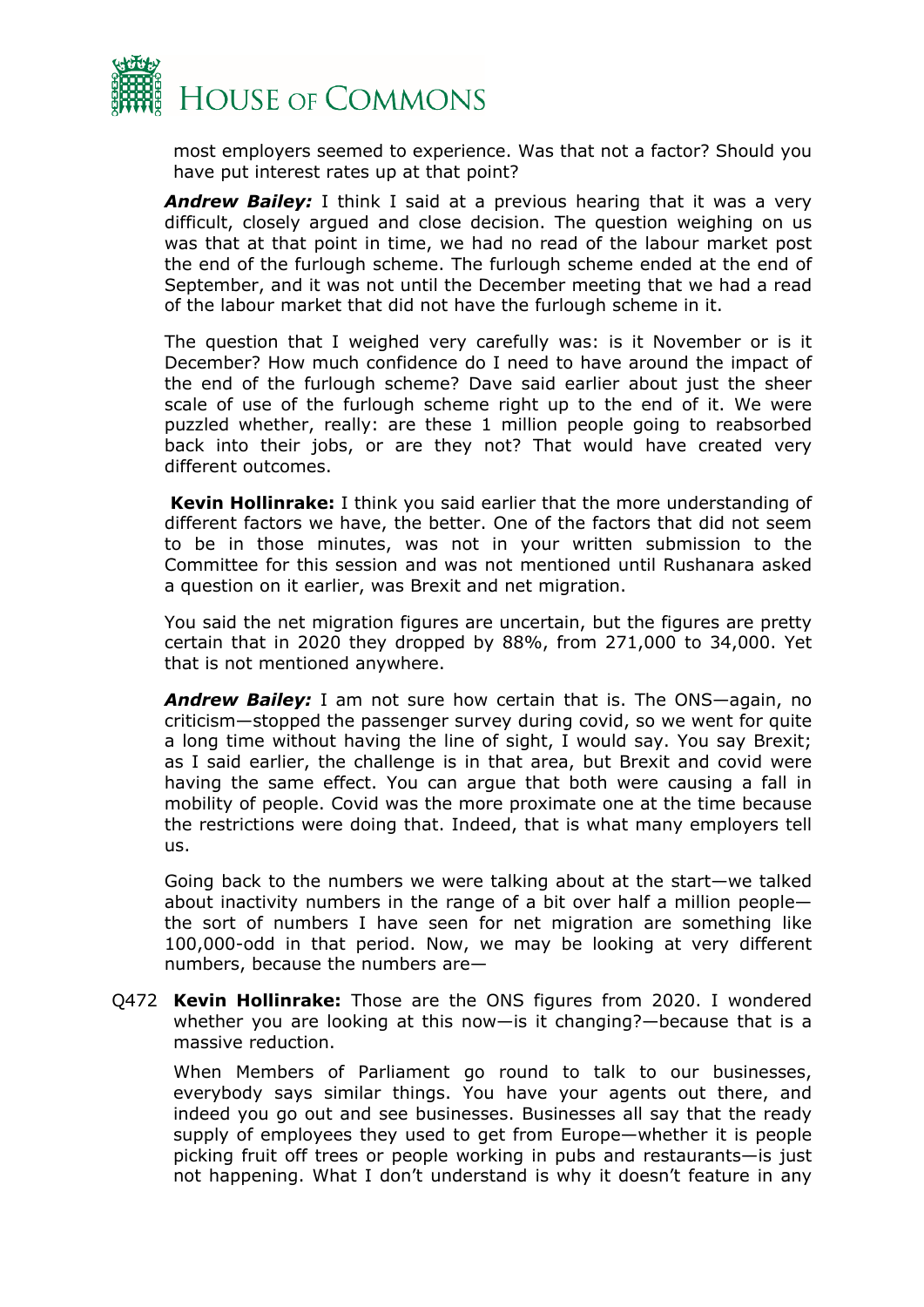

most employers seemed to experience. Was that not a factor? Should you have put interest rates up at that point?

*Andrew Bailey:* I think I said at a previous hearing that it was a very difficult, closely argued and close decision. The question weighing on us was that at that point in time, we had no read of the labour market post the end of the furlough scheme. The furlough scheme ended at the end of September, and it was not until the December meeting that we had a read of the labour market that did not have the furlough scheme in it.

The question that I weighed very carefully was: is it November or is it December? How much confidence do I need to have around the impact of the end of the furlough scheme? Dave said earlier about just the sheer scale of use of the furlough scheme right up to the end of it. We were puzzled whether, really: are these 1 million people going to reabsorbed back into their jobs, or are they not? That would have created very different outcomes.

**Kevin Hollinrake:** I think you said earlier that the more understanding of different factors we have, the better. One of the factors that did not seem to be in those minutes, was not in your written submission to the Committee for this session and was not mentioned until Rushanara asked a question on it earlier, was Brexit and net migration.

You said the net migration figures are uncertain, but the figures are pretty certain that in 2020 they dropped by 88%, from 271,000 to 34,000. Yet that is not mentioned anywhere.

*Andrew Bailey:* I am not sure how certain that is. The ONS—again, no criticism—stopped the passenger survey during covid, so we went for quite a long time without having the line of sight, I would say. You say Brexit; as I said earlier, the challenge is in that area, but Brexit and covid were having the same effect. You can argue that both were causing a fall in mobility of people. Covid was the more proximate one at the time because the restrictions were doing that. Indeed, that is what many employers tell us.

Going back to the numbers we were talking about at the start—we talked about inactivity numbers in the range of a bit over half a million people the sort of numbers I have seen for net migration are something like 100,000-odd in that period. Now, we may be looking at very different numbers, because the numbers are—

Q472 **Kevin Hollinrake:** Those are the ONS figures from 2020. I wondered whether you are looking at this now—is it changing?—because that is a massive reduction.

When Members of Parliament go round to talk to our businesses, everybody says similar things. You have your agents out there, and indeed you go out and see businesses. Businesses all say that the ready supply of employees they used to get from Europe—whether it is people picking fruit off trees or people working in pubs and restaurants—is just not happening. What I don't understand is why it doesn't feature in any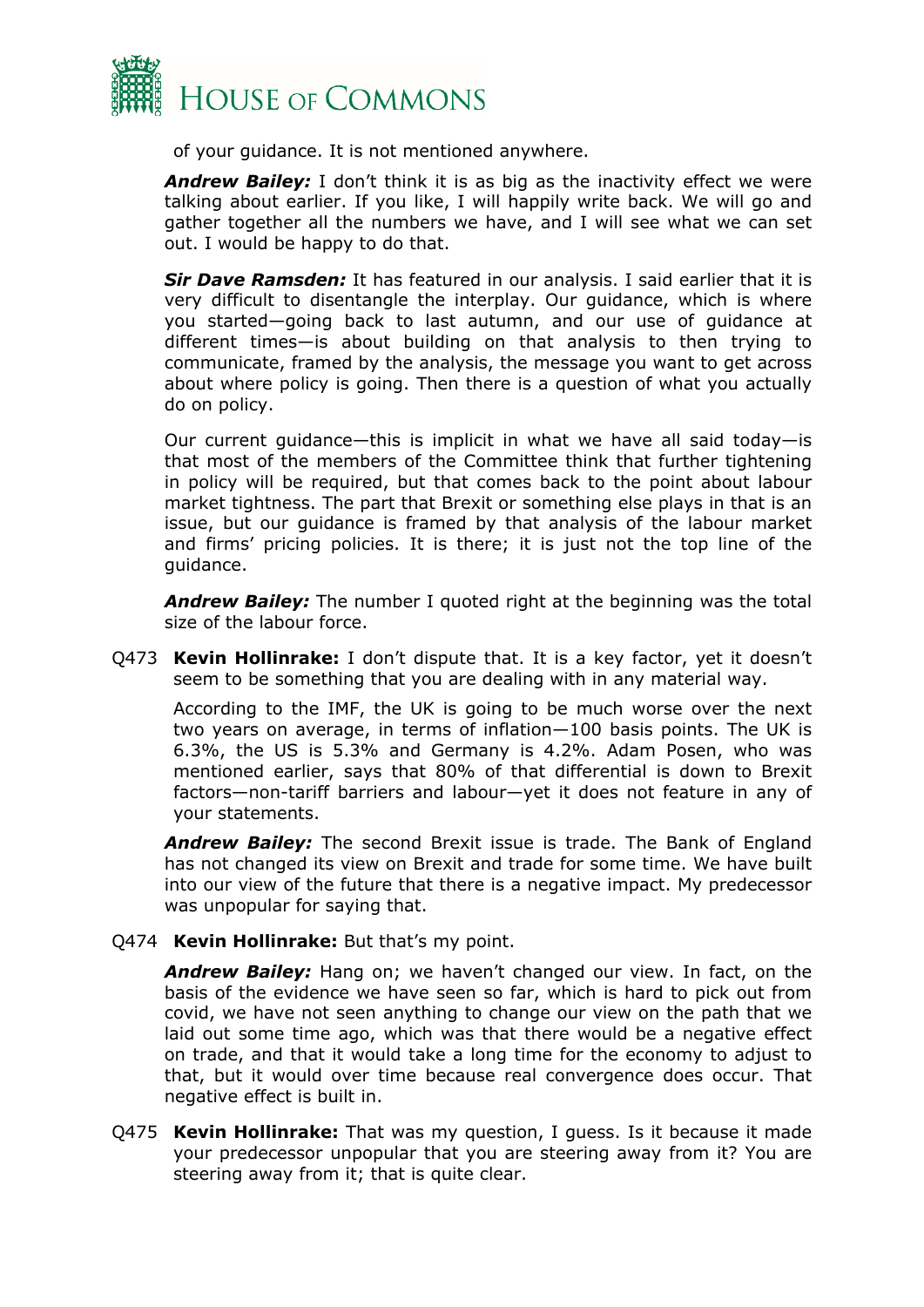

of your guidance. It is not mentioned anywhere.

*Andrew Bailey:* I don't think it is as big as the inactivity effect we were talking about earlier. If you like, I will happily write back. We will go and gather together all the numbers we have, and I will see what we can set out. I would be happy to do that.

*Sir Dave Ramsden:* It has featured in our analysis. I said earlier that it is very difficult to disentangle the interplay. Our guidance, which is where you started—going back to last autumn, and our use of guidance at different times—is about building on that analysis to then trying to communicate, framed by the analysis, the message you want to get across about where policy is going. Then there is a question of what you actually do on policy.

Our current guidance—this is implicit in what we have all said today—is that most of the members of the Committee think that further tightening in policy will be required, but that comes back to the point about labour market tightness. The part that Brexit or something else plays in that is an issue, but our guidance is framed by that analysis of the labour market and firms' pricing policies. It is there; it is just not the top line of the guidance.

*Andrew Bailey:* The number I quoted right at the beginning was the total size of the labour force.

Q473 **Kevin Hollinrake:** I don't dispute that. It is a key factor, yet it doesn't seem to be something that you are dealing with in any material way.

According to the IMF, the UK is going to be much worse over the next two years on average, in terms of inflation—100 basis points. The UK is 6.3%, the US is 5.3% and Germany is 4.2%. Adam Posen, who was mentioned earlier, says that 80% of that differential is down to Brexit factors—non-tariff barriers and labour—yet it does not feature in any of your statements.

*Andrew Bailey:* The second Brexit issue is trade. The Bank of England has not changed its view on Brexit and trade for some time. We have built into our view of the future that there is a negative impact. My predecessor was unpopular for saying that.

Q474 **Kevin Hollinrake:** But that's my point.

*Andrew Bailey:* Hang on; we haven't changed our view. In fact, on the basis of the evidence we have seen so far, which is hard to pick out from covid, we have not seen anything to change our view on the path that we laid out some time ago, which was that there would be a negative effect on trade, and that it would take a long time for the economy to adjust to that, but it would over time because real convergence does occur. That negative effect is built in.

Q475 **Kevin Hollinrake:** That was my question, I guess. Is it because it made your predecessor unpopular that you are steering away from it? You are steering away from it; that is quite clear.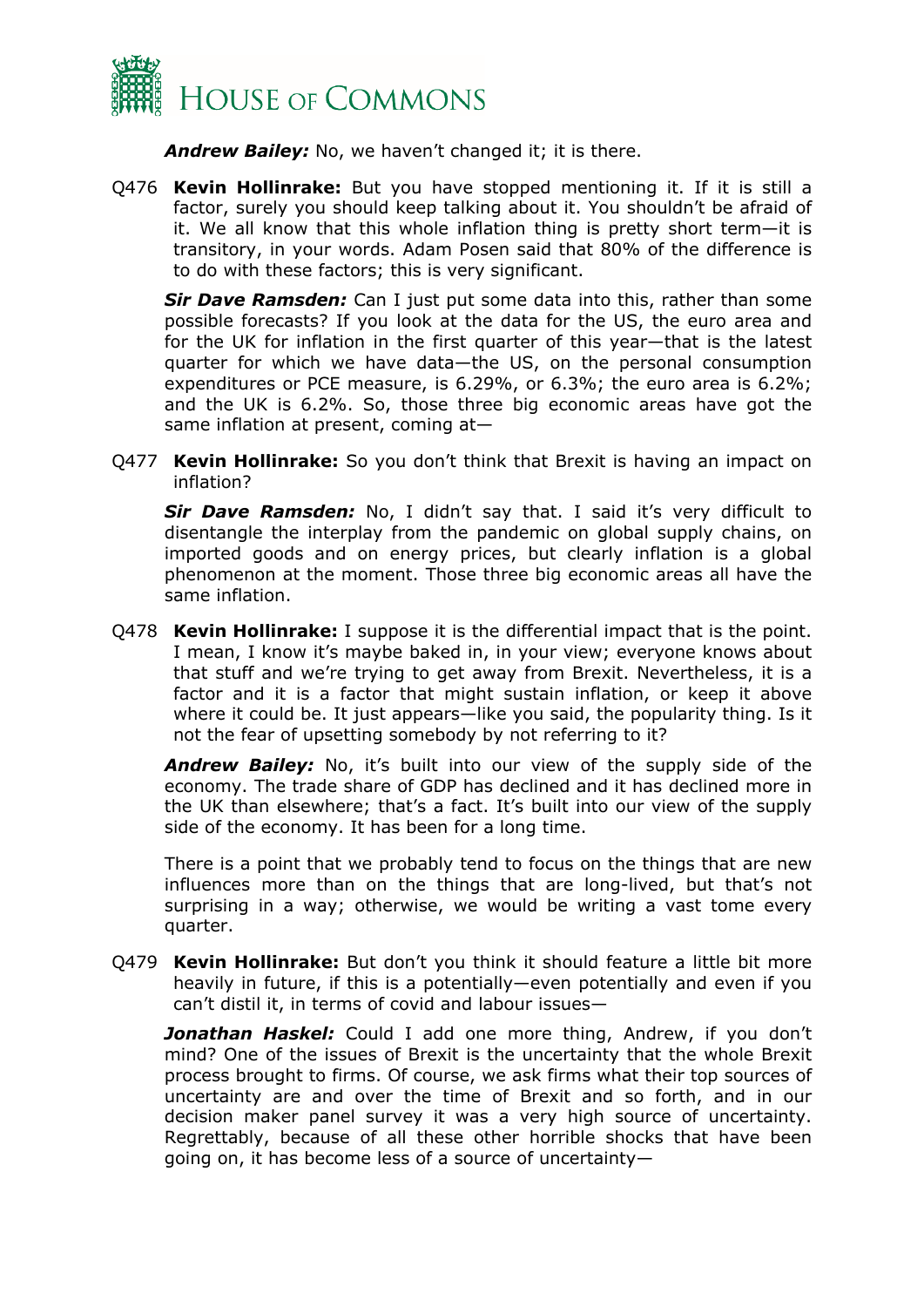

*Andrew Bailey:* No, we haven't changed it; it is there.

Q476 **Kevin Hollinrake:** But you have stopped mentioning it. If it is still a factor, surely you should keep talking about it. You shouldn't be afraid of it. We all know that this whole inflation thing is pretty short term—it is transitory, in your words. Adam Posen said that 80% of the difference is to do with these factors; this is very significant.

*Sir Dave Ramsden:* Can I just put some data into this, rather than some possible forecasts? If you look at the data for the US, the euro area and for the UK for inflation in the first quarter of this year—that is the latest quarter for which we have data—the US, on the personal consumption expenditures or PCE measure, is 6.29%, or 6.3%; the euro area is 6.2%; and the UK is 6.2%. So, those three big economic areas have got the same inflation at present, coming at—

Q477 **Kevin Hollinrake:** So you don't think that Brexit is having an impact on inflation?

*Sir Dave Ramsden:* No, I didn't say that. I said it's very difficult to disentangle the interplay from the pandemic on global supply chains, on imported goods and on energy prices, but clearly inflation is a global phenomenon at the moment. Those three big economic areas all have the same inflation.

Q478 **Kevin Hollinrake:** I suppose it is the differential impact that is the point. I mean, I know it's maybe baked in, in your view; everyone knows about that stuff and we're trying to get away from Brexit. Nevertheless, it is a factor and it is a factor that might sustain inflation, or keep it above where it could be. It just appears—like you said, the popularity thing. Is it not the fear of upsetting somebody by not referring to it?

*Andrew Bailey:* No, it's built into our view of the supply side of the economy. The trade share of GDP has declined and it has declined more in the UK than elsewhere; that's a fact. It's built into our view of the supply side of the economy. It has been for a long time.

There is a point that we probably tend to focus on the things that are new influences more than on the things that are long-lived, but that's not surprising in a way; otherwise, we would be writing a vast tome every quarter.

Q479 **Kevin Hollinrake:** But don't you think it should feature a little bit more heavily in future, if this is a potentially—even potentially and even if you can't distil it, in terms of covid and labour issues—

**Jonathan Haskel:** Could I add one more thing, Andrew, if you don't mind? One of the issues of Brexit is the uncertainty that the whole Brexit process brought to firms. Of course, we ask firms what their top sources of uncertainty are and over the time of Brexit and so forth, and in our decision maker panel survey it was a very high source of uncertainty. Regrettably, because of all these other horrible shocks that have been going on, it has become less of a source of uncertainty—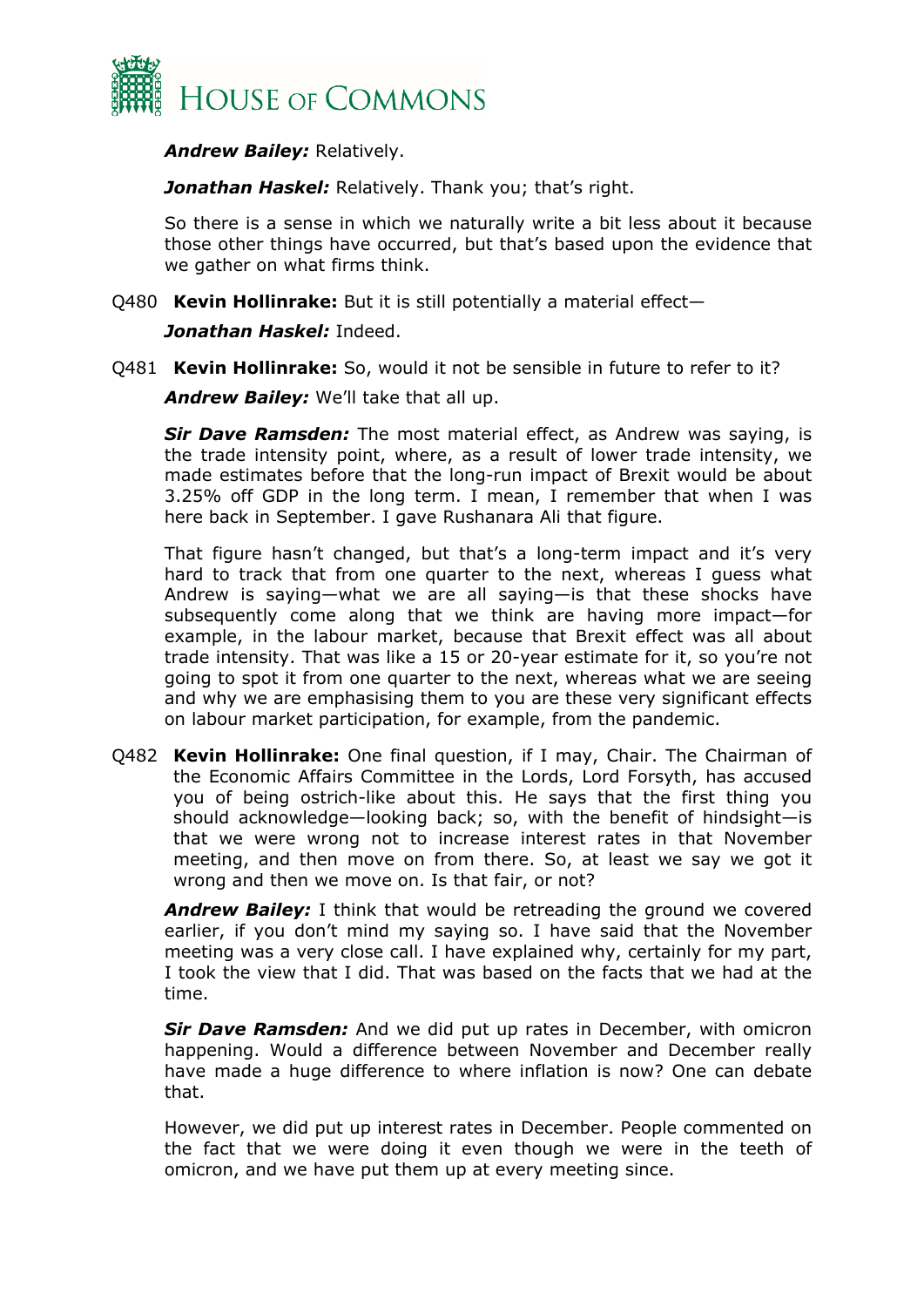

*Andrew Bailey:* Relatively.

*Jonathan Haskel:* Relatively. Thank you; that's right.

So there is a sense in which we naturally write a bit less about it because those other things have occurred, but that's based upon the evidence that we gather on what firms think.

Q480 **Kevin Hollinrake:** But it is still potentially a material effect—

*Jonathan Haskel:* Indeed.

Q481 **Kevin Hollinrake:** So, would it not be sensible in future to refer to it?

*Andrew Bailey:* We'll take that all up.

*Sir Dave Ramsden:* The most material effect, as Andrew was saying, is the trade intensity point, where, as a result of lower trade intensity, we made estimates before that the long-run impact of Brexit would be about 3.25% off GDP in the long term. I mean, I remember that when I was here back in September. I gave Rushanara Ali that figure.

That figure hasn't changed, but that's a long-term impact and it's very hard to track that from one quarter to the next, whereas I guess what Andrew is saying—what we are all saying—is that these shocks have subsequently come along that we think are having more impact—for example, in the labour market, because that Brexit effect was all about trade intensity. That was like a 15 or 20-year estimate for it, so you're not going to spot it from one quarter to the next, whereas what we are seeing and why we are emphasising them to you are these very significant effects on labour market participation, for example, from the pandemic.

Q482 **Kevin Hollinrake:** One final question, if I may, Chair. The Chairman of the Economic Affairs Committee in the Lords, Lord Forsyth, has accused you of being ostrich-like about this. He says that the first thing you should acknowledge—looking back; so, with the benefit of hindsight—is that we were wrong not to increase interest rates in that November meeting, and then move on from there. So, at least we say we got it wrong and then we move on. Is that fair, or not?

*Andrew Bailey:* I think that would be retreading the ground we covered earlier, if you don't mind my saying so. I have said that the November meeting was a very close call. I have explained why, certainly for my part, I took the view that I did. That was based on the facts that we had at the time.

*Sir Dave Ramsden:* And we did put up rates in December, with omicron happening. Would a difference between November and December really have made a huge difference to where inflation is now? One can debate that.

However, we did put up interest rates in December. People commented on the fact that we were doing it even though we were in the teeth of omicron, and we have put them up at every meeting since.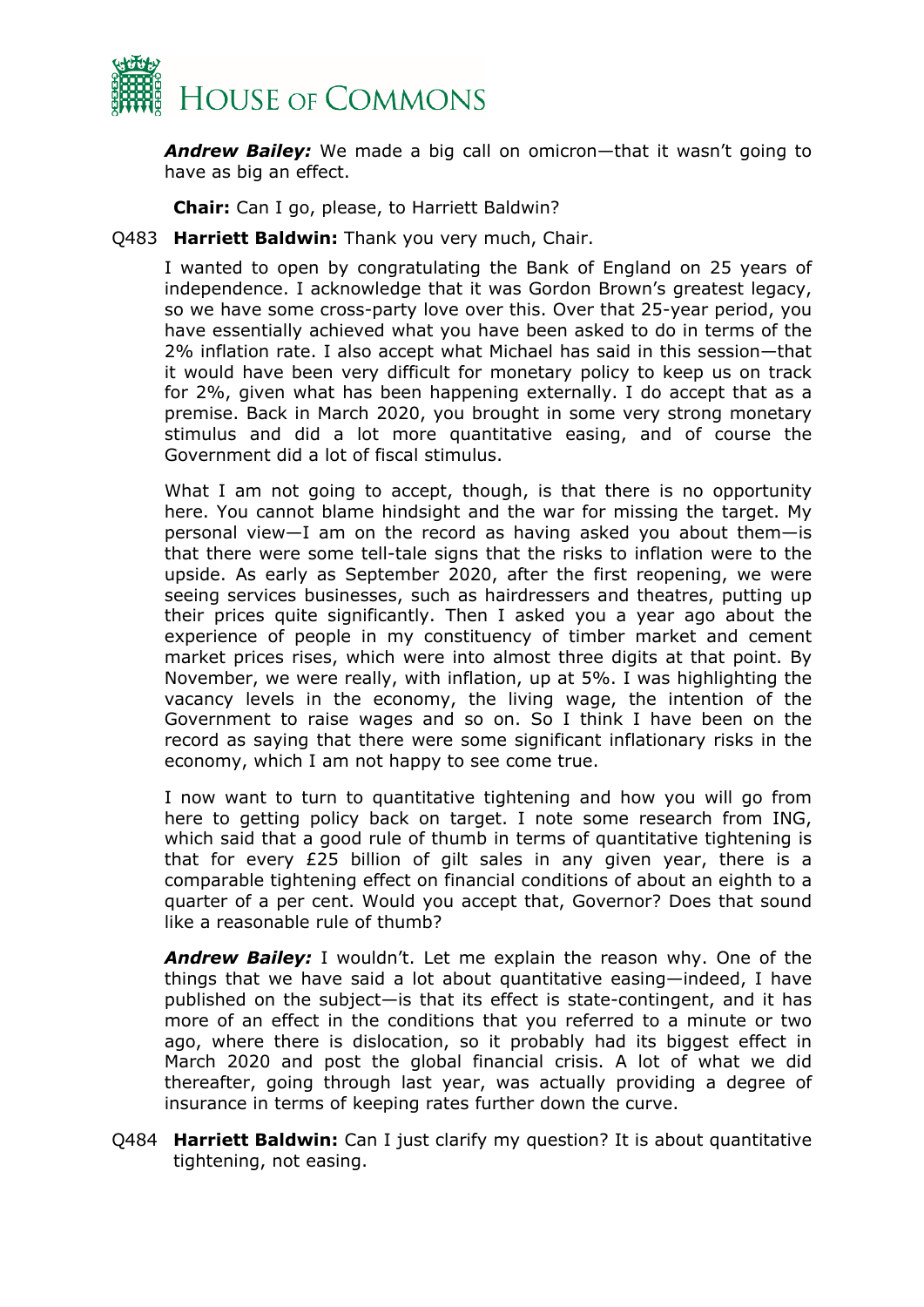

*Andrew Bailey:* We made a big call on omicron—that it wasn't going to have as big an effect.

**Chair:** Can I go, please, to Harriett Baldwin?

Q483 **Harriett Baldwin:** Thank you very much, Chair.

I wanted to open by congratulating the Bank of England on 25 years of independence. I acknowledge that it was Gordon Brown's greatest legacy, so we have some cross-party love over this. Over that 25-year period, you have essentially achieved what you have been asked to do in terms of the 2% inflation rate. I also accept what Michael has said in this session—that it would have been very difficult for monetary policy to keep us on track for 2%, given what has been happening externally. I do accept that as a premise. Back in March 2020, you brought in some very strong monetary stimulus and did a lot more quantitative easing, and of course the Government did a lot of fiscal stimulus.

What I am not going to accept, though, is that there is no opportunity here. You cannot blame hindsight and the war for missing the target. My personal view—I am on the record as having asked you about them—is that there were some tell-tale signs that the risks to inflation were to the upside. As early as September 2020, after the first reopening, we were seeing services businesses, such as hairdressers and theatres, putting up their prices quite significantly. Then I asked you a year ago about the experience of people in my constituency of timber market and cement market prices rises, which were into almost three digits at that point. By November, we were really, with inflation, up at 5%. I was highlighting the vacancy levels in the economy, the living wage, the intention of the Government to raise wages and so on. So I think I have been on the record as saying that there were some significant inflationary risks in the economy, which I am not happy to see come true.

I now want to turn to quantitative tightening and how you will go from here to getting policy back on target. I note some research from ING, which said that a good rule of thumb in terms of quantitative tightening is that for every £25 billion of gilt sales in any given year, there is a comparable tightening effect on financial conditions of about an eighth to a quarter of a per cent. Would you accept that, Governor? Does that sound like a reasonable rule of thumb?

*Andrew Bailey:* I wouldn't. Let me explain the reason why. One of the things that we have said a lot about quantitative easing—indeed, I have published on the subject—is that its effect is state-contingent, and it has more of an effect in the conditions that you referred to a minute or two ago, where there is dislocation, so it probably had its biggest effect in March 2020 and post the global financial crisis. A lot of what we did thereafter, going through last year, was actually providing a degree of insurance in terms of keeping rates further down the curve.

Q484 **Harriett Baldwin:** Can I just clarify my question? It is about quantitative tightening, not easing.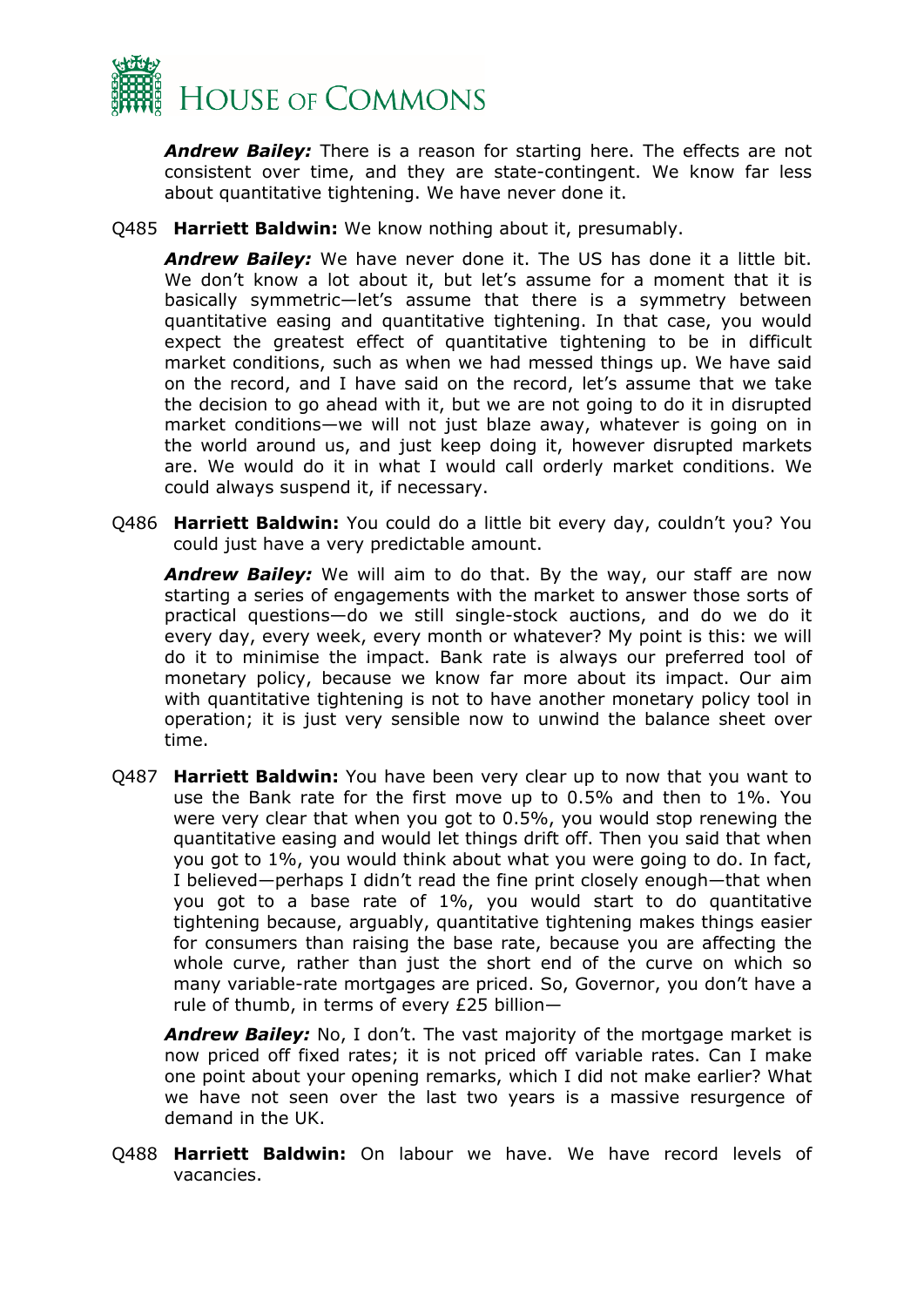

*Andrew Bailey:* There is a reason for starting here. The effects are not consistent over time, and they are state-contingent. We know far less about quantitative tightening. We have never done it.

Q485 **Harriett Baldwin:** We know nothing about it, presumably.

*Andrew Bailey:* We have never done it. The US has done it a little bit. We don't know a lot about it, but let's assume for a moment that it is basically symmetric—let's assume that there is a symmetry between quantitative easing and quantitative tightening. In that case, you would expect the greatest effect of quantitative tightening to be in difficult market conditions, such as when we had messed things up. We have said on the record, and I have said on the record, let's assume that we take the decision to go ahead with it, but we are not going to do it in disrupted market conditions—we will not just blaze away, whatever is going on in the world around us, and just keep doing it, however disrupted markets are. We would do it in what I would call orderly market conditions. We could always suspend it, if necessary.

Q486 **Harriett Baldwin:** You could do a little bit every day, couldn't you? You could just have a very predictable amount.

*Andrew Bailey:* We will aim to do that. By the way, our staff are now starting a series of engagements with the market to answer those sorts of practical questions—do we still single-stock auctions, and do we do it every day, every week, every month or whatever? My point is this: we will do it to minimise the impact. Bank rate is always our preferred tool of monetary policy, because we know far more about its impact. Our aim with quantitative tightening is not to have another monetary policy tool in operation; it is just very sensible now to unwind the balance sheet over time.

Q487 **Harriett Baldwin:** You have been very clear up to now that you want to use the Bank rate for the first move up to 0.5% and then to 1%. You were very clear that when you got to 0.5%, you would stop renewing the quantitative easing and would let things drift off. Then you said that when you got to 1%, you would think about what you were going to do. In fact, I believed—perhaps I didn't read the fine print closely enough—that when you got to a base rate of 1%, you would start to do quantitative tightening because, arguably, quantitative tightening makes things easier for consumers than raising the base rate, because you are affecting the whole curve, rather than just the short end of the curve on which so many variable-rate mortgages are priced. So, Governor, you don't have a rule of thumb, in terms of every £25 billion—

*Andrew Bailey:* No, I don't. The vast majority of the mortgage market is now priced off fixed rates; it is not priced off variable rates. Can I make one point about your opening remarks, which I did not make earlier? What we have not seen over the last two years is a massive resurgence of demand in the UK.

Q488 **Harriett Baldwin:** On labour we have. We have record levels of vacancies.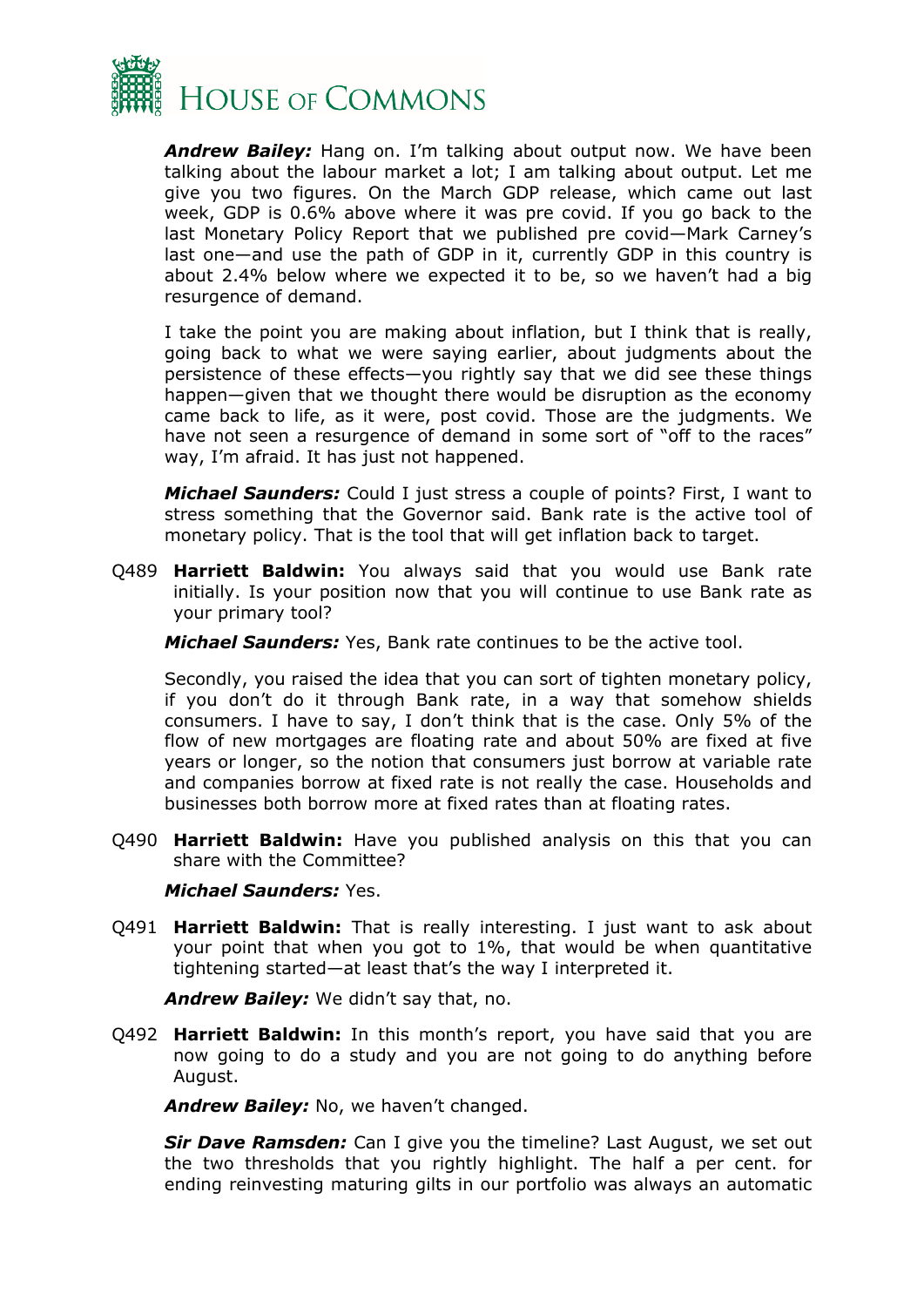

*Andrew Bailey:* Hang on. I'm talking about output now. We have been talking about the labour market a lot; I am talking about output. Let me give you two figures. On the March GDP release, which came out last week, GDP is 0.6% above where it was pre covid. If you go back to the last Monetary Policy Report that we published pre covid—Mark Carney's last one—and use the path of GDP in it, currently GDP in this country is about 2.4% below where we expected it to be, so we haven't had a big resurgence of demand.

I take the point you are making about inflation, but I think that is really, going back to what we were saying earlier, about judgments about the persistence of these effects—you rightly say that we did see these things happen—given that we thought there would be disruption as the economy came back to life, as it were, post covid. Those are the judgments. We have not seen a resurgence of demand in some sort of "off to the races" way, I'm afraid. It has just not happened.

*Michael Saunders:* Could I just stress a couple of points? First, I want to stress something that the Governor said. Bank rate is the active tool of monetary policy. That is the tool that will get inflation back to target.

Q489 **Harriett Baldwin:** You always said that you would use Bank rate initially. Is your position now that you will continue to use Bank rate as your primary tool?

*Michael Saunders:* Yes, Bank rate continues to be the active tool.

Secondly, you raised the idea that you can sort of tighten monetary policy, if you don't do it through Bank rate, in a way that somehow shields consumers. I have to say, I don't think that is the case. Only 5% of the flow of new mortgages are floating rate and about 50% are fixed at five years or longer, so the notion that consumers just borrow at variable rate and companies borrow at fixed rate is not really the case. Households and businesses both borrow more at fixed rates than at floating rates.

Q490 **Harriett Baldwin:** Have you published analysis on this that you can share with the Committee?

#### *Michael Saunders:* Yes.

Q491 **Harriett Baldwin:** That is really interesting. I just want to ask about your point that when you got to 1%, that would be when quantitative tightening started—at least that's the way I interpreted it.

*Andrew Bailey:* We didn't say that, no.

Q492 **Harriett Baldwin:** In this month's report, you have said that you are now going to do a study and you are not going to do anything before August.

*Andrew Bailey:* No, we haven't changed.

*Sir Dave Ramsden:* Can I give you the timeline? Last August, we set out the two thresholds that you rightly highlight. The half a per cent. for ending reinvesting maturing gilts in our portfolio was always an automatic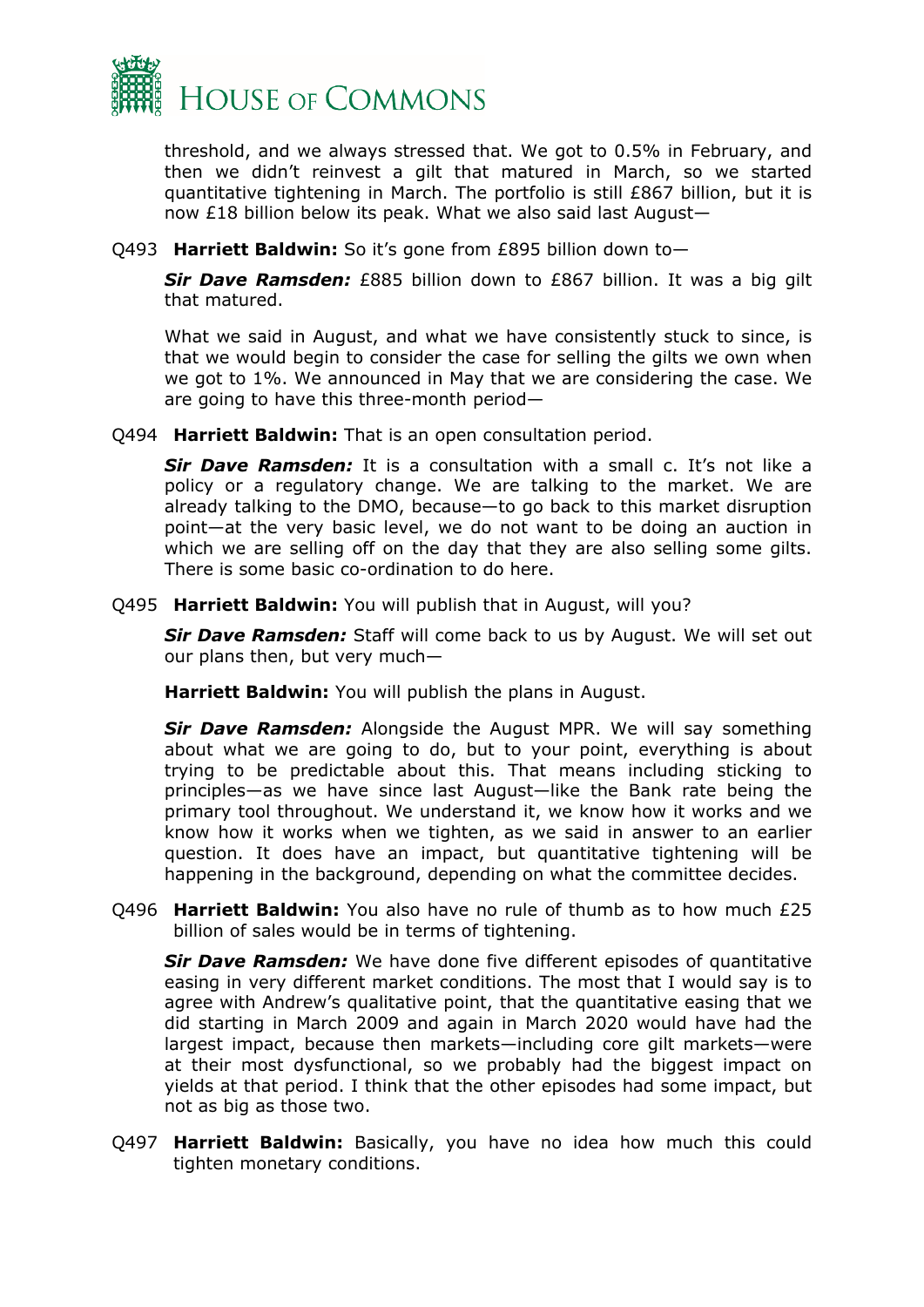

threshold, and we always stressed that. We got to 0.5% in February, and then we didn't reinvest a gilt that matured in March, so we started quantitative tightening in March. The portfolio is still £867 billion, but it is now £18 billion below its peak. What we also said last August—

#### Q493 **Harriett Baldwin:** So it's gone from £895 billion down to—

*Sir Dave Ramsden:* £885 billion down to £867 billion. It was a big gilt that matured.

What we said in August, and what we have consistently stuck to since, is that we would begin to consider the case for selling the gilts we own when we got to 1%. We announced in May that we are considering the case. We are going to have this three-month period—

Q494 **Harriett Baldwin:** That is an open consultation period.

*Sir Dave Ramsden:* It is a consultation with a small c. It's not like a policy or a regulatory change. We are talking to the market. We are already talking to the DMO, because—to go back to this market disruption point—at the very basic level, we do not want to be doing an auction in which we are selling off on the day that they are also selling some gilts. There is some basic co-ordination to do here.

Q495 **Harriett Baldwin:** You will publish that in August, will you?

*Sir Dave Ramsden:* Staff will come back to us by August. We will set out our plans then, but very much—

**Harriett Baldwin:** You will publish the plans in August.

*Sir Dave Ramsden:* Alongside the August MPR. We will say something about what we are going to do, but to your point, everything is about trying to be predictable about this. That means including sticking to principles—as we have since last August—like the Bank rate being the primary tool throughout. We understand it, we know how it works and we know how it works when we tighten, as we said in answer to an earlier question. It does have an impact, but quantitative tightening will be happening in the background, depending on what the committee decides.

Q496 **Harriett Baldwin:** You also have no rule of thumb as to how much £25 billion of sales would be in terms of tightening.

*Sir Dave Ramsden:* We have done five different episodes of quantitative easing in very different market conditions. The most that I would say is to agree with Andrew's qualitative point, that the quantitative easing that we did starting in March 2009 and again in March 2020 would have had the largest impact, because then markets—including core gilt markets—were at their most dysfunctional, so we probably had the biggest impact on yields at that period. I think that the other episodes had some impact, but not as big as those two.

Q497 **Harriett Baldwin:** Basically, you have no idea how much this could tighten monetary conditions.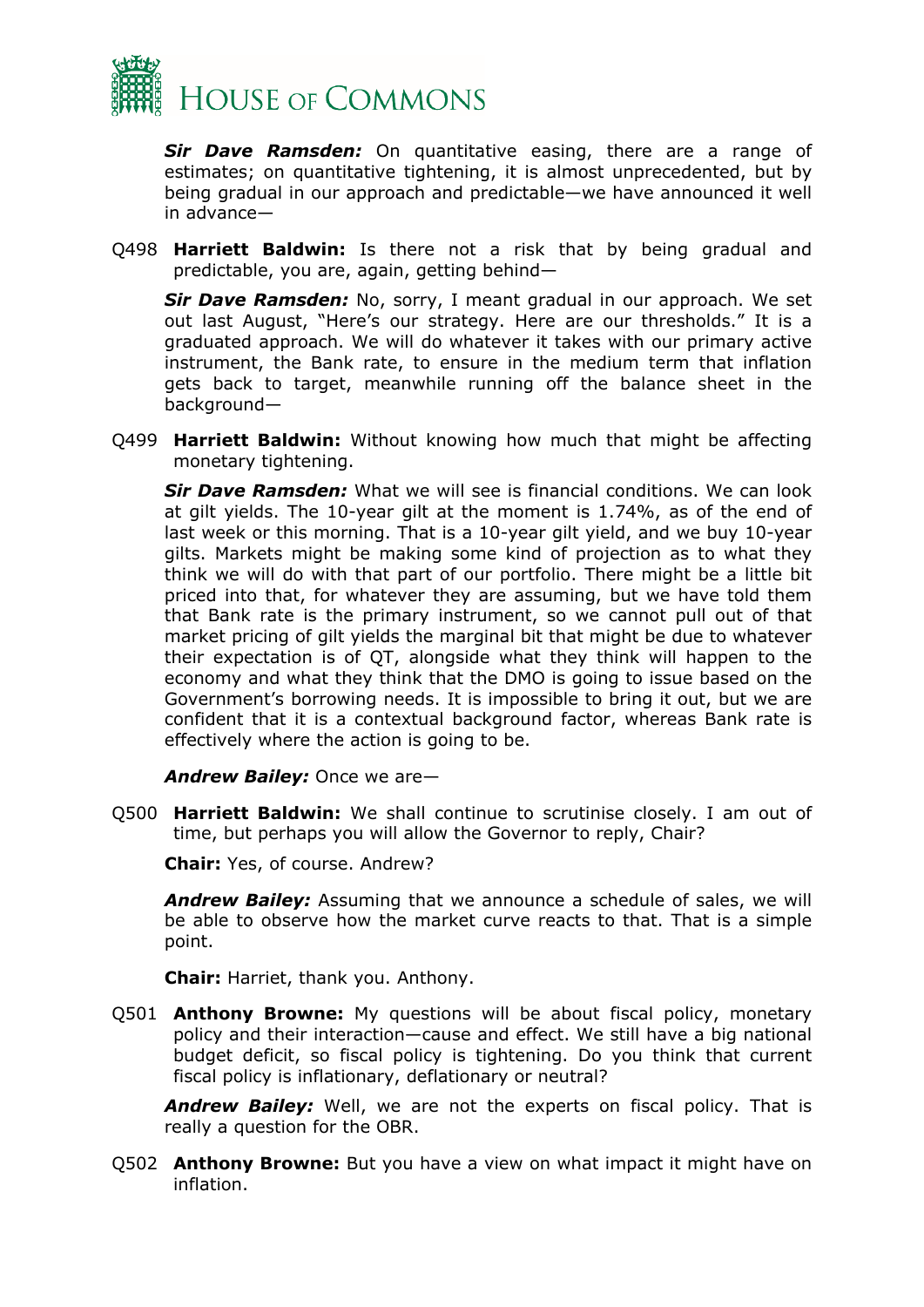

*Sir Dave Ramsden:* On quantitative easing, there are a range of estimates; on quantitative tightening, it is almost unprecedented, but by being gradual in our approach and predictable—we have announced it well in advance—

Q498 **Harriett Baldwin:** Is there not a risk that by being gradual and predictable, you are, again, getting behind—

*Sir Dave Ramsden:* No, sorry, I meant gradual in our approach. We set out last August, "Here's our strategy. Here are our thresholds." It is a graduated approach. We will do whatever it takes with our primary active instrument, the Bank rate, to ensure in the medium term that inflation gets back to target, meanwhile running off the balance sheet in the background—

Q499 **Harriett Baldwin:** Without knowing how much that might be affecting monetary tightening.

*Sir Dave Ramsden:* What we will see is financial conditions. We can look at gilt yields. The 10-year gilt at the moment is 1.74%, as of the end of last week or this morning. That is a 10-year gilt yield, and we buy 10-year gilts. Markets might be making some kind of projection as to what they think we will do with that part of our portfolio. There might be a little bit priced into that, for whatever they are assuming, but we have told them that Bank rate is the primary instrument, so we cannot pull out of that market pricing of gilt yields the marginal bit that might be due to whatever their expectation is of QT, alongside what they think will happen to the economy and what they think that the DMO is going to issue based on the Government's borrowing needs. It is impossible to bring it out, but we are confident that it is a contextual background factor, whereas Bank rate is effectively where the action is going to be.

*Andrew Bailey:* Once we are—

Q500 **Harriett Baldwin:** We shall continue to scrutinise closely. I am out of time, but perhaps you will allow the Governor to reply, Chair?

**Chair:** Yes, of course. Andrew?

*Andrew Bailey:* Assuming that we announce a schedule of sales, we will be able to observe how the market curve reacts to that. That is a simple point.

**Chair:** Harriet, thank you. Anthony.

Q501 **Anthony Browne:** My questions will be about fiscal policy, monetary policy and their interaction—cause and effect. We still have a big national budget deficit, so fiscal policy is tightening. Do you think that current fiscal policy is inflationary, deflationary or neutral?

*Andrew Bailey:* Well, we are not the experts on fiscal policy. That is really a question for the OBR.

Q502 **Anthony Browne:** But you have a view on what impact it might have on inflation.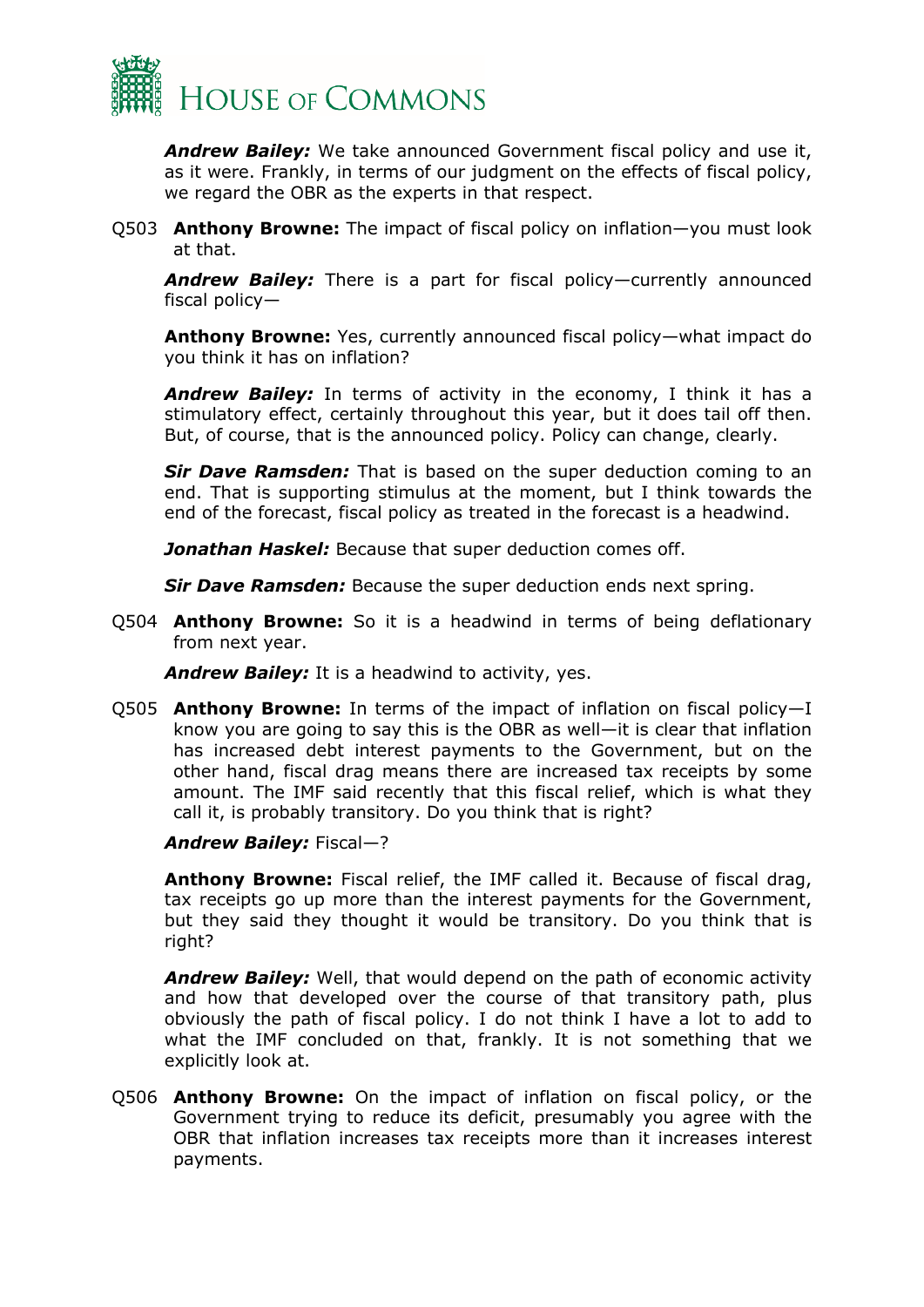

*Andrew Bailey:* We take announced Government fiscal policy and use it, as it were. Frankly, in terms of our judgment on the effects of fiscal policy, we regard the OBR as the experts in that respect.

Q503 **Anthony Browne:** The impact of fiscal policy on inflation—you must look at that.

*Andrew Bailey:* There is a part for fiscal policy—currently announced fiscal policy—

**Anthony Browne:** Yes, currently announced fiscal policy—what impact do you think it has on inflation?

*Andrew Bailey:* In terms of activity in the economy, I think it has a stimulatory effect, certainly throughout this year, but it does tail off then. But, of course, that is the announced policy. Policy can change, clearly.

**Sir Dave Ramsden:** That is based on the super deduction coming to an end. That is supporting stimulus at the moment, but I think towards the end of the forecast, fiscal policy as treated in the forecast is a headwind.

*Jonathan Haskel:* Because that super deduction comes off.

*Sir Dave Ramsden:* Because the super deduction ends next spring.

Q504 **Anthony Browne:** So it is a headwind in terms of being deflationary from next year.

*Andrew Bailey:* It is a headwind to activity, yes.

Q505 **Anthony Browne:** In terms of the impact of inflation on fiscal policy—I know you are going to say this is the OBR as well—it is clear that inflation has increased debt interest payments to the Government, but on the other hand, fiscal drag means there are increased tax receipts by some amount. The IMF said recently that this fiscal relief, which is what they call it, is probably transitory. Do you think that is right?

*Andrew Bailey:* Fiscal—?

**Anthony Browne:** Fiscal relief, the IMF called it. Because of fiscal drag, tax receipts go up more than the interest payments for the Government, but they said they thought it would be transitory. Do you think that is right?

*Andrew Bailey:* Well, that would depend on the path of economic activity and how that developed over the course of that transitory path, plus obviously the path of fiscal policy. I do not think I have a lot to add to what the IMF concluded on that, frankly. It is not something that we explicitly look at.

Q506 **Anthony Browne:** On the impact of inflation on fiscal policy, or the Government trying to reduce its deficit, presumably you agree with the OBR that inflation increases tax receipts more than it increases interest payments.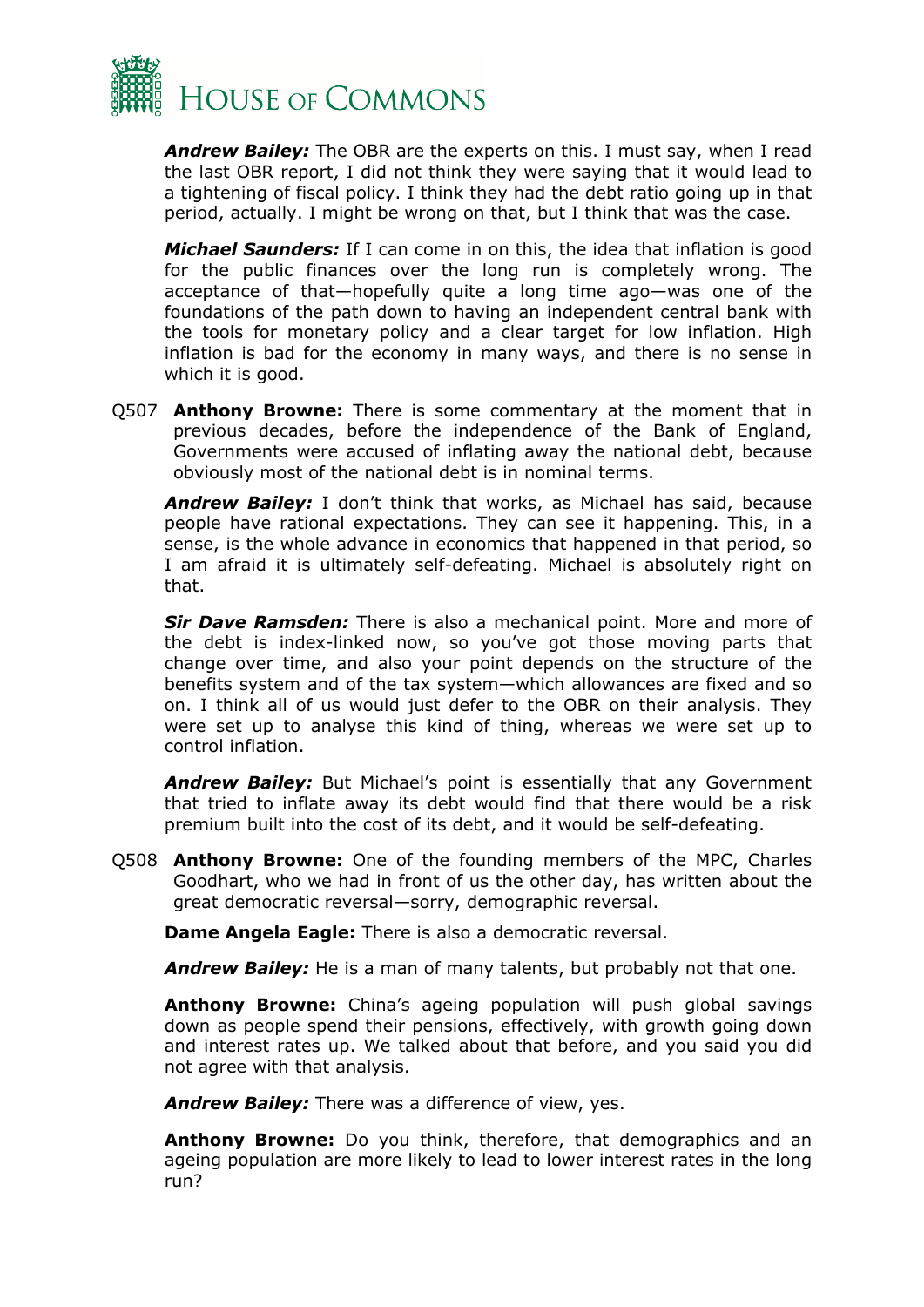

*Andrew Bailey:* The OBR are the experts on this. I must say, when I read the last OBR report, I did not think they were saying that it would lead to a tightening of fiscal policy. I think they had the debt ratio going up in that period, actually. I might be wrong on that, but I think that was the case.

*Michael Saunders:* If I can come in on this, the idea that inflation is good for the public finances over the long run is completely wrong. The acceptance of that—hopefully quite a long time ago—was one of the foundations of the path down to having an independent central bank with the tools for monetary policy and a clear target for low inflation. High inflation is bad for the economy in many ways, and there is no sense in which it is good.

Q507 **Anthony Browne:** There is some commentary at the moment that in previous decades, before the independence of the Bank of England, Governments were accused of inflating away the national debt, because obviously most of the national debt is in nominal terms.

*Andrew Bailey:* I don't think that works, as Michael has said, because people have rational expectations. They can see it happening. This, in a sense, is the whole advance in economics that happened in that period, so I am afraid it is ultimately self-defeating. Michael is absolutely right on that.

*Sir Dave Ramsden:* There is also a mechanical point. More and more of the debt is index-linked now, so you've got those moving parts that change over time, and also your point depends on the structure of the benefits system and of the tax system—which allowances are fixed and so on. I think all of us would just defer to the OBR on their analysis. They were set up to analyse this kind of thing, whereas we were set up to control inflation.

*Andrew Bailey:* But Michael's point is essentially that any Government that tried to inflate away its debt would find that there would be a risk premium built into the cost of its debt, and it would be self-defeating.

Q508 **Anthony Browne:** One of the founding members of the MPC, Charles Goodhart, who we had in front of us the other day, has written about the great democratic reversal—sorry, demographic reversal.

**Dame Angela Eagle:** There is also a democratic reversal.

*Andrew Bailey:* He is a man of many talents, but probably not that one.

**Anthony Browne:** China's ageing population will push global savings down as people spend their pensions, effectively, with growth going down and interest rates up. We talked about that before, and you said you did not agree with that analysis.

*Andrew Bailey:* There was a difference of view, yes.

**Anthony Browne:** Do you think, therefore, that demographics and an ageing population are more likely to lead to lower interest rates in the long run?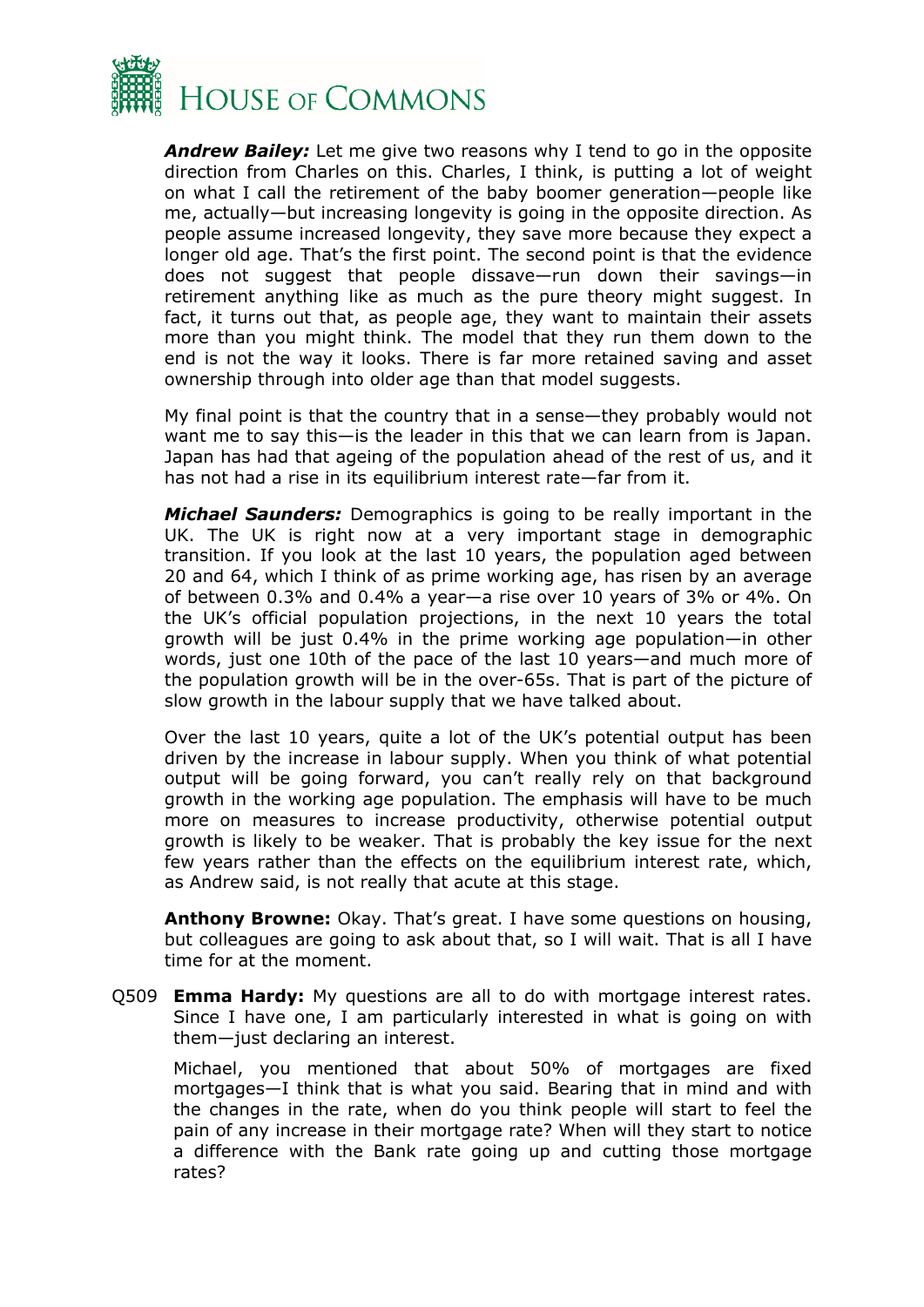

*Andrew Bailey:* Let me give two reasons why I tend to go in the opposite direction from Charles on this. Charles, I think, is putting a lot of weight on what I call the retirement of the baby boomer generation—people like me, actually—but increasing longevity is going in the opposite direction. As people assume increased longevity, they save more because they expect a longer old age. That's the first point. The second point is that the evidence does not suggest that people dissave—run down their savings—in retirement anything like as much as the pure theory might suggest. In fact, it turns out that, as people age, they want to maintain their assets more than you might think. The model that they run them down to the end is not the way it looks. There is far more retained saving and asset ownership through into older age than that model suggests.

My final point is that the country that in a sense—they probably would not want me to say this—is the leader in this that we can learn from is Japan. Japan has had that ageing of the population ahead of the rest of us, and it has not had a rise in its equilibrium interest rate—far from it.

*Michael Saunders:* Demographics is going to be really important in the UK. The UK is right now at a very important stage in demographic transition. If you look at the last 10 years, the population aged between 20 and 64, which I think of as prime working age, has risen by an average of between 0.3% and 0.4% a year—a rise over 10 years of 3% or 4%. On the UK's official population projections, in the next 10 years the total growth will be just 0.4% in the prime working age population—in other words, just one 10th of the pace of the last 10 years—and much more of the population growth will be in the over-65s. That is part of the picture of slow growth in the labour supply that we have talked about.

Over the last 10 years, quite a lot of the UK's potential output has been driven by the increase in labour supply. When you think of what potential output will be going forward, you can't really rely on that background growth in the working age population. The emphasis will have to be much more on measures to increase productivity, otherwise potential output growth is likely to be weaker. That is probably the key issue for the next few years rather than the effects on the equilibrium interest rate, which, as Andrew said, is not really that acute at this stage.

**Anthony Browne:** Okay. That's great. I have some questions on housing, but colleagues are going to ask about that, so I will wait. That is all I have time for at the moment.

Q509 **Emma Hardy:** My questions are all to do with mortgage interest rates. Since I have one, I am particularly interested in what is going on with them—just declaring an interest.

Michael, you mentioned that about 50% of mortgages are fixed mortgages—I think that is what you said. Bearing that in mind and with the changes in the rate, when do you think people will start to feel the pain of any increase in their mortgage rate? When will they start to notice a difference with the Bank rate going up and cutting those mortgage rates?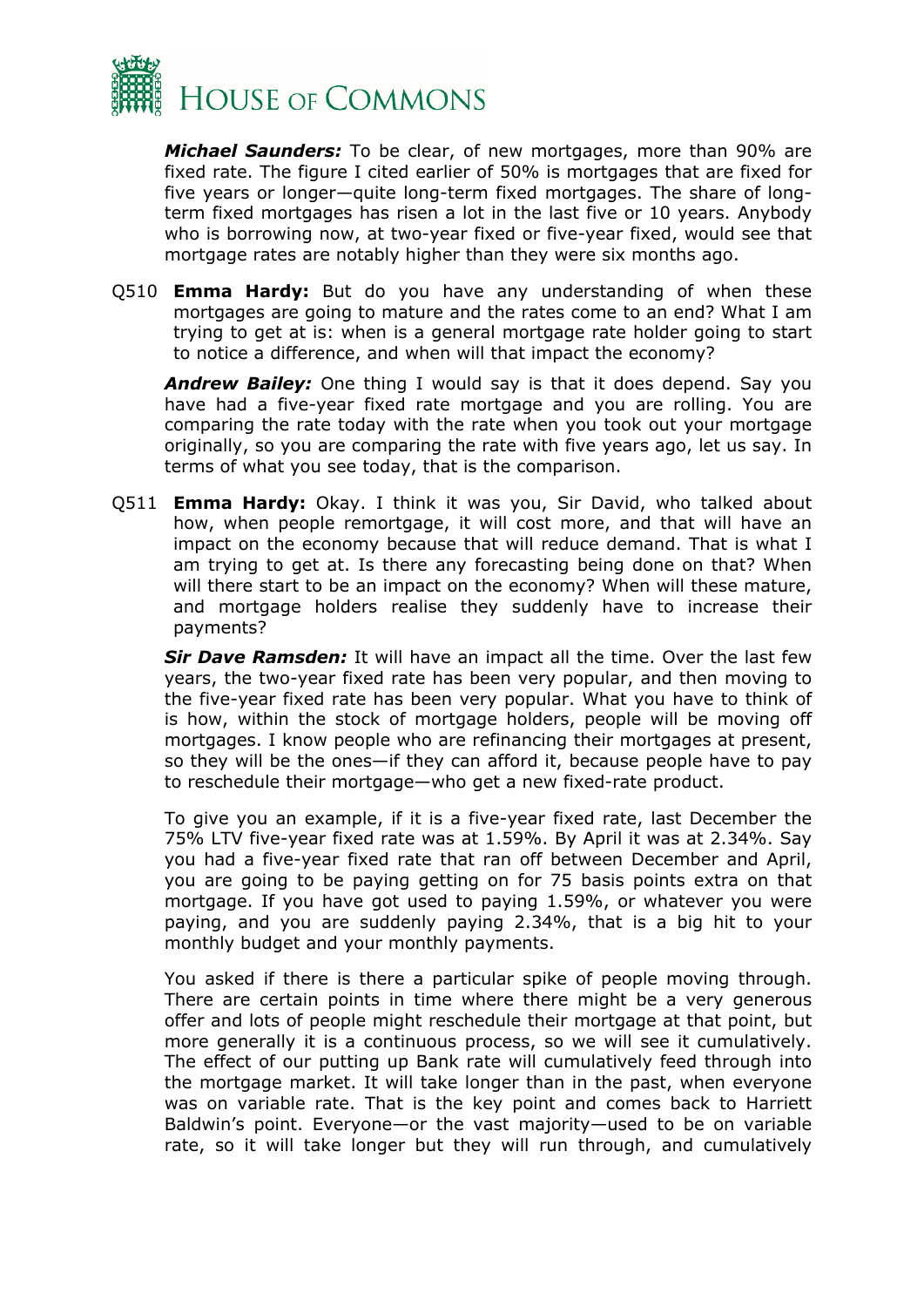

*Michael Saunders:* To be clear, of new mortgages, more than 90% are fixed rate. The figure I cited earlier of 50% is mortgages that are fixed for five years or longer—quite long-term fixed mortgages. The share of longterm fixed mortgages has risen a lot in the last five or 10 years. Anybody who is borrowing now, at two-year fixed or five-year fixed, would see that mortgage rates are notably higher than they were six months ago.

Q510 **Emma Hardy:** But do you have any understanding of when these mortgages are going to mature and the rates come to an end? What I am trying to get at is: when is a general mortgage rate holder going to start to notice a difference, and when will that impact the economy?

*Andrew Bailey:* One thing I would say is that it does depend. Say you have had a five-year fixed rate mortgage and you are rolling. You are comparing the rate today with the rate when you took out your mortgage originally, so you are comparing the rate with five years ago, let us say. In terms of what you see today, that is the comparison.

Q511 **Emma Hardy:** Okay. I think it was you, Sir David, who talked about how, when people remortgage, it will cost more, and that will have an impact on the economy because that will reduce demand. That is what I am trying to get at. Is there any forecasting being done on that? When will there start to be an impact on the economy? When will these mature, and mortgage holders realise they suddenly have to increase their payments?

*Sir Dave Ramsden:* It will have an impact all the time. Over the last few years, the two-year fixed rate has been very popular, and then moving to the five-year fixed rate has been very popular. What you have to think of is how, within the stock of mortgage holders, people will be moving off mortgages. I know people who are refinancing their mortgages at present, so they will be the ones—if they can afford it, because people have to pay to reschedule their mortgage—who get a new fixed-rate product.

To give you an example, if it is a five-year fixed rate, last December the 75% LTV five-year fixed rate was at 1.59%. By April it was at 2.34%. Say you had a five-year fixed rate that ran off between December and April, you are going to be paying getting on for 75 basis points extra on that mortgage. If you have got used to paying 1.59%, or whatever you were paying, and you are suddenly paying 2.34%, that is a big hit to your monthly budget and your monthly payments.

You asked if there is there a particular spike of people moving through. There are certain points in time where there might be a very generous offer and lots of people might reschedule their mortgage at that point, but more generally it is a continuous process, so we will see it cumulatively. The effect of our putting up Bank rate will cumulatively feed through into the mortgage market. It will take longer than in the past, when everyone was on variable rate. That is the key point and comes back to Harriett Baldwin's point. Everyone—or the vast majority—used to be on variable rate, so it will take longer but they will run through, and cumulatively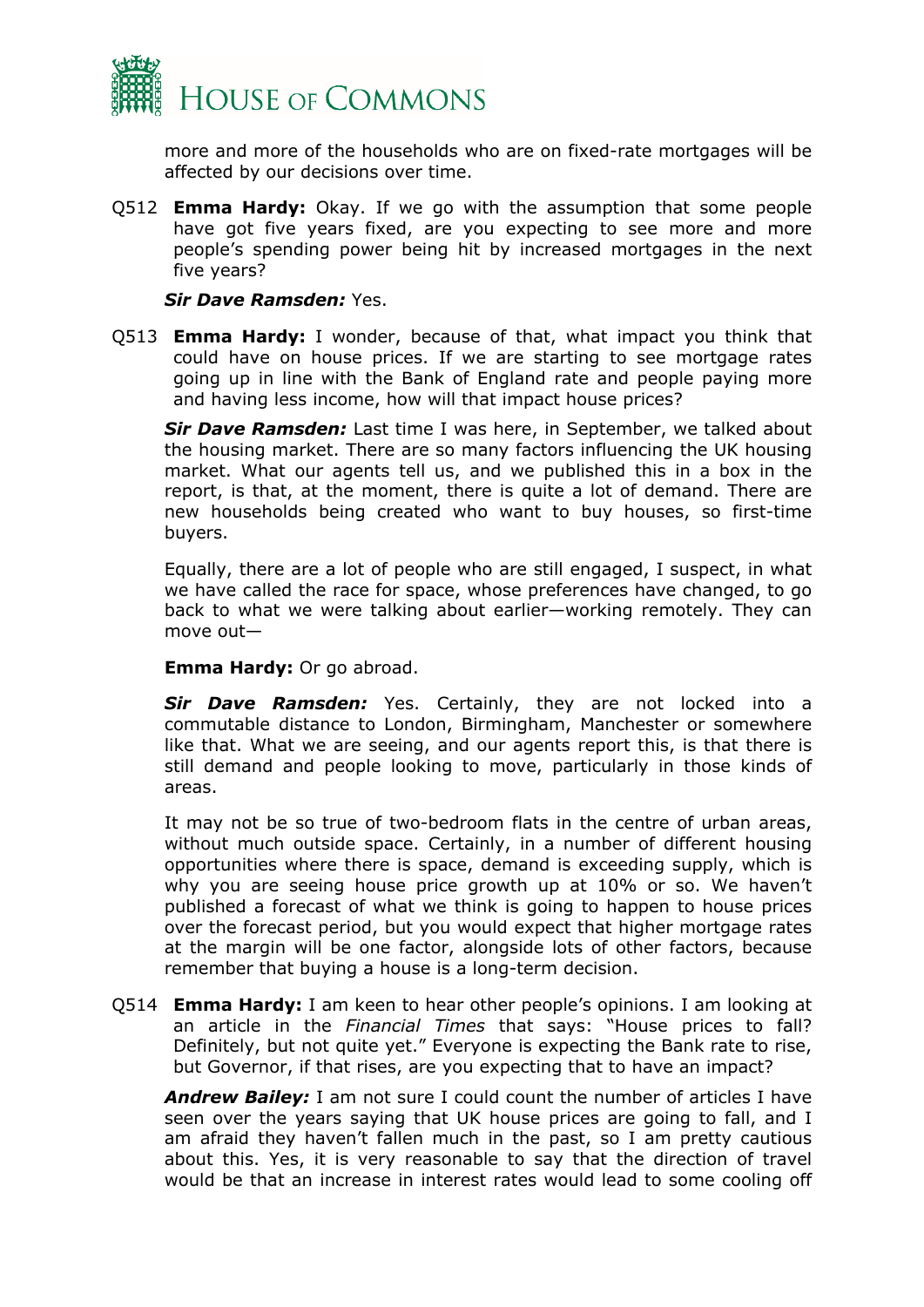

more and more of the households who are on fixed-rate mortgages will be affected by our decisions over time.

Q512 **Emma Hardy:** Okay. If we go with the assumption that some people have got five years fixed, are you expecting to see more and more people's spending power being hit by increased mortgages in the next five years?

*Sir Dave Ramsden:* Yes.

Q513 **Emma Hardy:** I wonder, because of that, what impact you think that could have on house prices. If we are starting to see mortgage rates going up in line with the Bank of England rate and people paying more and having less income, how will that impact house prices?

*Sir Dave Ramsden:* Last time I was here, in September, we talked about the housing market. There are so many factors influencing the UK housing market. What our agents tell us, and we published this in a box in the report, is that, at the moment, there is quite a lot of demand. There are new households being created who want to buy houses, so first-time buyers.

Equally, there are a lot of people who are still engaged, I suspect, in what we have called the race for space, whose preferences have changed, to go back to what we were talking about earlier—working remotely. They can move out—

**Emma Hardy:** Or go abroad.

*Sir Dave Ramsden:* Yes. Certainly, they are not locked into a commutable distance to London, Birmingham, Manchester or somewhere like that. What we are seeing, and our agents report this, is that there is still demand and people looking to move, particularly in those kinds of areas.

It may not be so true of two-bedroom flats in the centre of urban areas, without much outside space. Certainly, in a number of different housing opportunities where there is space, demand is exceeding supply, which is why you are seeing house price growth up at 10% or so. We haven't published a forecast of what we think is going to happen to house prices over the forecast period, but you would expect that higher mortgage rates at the margin will be one factor, alongside lots of other factors, because remember that buying a house is a long-term decision.

Q514 **Emma Hardy:** I am keen to hear other people's opinions. I am looking at an article in the *Financial Times* that says: "House prices to fall? Definitely, but not quite yet." Everyone is expecting the Bank rate to rise, but Governor, if that rises, are you expecting that to have an impact?

*Andrew Bailey:* I am not sure I could count the number of articles I have seen over the years saying that UK house prices are going to fall, and I am afraid they haven't fallen much in the past, so I am pretty cautious about this. Yes, it is very reasonable to say that the direction of travel would be that an increase in interest rates would lead to some cooling off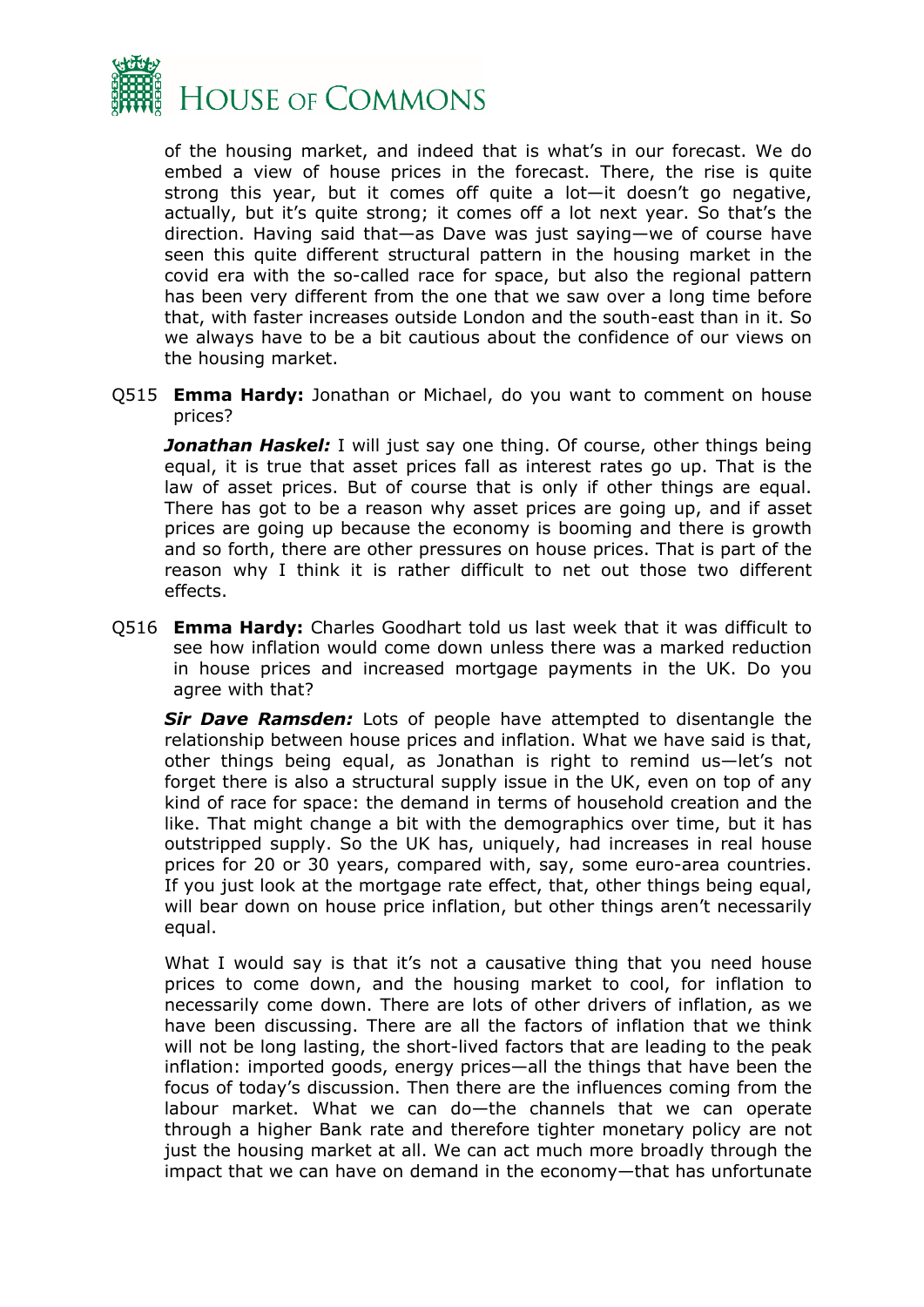

of the housing market, and indeed that is what's in our forecast. We do embed a view of house prices in the forecast. There, the rise is quite strong this year, but it comes off quite a lot—it doesn't go negative, actually, but it's quite strong; it comes off a lot next year. So that's the direction. Having said that—as Dave was just saying—we of course have seen this quite different structural pattern in the housing market in the covid era with the so-called race for space, but also the regional pattern has been very different from the one that we saw over a long time before that, with faster increases outside London and the south-east than in it. So we always have to be a bit cautious about the confidence of our views on the housing market.

Q515 **Emma Hardy:** Jonathan or Michael, do you want to comment on house prices?

**Jonathan Haskel:** I will just say one thing. Of course, other things being equal, it is true that asset prices fall as interest rates go up. That is the law of asset prices. But of course that is only if other things are equal. There has got to be a reason why asset prices are going up, and if asset prices are going up because the economy is booming and there is growth and so forth, there are other pressures on house prices. That is part of the reason why I think it is rather difficult to net out those two different effects.

Q516 **Emma Hardy:** Charles Goodhart told us last week that it was difficult to see how inflation would come down unless there was a marked reduction in house prices and increased mortgage payments in the UK. Do you agree with that?

*Sir Dave Ramsden:* Lots of people have attempted to disentangle the relationship between house prices and inflation. What we have said is that, other things being equal, as Jonathan is right to remind us—let's not forget there is also a structural supply issue in the UK, even on top of any kind of race for space: the demand in terms of household creation and the like. That might change a bit with the demographics over time, but it has outstripped supply. So the UK has, uniquely, had increases in real house prices for 20 or 30 years, compared with, say, some euro-area countries. If you just look at the mortgage rate effect, that, other things being equal, will bear down on house price inflation, but other things aren't necessarily equal.

What I would say is that it's not a causative thing that you need house prices to come down, and the housing market to cool, for inflation to necessarily come down. There are lots of other drivers of inflation, as we have been discussing. There are all the factors of inflation that we think will not be long lasting, the short-lived factors that are leading to the peak inflation: imported goods, energy prices—all the things that have been the focus of today's discussion. Then there are the influences coming from the labour market. What we can do—the channels that we can operate through a higher Bank rate and therefore tighter monetary policy are not just the housing market at all. We can act much more broadly through the impact that we can have on demand in the economy—that has unfortunate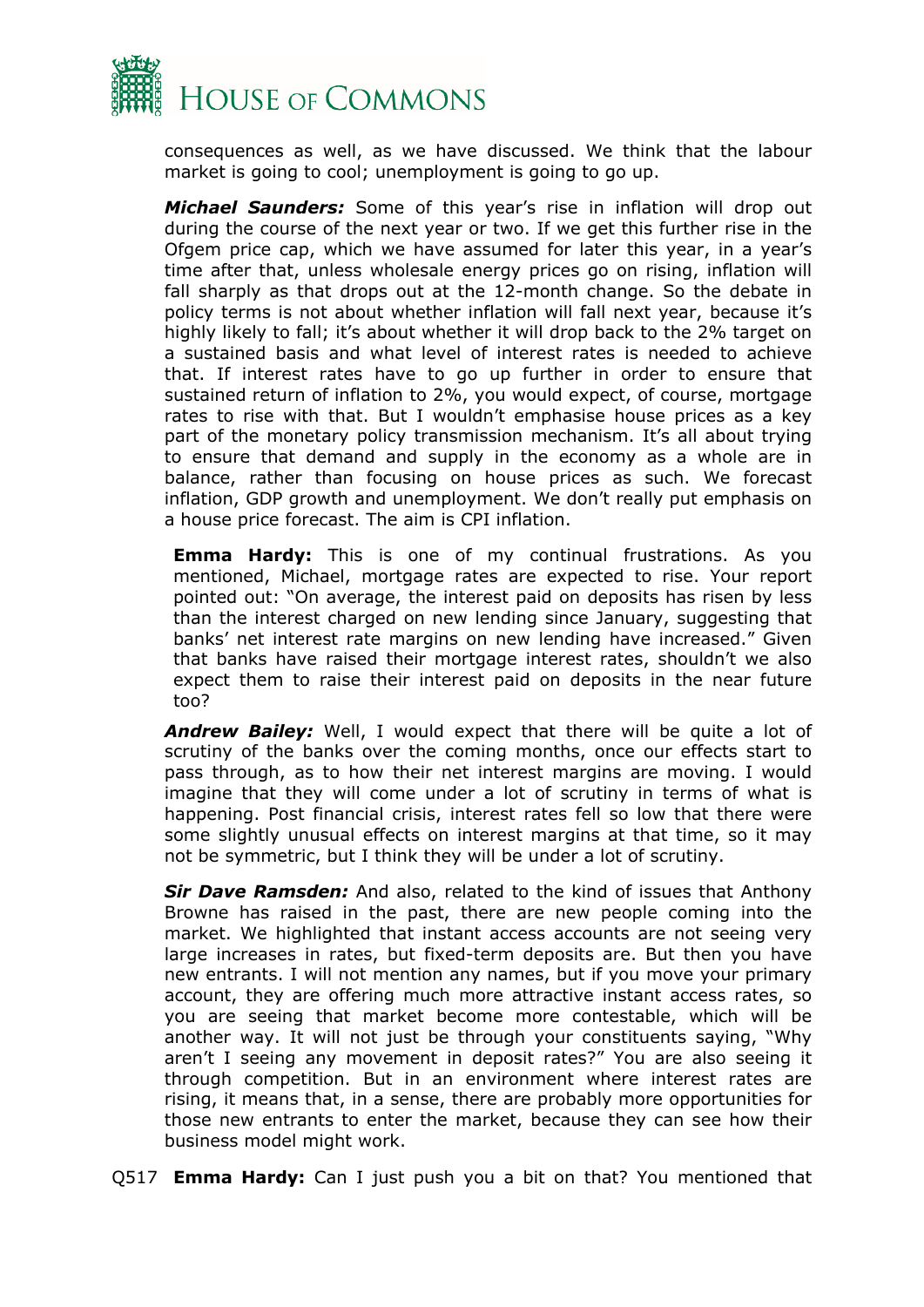

consequences as well, as we have discussed. We think that the labour market is going to cool; unemployment is going to go up.

*Michael Saunders:* Some of this year's rise in inflation will drop out during the course of the next year or two. If we get this further rise in the Ofgem price cap, which we have assumed for later this year, in a year's time after that, unless wholesale energy prices go on rising, inflation will fall sharply as that drops out at the 12-month change. So the debate in policy terms is not about whether inflation will fall next year, because it's highly likely to fall; it's about whether it will drop back to the 2% target on a sustained basis and what level of interest rates is needed to achieve that. If interest rates have to go up further in order to ensure that sustained return of inflation to 2%, you would expect, of course, mortgage rates to rise with that. But I wouldn't emphasise house prices as a key part of the monetary policy transmission mechanism. It's all about trying to ensure that demand and supply in the economy as a whole are in balance, rather than focusing on house prices as such. We forecast inflation, GDP growth and unemployment. We don't really put emphasis on a house price forecast. The aim is CPI inflation.

**Emma Hardy:** This is one of my continual frustrations. As you mentioned, Michael, mortgage rates are expected to rise. Your report pointed out: "On average, the interest paid on deposits has risen by less than the interest charged on new lending since January, suggesting that banks' net interest rate margins on new lending have increased." Given that banks have raised their mortgage interest rates, shouldn't we also expect them to raise their interest paid on deposits in the near future too?

*Andrew Bailey:* Well, I would expect that there will be quite a lot of scrutiny of the banks over the coming months, once our effects start to pass through, as to how their net interest margins are moving. I would imagine that they will come under a lot of scrutiny in terms of what is happening. Post financial crisis, interest rates fell so low that there were some slightly unusual effects on interest margins at that time, so it may not be symmetric, but I think they will be under a lot of scrutiny.

*Sir Dave Ramsden:* And also, related to the kind of issues that Anthony Browne has raised in the past, there are new people coming into the market. We highlighted that instant access accounts are not seeing very large increases in rates, but fixed-term deposits are. But then you have new entrants. I will not mention any names, but if you move your primary account, they are offering much more attractive instant access rates, so you are seeing that market become more contestable, which will be another way. It will not just be through your constituents saying, "Why aren't I seeing any movement in deposit rates?" You are also seeing it through competition. But in an environment where interest rates are rising, it means that, in a sense, there are probably more opportunities for those new entrants to enter the market, because they can see how their business model might work.

Q517 **Emma Hardy:** Can I just push you a bit on that? You mentioned that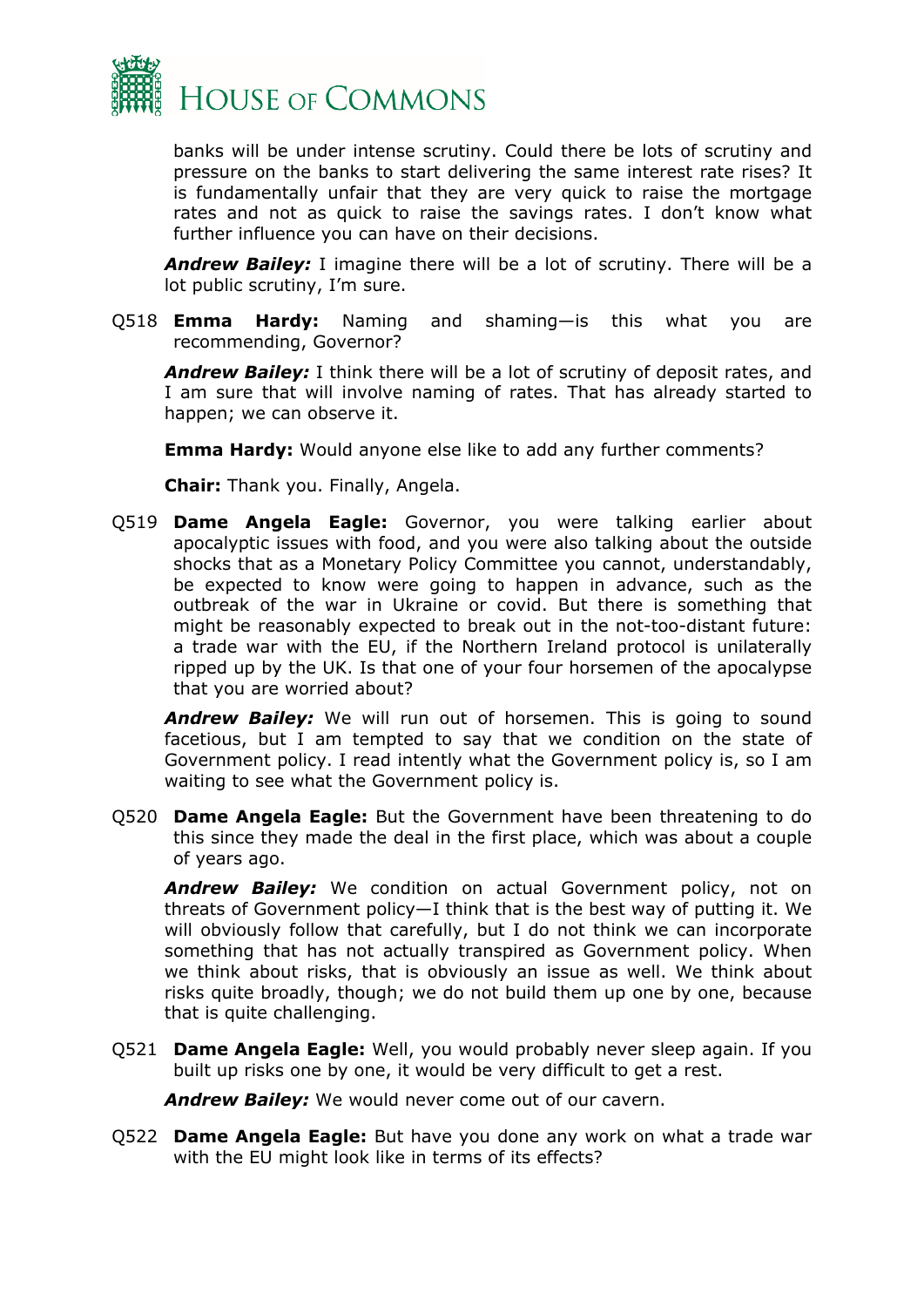

banks will be under intense scrutiny. Could there be lots of scrutiny and pressure on the banks to start delivering the same interest rate rises? It is fundamentally unfair that they are very quick to raise the mortgage rates and not as quick to raise the savings rates. I don't know what further influence you can have on their decisions.

*Andrew Bailey:* I imagine there will be a lot of scrutiny. There will be a lot public scrutiny, I'm sure.

Q518 **Emma Hardy:** Naming and shaming—is this what you are recommending, Governor?

*Andrew Bailey:* I think there will be a lot of scrutiny of deposit rates, and I am sure that will involve naming of rates. That has already started to happen; we can observe it.

**Emma Hardy:** Would anyone else like to add any further comments?

**Chair:** Thank you. Finally, Angela.

Q519 **Dame Angela Eagle:** Governor, you were talking earlier about apocalyptic issues with food, and you were also talking about the outside shocks that as a Monetary Policy Committee you cannot, understandably, be expected to know were going to happen in advance, such as the outbreak of the war in Ukraine or covid. But there is something that might be reasonably expected to break out in the not-too-distant future: a trade war with the EU, if the Northern Ireland protocol is unilaterally ripped up by the UK. Is that one of your four horsemen of the apocalypse that you are worried about?

*Andrew Bailey:* We will run out of horsemen. This is going to sound facetious, but I am tempted to say that we condition on the state of Government policy. I read intently what the Government policy is, so I am waiting to see what the Government policy is.

Q520 **Dame Angela Eagle:** But the Government have been threatening to do this since they made the deal in the first place, which was about a couple of years ago.

*Andrew Bailey:* We condition on actual Government policy, not on threats of Government policy—I think that is the best way of putting it. We will obviously follow that carefully, but I do not think we can incorporate something that has not actually transpired as Government policy. When we think about risks, that is obviously an issue as well. We think about risks quite broadly, though; we do not build them up one by one, because that is quite challenging.

Q521 **Dame Angela Eagle:** Well, you would probably never sleep again. If you built up risks one by one, it would be very difficult to get a rest.

*Andrew Bailey:* We would never come out of our cavern.

Q522 **Dame Angela Eagle:** But have you done any work on what a trade war with the EU might look like in terms of its effects?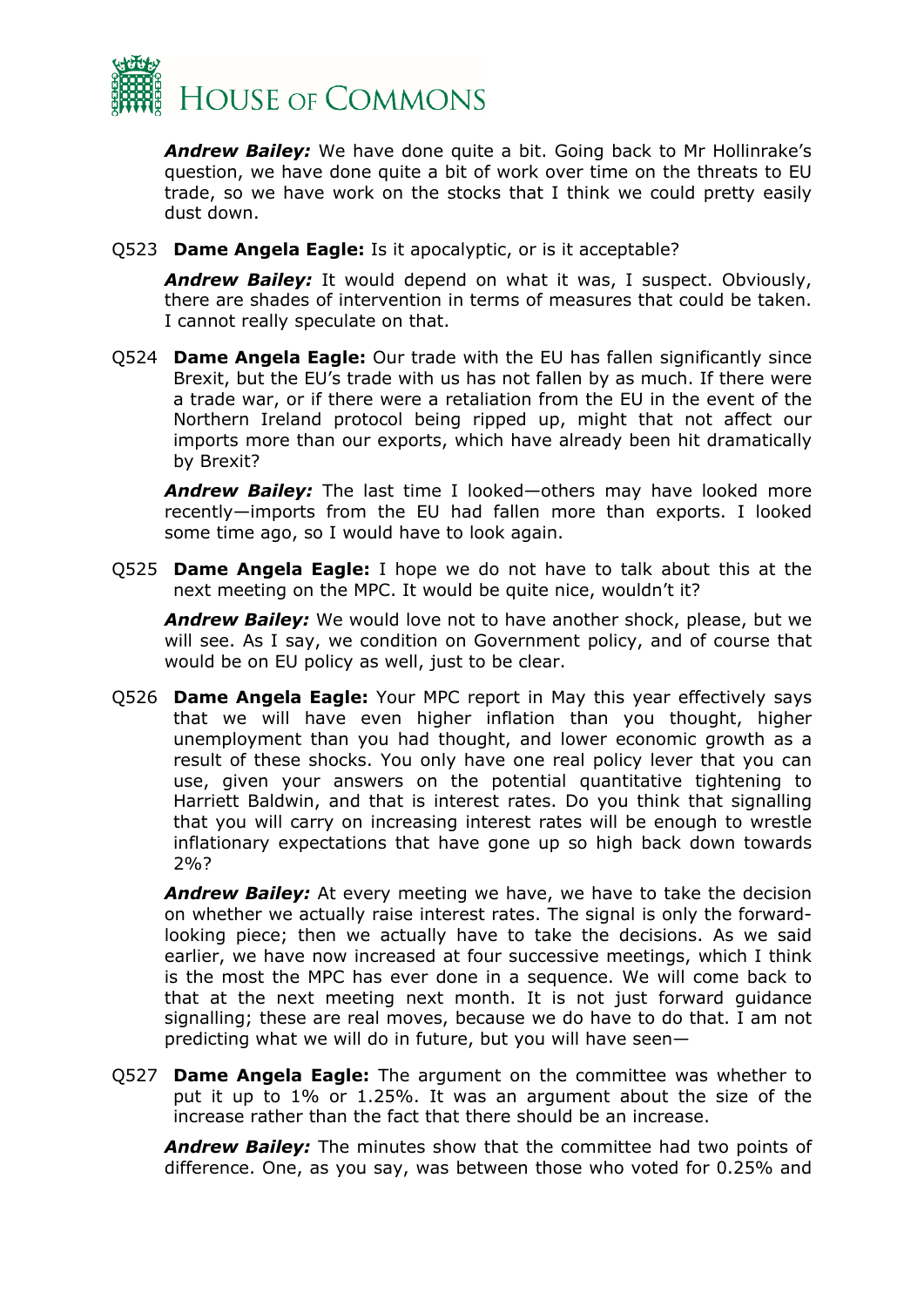

*Andrew Bailey:* We have done quite a bit. Going back to Mr Hollinrake's question, we have done quite a bit of work over time on the threats to EU trade, so we have work on the stocks that I think we could pretty easily dust down.

Q523 **Dame Angela Eagle:** Is it apocalyptic, or is it acceptable?

*Andrew Bailey:* It would depend on what it was, I suspect. Obviously, there are shades of intervention in terms of measures that could be taken. I cannot really speculate on that.

Q524 **Dame Angela Eagle:** Our trade with the EU has fallen significantly since Brexit, but the EU's trade with us has not fallen by as much. If there were a trade war, or if there were a retaliation from the EU in the event of the Northern Ireland protocol being ripped up, might that not affect our imports more than our exports, which have already been hit dramatically by Brexit?

*Andrew Bailey:* The last time I looked—others may have looked more recently—imports from the EU had fallen more than exports. I looked some time ago, so I would have to look again.

Q525 **Dame Angela Eagle:** I hope we do not have to talk about this at the next meeting on the MPC. It would be quite nice, wouldn't it?

*Andrew Bailey:* We would love not to have another shock, please, but we will see. As I say, we condition on Government policy, and of course that would be on EU policy as well, just to be clear.

Q526 **Dame Angela Eagle:** Your MPC report in May this year effectively says that we will have even higher inflation than you thought, higher unemployment than you had thought, and lower economic growth as a result of these shocks. You only have one real policy lever that you can use, given your answers on the potential quantitative tightening to Harriett Baldwin, and that is interest rates. Do you think that signalling that you will carry on increasing interest rates will be enough to wrestle inflationary expectations that have gone up so high back down towards 2%?

*Andrew Bailey:* At every meeting we have, we have to take the decision on whether we actually raise interest rates. The signal is only the forwardlooking piece; then we actually have to take the decisions. As we said earlier, we have now increased at four successive meetings, which I think is the most the MPC has ever done in a sequence. We will come back to that at the next meeting next month. It is not just forward guidance signalling; these are real moves, because we do have to do that. I am not predicting what we will do in future, but you will have seen—

Q527 **Dame Angela Eagle:** The argument on the committee was whether to put it up to 1% or 1.25%. It was an argument about the size of the increase rather than the fact that there should be an increase.

*Andrew Bailey:* The minutes show that the committee had two points of difference. One, as you say, was between those who voted for 0.25% and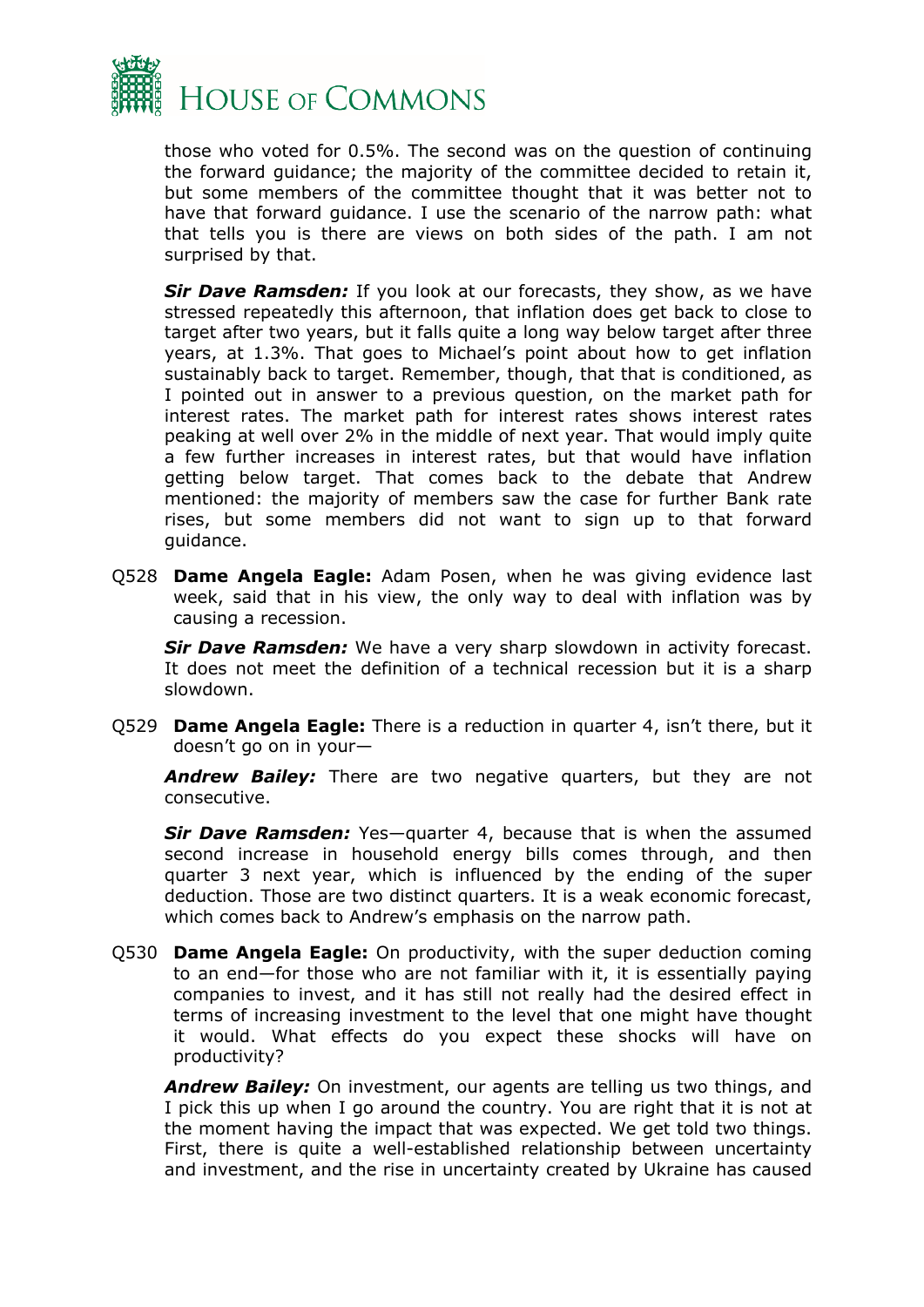

those who voted for 0.5%. The second was on the question of continuing the forward guidance; the majority of the committee decided to retain it, but some members of the committee thought that it was better not to have that forward guidance. I use the scenario of the narrow path: what that tells you is there are views on both sides of the path. I am not surprised by that.

*Sir Dave Ramsden:* If you look at our forecasts, they show, as we have stressed repeatedly this afternoon, that inflation does get back to close to target after two years, but it falls quite a long way below target after three years, at 1.3%. That goes to Michael's point about how to get inflation sustainably back to target. Remember, though, that that is conditioned, as I pointed out in answer to a previous question, on the market path for interest rates. The market path for interest rates shows interest rates peaking at well over 2% in the middle of next year. That would imply quite a few further increases in interest rates, but that would have inflation getting below target. That comes back to the debate that Andrew mentioned: the majority of members saw the case for further Bank rate rises, but some members did not want to sign up to that forward guidance.

Q528 **Dame Angela Eagle:** Adam Posen, when he was giving evidence last week, said that in his view, the only way to deal with inflation was by causing a recession.

*Sir Dave Ramsden:* We have a very sharp slowdown in activity forecast. It does not meet the definition of a technical recession but it is a sharp slowdown.

Q529 **Dame Angela Eagle:** There is a reduction in quarter 4, isn't there, but it doesn't go on in your—

*Andrew Bailey:* There are two negative quarters, but they are not consecutive.

*Sir Dave Ramsden:* Yes—quarter 4, because that is when the assumed second increase in household energy bills comes through, and then quarter 3 next year, which is influenced by the ending of the super deduction. Those are two distinct quarters. It is a weak economic forecast, which comes back to Andrew's emphasis on the narrow path.

Q530 **Dame Angela Eagle:** On productivity, with the super deduction coming to an end—for those who are not familiar with it, it is essentially paying companies to invest, and it has still not really had the desired effect in terms of increasing investment to the level that one might have thought it would. What effects do you expect these shocks will have on productivity?

*Andrew Bailey:* On investment, our agents are telling us two things, and I pick this up when I go around the country. You are right that it is not at the moment having the impact that was expected. We get told two things. First, there is quite a well-established relationship between uncertainty and investment, and the rise in uncertainty created by Ukraine has caused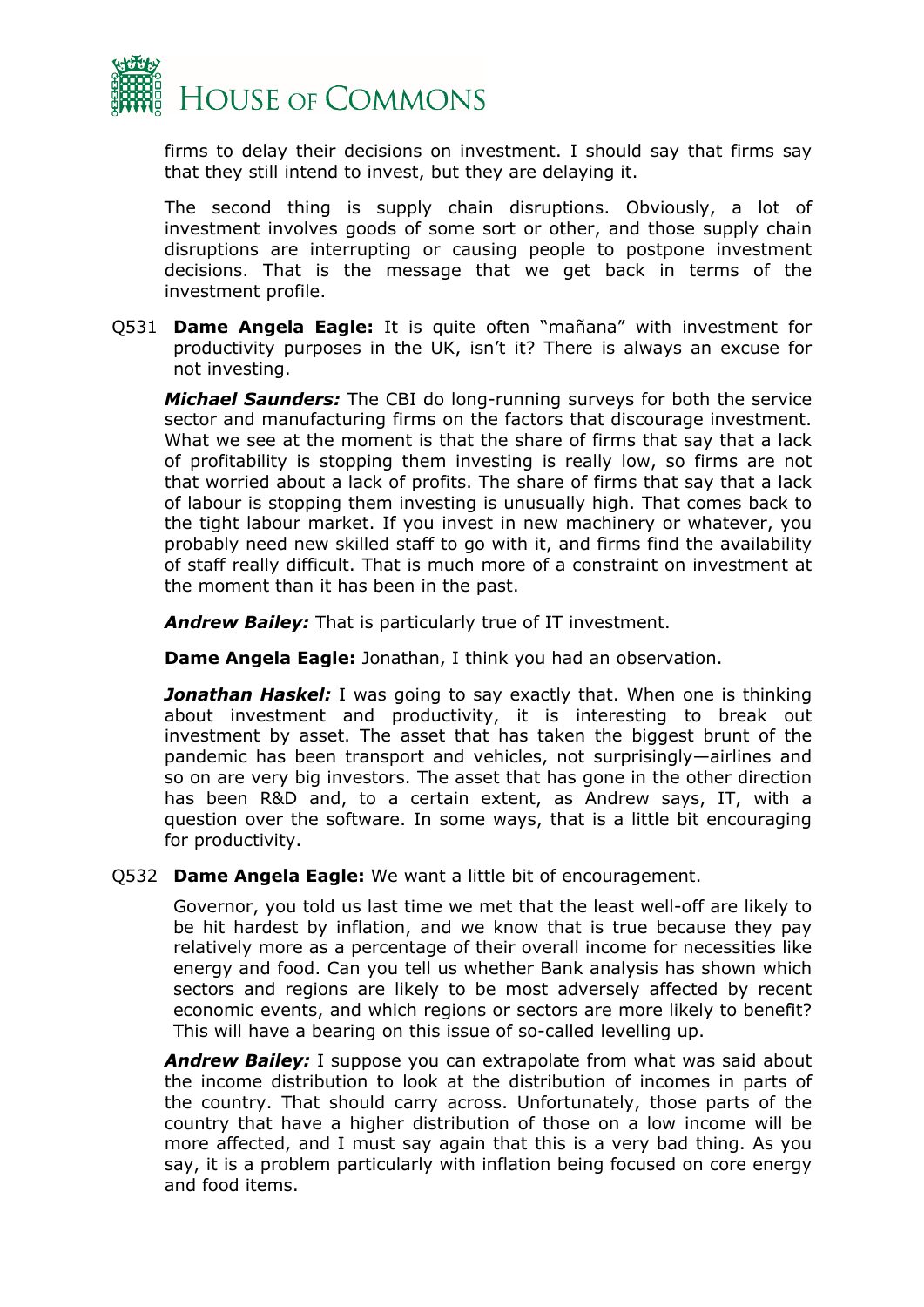

firms to delay their decisions on investment. I should say that firms say that they still intend to invest, but they are delaying it.

The second thing is supply chain disruptions. Obviously, a lot of investment involves goods of some sort or other, and those supply chain disruptions are interrupting or causing people to postpone investment decisions. That is the message that we get back in terms of the investment profile.

Q531 **Dame Angela Eagle:** It is quite often "mañana" with investment for productivity purposes in the UK, isn't it? There is always an excuse for not investing.

*Michael Saunders:* The CBI do long-running surveys for both the service sector and manufacturing firms on the factors that discourage investment. What we see at the moment is that the share of firms that say that a lack of profitability is stopping them investing is really low, so firms are not that worried about a lack of profits. The share of firms that say that a lack of labour is stopping them investing is unusually high. That comes back to the tight labour market. If you invest in new machinery or whatever, you probably need new skilled staff to go with it, and firms find the availability of staff really difficult. That is much more of a constraint on investment at the moment than it has been in the past.

*Andrew Bailey:* That is particularly true of IT investment.

**Dame Angela Eagle:** Jonathan, I think you had an observation.

**Jonathan Haskel:** I was going to say exactly that. When one is thinking about investment and productivity, it is interesting to break out investment by asset. The asset that has taken the biggest brunt of the pandemic has been transport and vehicles, not surprisingly—airlines and so on are very big investors. The asset that has gone in the other direction has been R&D and, to a certain extent, as Andrew says, IT, with a question over the software. In some ways, that is a little bit encouraging for productivity.

Q532 **Dame Angela Eagle:** We want a little bit of encouragement.

Governor, you told us last time we met that the least well-off are likely to be hit hardest by inflation, and we know that is true because they pay relatively more as a percentage of their overall income for necessities like energy and food. Can you tell us whether Bank analysis has shown which sectors and regions are likely to be most adversely affected by recent economic events, and which regions or sectors are more likely to benefit? This will have a bearing on this issue of so-called levelling up.

*Andrew Bailey:* I suppose you can extrapolate from what was said about the income distribution to look at the distribution of incomes in parts of the country. That should carry across. Unfortunately, those parts of the country that have a higher distribution of those on a low income will be more affected, and I must say again that this is a very bad thing. As you say, it is a problem particularly with inflation being focused on core energy and food items.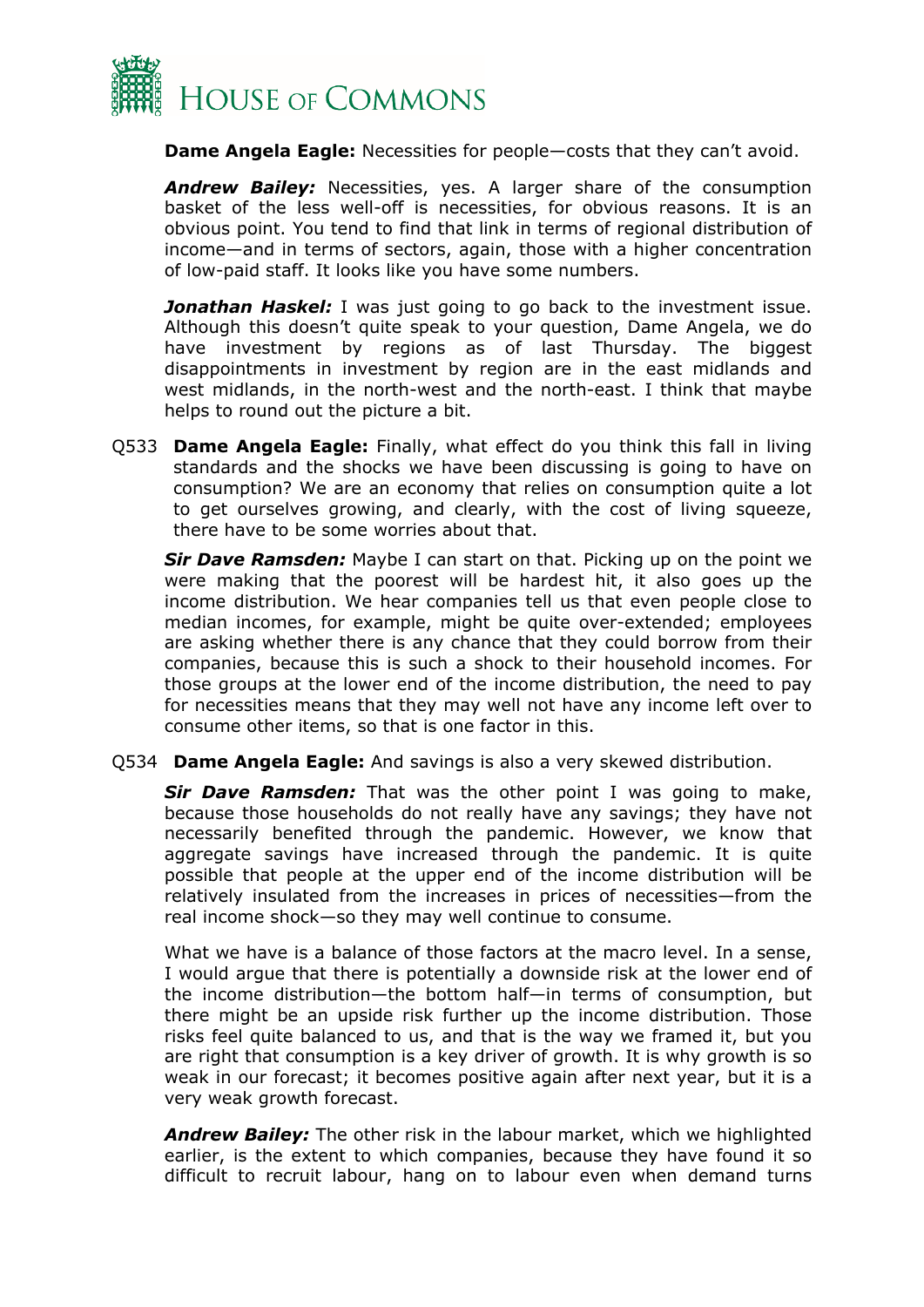

**Dame Angela Eagle:** Necessities for people—costs that they can't avoid.

*Andrew Bailey:* Necessities, yes. A larger share of the consumption basket of the less well-off is necessities, for obvious reasons. It is an obvious point. You tend to find that link in terms of regional distribution of income—and in terms of sectors, again, those with a higher concentration of low-paid staff. It looks like you have some numbers.

**Jonathan Haskel:** I was just going to go back to the investment issue. Although this doesn't quite speak to your question, Dame Angela, we do have investment by regions as of last Thursday. The biggest disappointments in investment by region are in the east midlands and west midlands, in the north-west and the north-east. I think that maybe helps to round out the picture a bit.

Q533 **Dame Angela Eagle:** Finally, what effect do you think this fall in living standards and the shocks we have been discussing is going to have on consumption? We are an economy that relies on consumption quite a lot to get ourselves growing, and clearly, with the cost of living squeeze, there have to be some worries about that.

*Sir Dave Ramsden:* Maybe I can start on that. Picking up on the point we were making that the poorest will be hardest hit, it also goes up the income distribution. We hear companies tell us that even people close to median incomes, for example, might be quite over-extended; employees are asking whether there is any chance that they could borrow from their companies, because this is such a shock to their household incomes. For those groups at the lower end of the income distribution, the need to pay for necessities means that they may well not have any income left over to consume other items, so that is one factor in this.

Q534 **Dame Angela Eagle:** And savings is also a very skewed distribution.

*Sir Dave Ramsden:* That was the other point I was going to make, because those households do not really have any savings; they have not necessarily benefited through the pandemic. However, we know that aggregate savings have increased through the pandemic. It is quite possible that people at the upper end of the income distribution will be relatively insulated from the increases in prices of necessities—from the real income shock—so they may well continue to consume.

What we have is a balance of those factors at the macro level. In a sense, I would argue that there is potentially a downside risk at the lower end of the income distribution—the bottom half—in terms of consumption, but there might be an upside risk further up the income distribution. Those risks feel quite balanced to us, and that is the way we framed it, but you are right that consumption is a key driver of growth. It is why growth is so weak in our forecast; it becomes positive again after next year, but it is a very weak growth forecast.

*Andrew Bailey:* The other risk in the labour market, which we highlighted earlier, is the extent to which companies, because they have found it so difficult to recruit labour, hang on to labour even when demand turns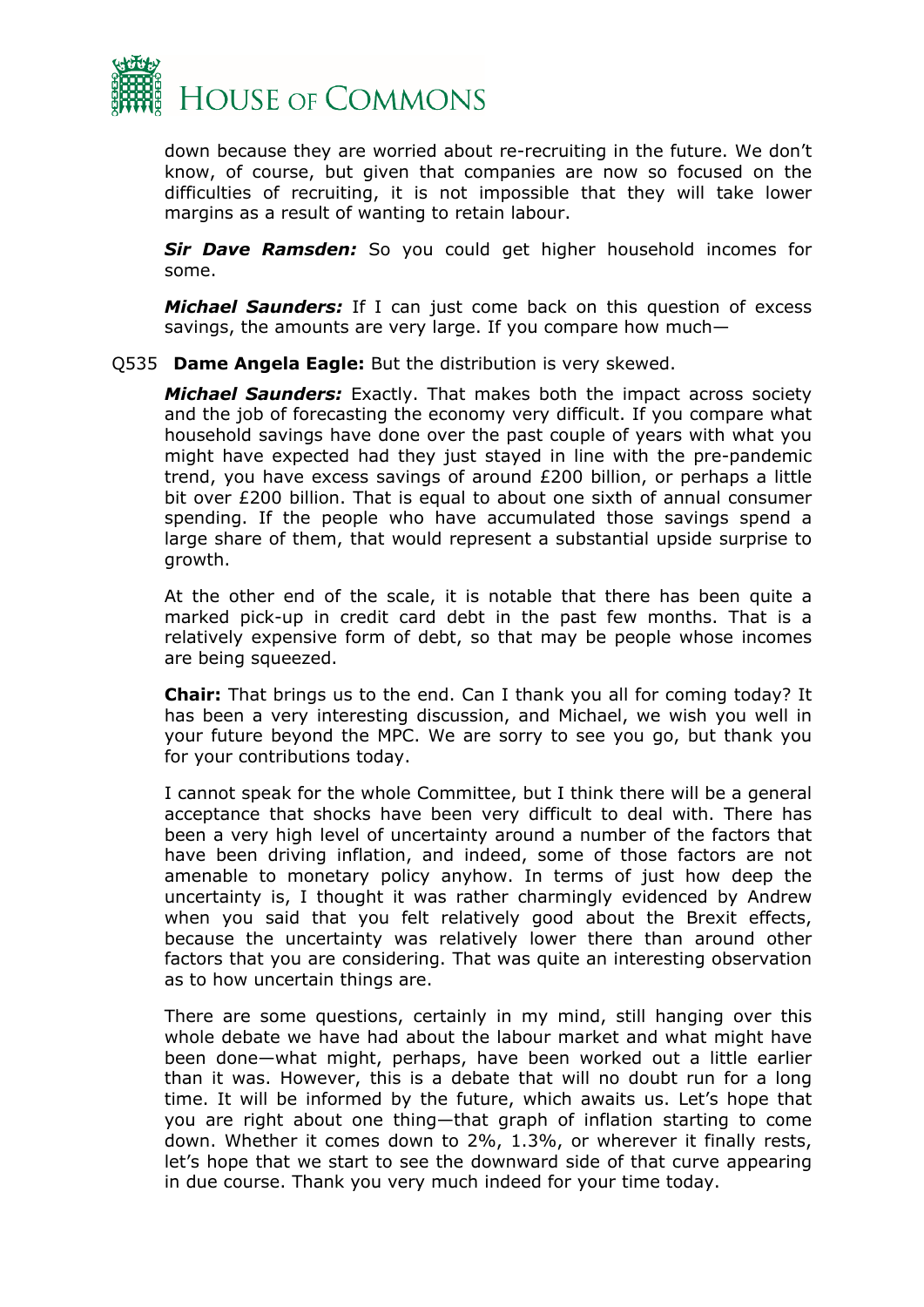

down because they are worried about re-recruiting in the future. We don't know, of course, but given that companies are now so focused on the difficulties of recruiting, it is not impossible that they will take lower margins as a result of wanting to retain labour.

*Sir Dave Ramsden:* So you could get higher household incomes for some.

*Michael Saunders:* If I can just come back on this question of excess savings, the amounts are very large. If you compare how much—

#### Q535 **Dame Angela Eagle:** But the distribution is very skewed.

*Michael Saunders:* Exactly. That makes both the impact across society and the job of forecasting the economy very difficult. If you compare what household savings have done over the past couple of years with what you might have expected had they just stayed in line with the pre-pandemic trend, you have excess savings of around £200 billion, or perhaps a little bit over £200 billion. That is equal to about one sixth of annual consumer spending. If the people who have accumulated those savings spend a large share of them, that would represent a substantial upside surprise to growth.

At the other end of the scale, it is notable that there has been quite a marked pick-up in credit card debt in the past few months. That is a relatively expensive form of debt, so that may be people whose incomes are being squeezed.

**Chair:** That brings us to the end. Can I thank you all for coming today? It has been a very interesting discussion, and Michael, we wish you well in your future beyond the MPC. We are sorry to see you go, but thank you for your contributions today.

I cannot speak for the whole Committee, but I think there will be a general acceptance that shocks have been very difficult to deal with. There has been a very high level of uncertainty around a number of the factors that have been driving inflation, and indeed, some of those factors are not amenable to monetary policy anyhow. In terms of just how deep the uncertainty is, I thought it was rather charmingly evidenced by Andrew when you said that you felt relatively good about the Brexit effects, because the uncertainty was relatively lower there than around other factors that you are considering. That was quite an interesting observation as to how uncertain things are.

There are some questions, certainly in my mind, still hanging over this whole debate we have had about the labour market and what might have been done—what might, perhaps, have been worked out a little earlier than it was. However, this is a debate that will no doubt run for a long time. It will be informed by the future, which awaits us. Let's hope that you are right about one thing—that graph of inflation starting to come down. Whether it comes down to 2%, 1.3%, or wherever it finally rests, let's hope that we start to see the downward side of that curve appearing in due course. Thank you very much indeed for your time today.